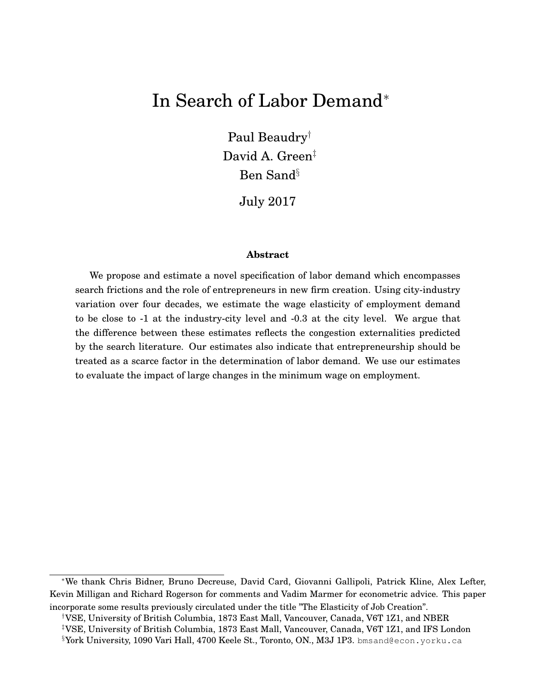# In Search of Labor Demand<sup>∗</sup>

Paul Beaudry† David A. Green‡ Ben Sand§

July 2017

#### **Abstract**

We propose and estimate a novel specification of labor demand which encompasses search frictions and the role of entrepreneurs in new firm creation. Using city-industry variation over four decades, we estimate the wage elasticity of employment demand to be close to -1 at the industry-city level and -0.3 at the city level. We argue that the difference between these estimates reflects the congestion externalities predicted by the search literature. Our estimates also indicate that entrepreneurship should be treated as a scarce factor in the determination of labor demand. We use our estimates to evaluate the impact of large changes in the minimum wage on employment.

<sup>∗</sup>We thank Chris Bidner, Bruno Decreuse, David Card, Giovanni Gallipoli, Patrick Kline, Alex Lefter, Kevin Milligan and Richard Rogerson for comments and Vadim Marmer for econometric advice. This paper incorporate some results previously circulated under the title "The Elasticity of Job Creation".

<sup>†</sup>VSE, University of British Columbia, 1873 East Mall, Vancouver, Canada, V6T 1Z1, and NBER

<sup>‡</sup>VSE, University of British Columbia, 1873 East Mall, Vancouver, Canada, V6T 1Z1, and IFS London

 $\S$ York University, 1090 Vari Hall, 4700 Keele St., Toronto, ON., M3J 1P3. bmsand@econ.yorku.ca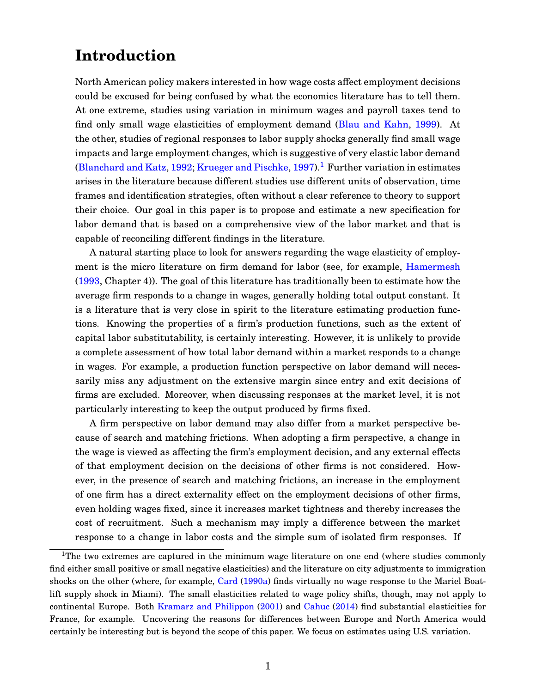# **Introduction**

North American policy makers interested in how wage costs affect employment decisions could be excused for being confused by what the economics literature has to tell them. At one extreme, studies using variation in minimum wages and payroll taxes tend to find only small wage elasticities of employment demand [\(Blau and Kahn,](#page-40-0) [1999\)](#page-40-0). At the other, studies of regional responses to labor supply shocks generally find small wage impacts and large employment changes, which is suggestive of very elastic labor demand [\(Blanchard and Katz,](#page-40-1) [1992;](#page-40-1) [Krueger and Pischke,](#page-41-0)  $1997$  $1997$ ).<sup>1</sup> Further variation in estimates arises in the literature because different studies use different units of observation, time frames and identification strategies, often without a clear reference to theory to support their choice. Our goal in this paper is to propose and estimate a new specification for labor demand that is based on a comprehensive view of the labor market and that is capable of reconciling different findings in the literature.

A natural starting place to look for answers regarding the wage elasticity of employment is the micro literature on firm demand for labor (see, for example, [Hamermesh](#page-41-1) [\(1993,](#page-41-1) Chapter 4)). The goal of this literature has traditionally been to estimate how the average firm responds to a change in wages, generally holding total output constant. It is a literature that is very close in spirit to the literature estimating production functions. Knowing the properties of a firm's production functions, such as the extent of capital labor substitutability, is certainly interesting. However, it is unlikely to provide a complete assessment of how total labor demand within a market responds to a change in wages. For example, a production function perspective on labor demand will necessarily miss any adjustment on the extensive margin since entry and exit decisions of firms are excluded. Moreover, when discussing responses at the market level, it is not particularly interesting to keep the output produced by firms fixed.

A firm perspective on labor demand may also differ from a market perspective because of search and matching frictions. When adopting a firm perspective, a change in the wage is viewed as affecting the firm's employment decision, and any external effects of that employment decision on the decisions of other firms is not considered. However, in the presence of search and matching frictions, an increase in the employment of one firm has a direct externality effect on the employment decisions of other firms, even holding wages fixed, since it increases market tightness and thereby increases the cost of recruitment. Such a mechanism may imply a difference between the market response to a change in labor costs and the simple sum of isolated firm responses. If

<span id="page-1-0"></span><sup>&</sup>lt;sup>1</sup>The two extremes are captured in the minimum wage literature on one end (where studies commonly find either small positive or small negative elasticities) and the literature on city adjustments to immigration shocks on the other (where, for example, [Card](#page-40-2) [\(1990a\)](#page-40-2) finds virtually no wage response to the Mariel Boatlift supply shock in Miami). The small elasticities related to wage policy shifts, though, may not apply to continental Europe. Both [Kramarz and Philippon](#page-41-2) [\(2001\)](#page-41-2) and [Cahuc](#page-40-3) [\(2014\)](#page-40-3) find substantial elasticities for France, for example. Uncovering the reasons for differences between Europe and North America would certainly be interesting but is beyond the scope of this paper. We focus on estimates using U.S. variation.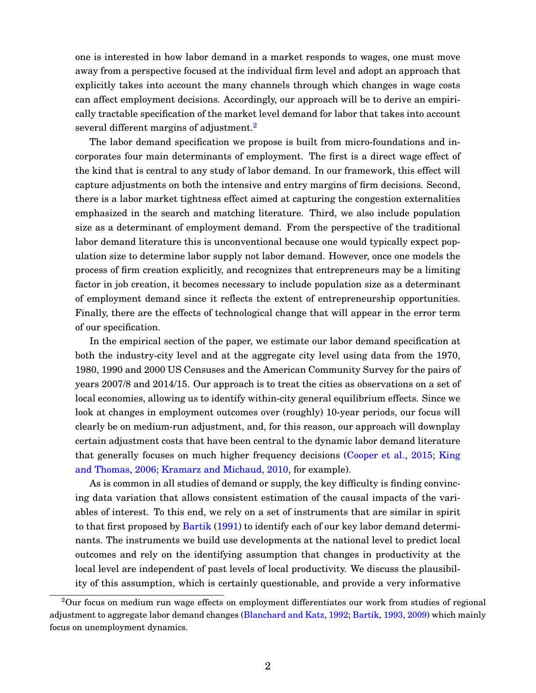one is interested in how labor demand in a market responds to wages, one must move away from a perspective focused at the individual firm level and adopt an approach that explicitly takes into account the many channels through which changes in wage costs can affect employment decisions. Accordingly, our approach will be to derive an empirically tractable specification of the market level demand for labor that takes into account several different margins of adjustment.<sup>[2](#page-2-0)</sup>

The labor demand specification we propose is built from micro-foundations and incorporates four main determinants of employment. The first is a direct wage effect of the kind that is central to any study of labor demand. In our framework, this effect will capture adjustments on both the intensive and entry margins of firm decisions. Second, there is a labor market tightness effect aimed at capturing the congestion externalities emphasized in the search and matching literature. Third, we also include population size as a determinant of employment demand. From the perspective of the traditional labor demand literature this is unconventional because one would typically expect population size to determine labor supply not labor demand. However, once one models the process of firm creation explicitly, and recognizes that entrepreneurs may be a limiting factor in job creation, it becomes necessary to include population size as a determinant of employment demand since it reflects the extent of entrepreneurship opportunities. Finally, there are the effects of technological change that will appear in the error term of our specification.

In the empirical section of the paper, we estimate our labor demand specification at both the industry-city level and at the aggregate city level using data from the 1970, 1980, 1990 and 2000 US Censuses and the American Community Survey for the pairs of years 2007/8 and 2014/15. Our approach is to treat the cities as observations on a set of local economies, allowing us to identify within-city general equilibrium effects. Since we look at changes in employment outcomes over (roughly) 10-year periods, our focus will clearly be on medium-run adjustment, and, for this reason, our approach will downplay certain adjustment costs that have been central to the dynamic labor demand literature that generally focuses on much higher frequency decisions [\(Cooper et al.,](#page-40-4) [2015;](#page-40-4) [King](#page-41-3) [and Thomas,](#page-41-3) [2006;](#page-41-3) [Kramarz and Michaud,](#page-41-4) [2010,](#page-41-4) for example).

As is common in all studies of demand or supply, the key difficulty is finding convincing data variation that allows consistent estimation of the causal impacts of the variables of interest. To this end, we rely on a set of instruments that are similar in spirit to that first proposed by [Bartik](#page-39-0) [\(1991\)](#page-39-0) to identify each of our key labor demand determinants. The instruments we build use developments at the national level to predict local outcomes and rely on the identifying assumption that changes in productivity at the local level are independent of past levels of local productivity. We discuss the plausibility of this assumption, which is certainly questionable, and provide a very informative

<span id="page-2-0"></span> $2$ Our focus on medium run wage effects on employment differentiates our work from studies of regional adjustment to aggregate labor demand changes [\(Blanchard and Katz,](#page-40-1) [1992;](#page-40-1) [Bartik,](#page-39-1) [1993,](#page-39-1) [2009\)](#page-39-2) which mainly focus on unemployment dynamics.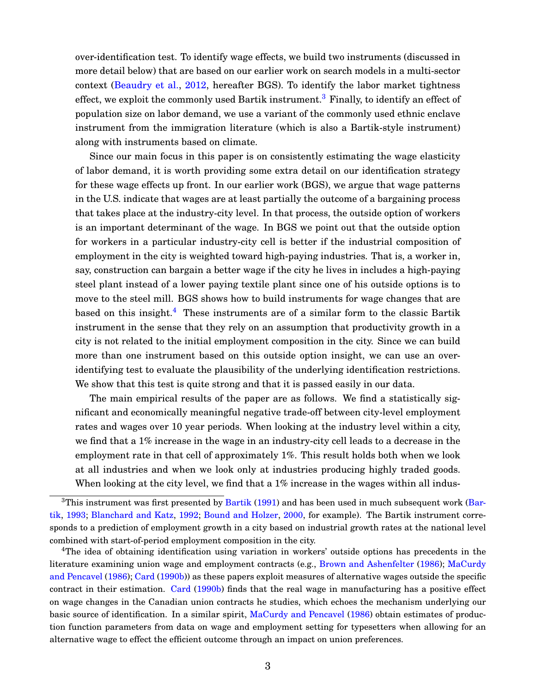over-identification test. To identify wage effects, we build two instruments (discussed in more detail below) that are based on our earlier work on search models in a multi-sector context [\(Beaudry et al.,](#page-39-3) [2012,](#page-39-3) hereafter BGS). To identify the labor market tightness effect, we exploit the commonly used Bartik instrument.<sup>[3](#page-3-0)</sup> Finally, to identify an effect of population size on labor demand, we use a variant of the commonly used ethnic enclave instrument from the immigration literature (which is also a Bartik-style instrument) along with instruments based on climate.

Since our main focus in this paper is on consistently estimating the wage elasticity of labor demand, it is worth providing some extra detail on our identification strategy for these wage effects up front. In our earlier work (BGS), we argue that wage patterns in the U.S. indicate that wages are at least partially the outcome of a bargaining process that takes place at the industry-city level. In that process, the outside option of workers is an important determinant of the wage. In BGS we point out that the outside option for workers in a particular industry-city cell is better if the industrial composition of employment in the city is weighted toward high-paying industries. That is, a worker in, say, construction can bargain a better wage if the city he lives in includes a high-paying steel plant instead of a lower paying textile plant since one of his outside options is to move to the steel mill. BGS shows how to build instruments for wage changes that are based on this insight.<sup>[4](#page-3-1)</sup> These instruments are of a similar form to the classic Bartik instrument in the sense that they rely on an assumption that productivity growth in a city is not related to the initial employment composition in the city. Since we can build more than one instrument based on this outside option insight, we can use an overidentifying test to evaluate the plausibility of the underlying identification restrictions. We show that this test is quite strong and that it is passed easily in our data.

The main empirical results of the paper are as follows. We find a statistically significant and economically meaningful negative trade-off between city-level employment rates and wages over 10 year periods. When looking at the industry level within a city, we find that a 1% increase in the wage in an industry-city cell leads to a decrease in the employment rate in that cell of approximately 1%. This result holds both when we look at all industries and when we look only at industries producing highly traded goods. When looking at the city level, we find that a 1% increase in the wages within all indus-

<span id="page-3-0"></span> $3$ This instrument was first presented by [Bartik](#page-39-0) [\(1991\)](#page-39-0) and has been used in much subsequent work [\(Bar](#page-39-1)[tik,](#page-39-1) [1993;](#page-39-1) [Blanchard and Katz,](#page-40-1) [1992;](#page-40-1) [Bound and Holzer,](#page-40-5) [2000,](#page-40-5) for example). The Bartik instrument corresponds to a prediction of employment growth in a city based on industrial growth rates at the national level combined with start-of-period employment composition in the city.

<span id="page-3-1"></span><sup>4</sup>The idea of obtaining identification using variation in workers' outside options has precedents in the literature examining union wage and employment contracts (e.g., [Brown and Ashenfelter](#page-40-6) [\(1986\)](#page-40-6); [MaCurdy](#page-41-5) [and Pencavel](#page-41-5) [\(1986\)](#page-41-5); [Card](#page-40-7) [\(1990b\)](#page-40-7)) as these papers exploit measures of alternative wages outside the specific contract in their estimation. [Card](#page-40-7) [\(1990b\)](#page-40-7) finds that the real wage in manufacturing has a positive effect on wage changes in the Canadian union contracts he studies, which echoes the mechanism underlying our basic source of identification. In a similar spirit, [MaCurdy and Pencavel](#page-41-5) [\(1986\)](#page-41-5) obtain estimates of production function parameters from data on wage and employment setting for typesetters when allowing for an alternative wage to effect the efficient outcome through an impact on union preferences.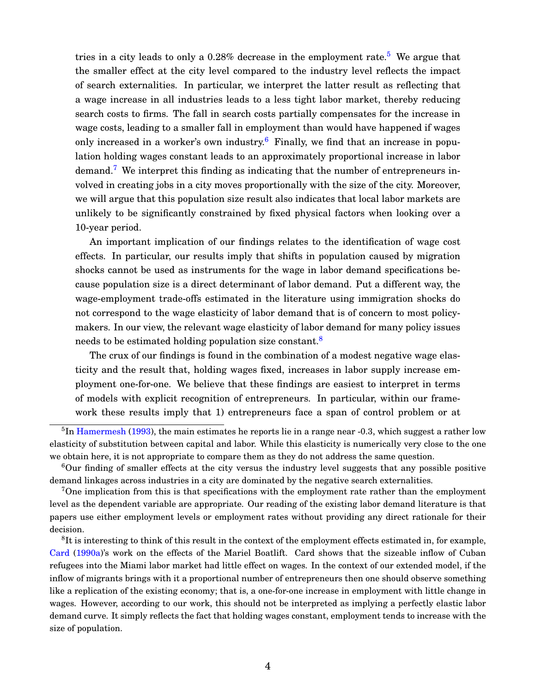tries in a city leads to only a  $0.28\%$  decrease in the employment rate.<sup>[5](#page-4-0)</sup> We argue that the smaller effect at the city level compared to the industry level reflects the impact of search externalities. In particular, we interpret the latter result as reflecting that a wage increase in all industries leads to a less tight labor market, thereby reducing search costs to firms. The fall in search costs partially compensates for the increase in wage costs, leading to a smaller fall in employment than would have happened if wages only increased in a worker's own industry.<sup>[6](#page-4-1)</sup> Finally, we find that an increase in population holding wages constant leads to an approximately proportional increase in labor demand.<sup>[7](#page-4-2)</sup> We interpret this finding as indicating that the number of entrepreneurs involved in creating jobs in a city moves proportionally with the size of the city. Moreover, we will argue that this population size result also indicates that local labor markets are unlikely to be significantly constrained by fixed physical factors when looking over a 10-year period.

An important implication of our findings relates to the identification of wage cost effects. In particular, our results imply that shifts in population caused by migration shocks cannot be used as instruments for the wage in labor demand specifications because population size is a direct determinant of labor demand. Put a different way, the wage-employment trade-offs estimated in the literature using immigration shocks do not correspond to the wage elasticity of labor demand that is of concern to most policymakers. In our view, the relevant wage elasticity of labor demand for many policy issues needs to be estimated holding population size constant.<sup>[8](#page-4-3)</sup>

The crux of our findings is found in the combination of a modest negative wage elasticity and the result that, holding wages fixed, increases in labor supply increase employment one-for-one. We believe that these findings are easiest to interpret in terms of models with explicit recognition of entrepreneurs. In particular, within our framework these results imply that 1) entrepreneurs face a span of control problem or at

<span id="page-4-0"></span><sup>&</sup>lt;sup>5</sup>In [Hamermesh](#page-41-1) [\(1993\)](#page-41-1), the main estimates he reports lie in a range near -0.3, which suggest a rather low elasticity of substitution between capital and labor. While this elasticity is numerically very close to the one we obtain here, it is not appropriate to compare them as they do not address the same question.

<span id="page-4-1"></span><sup>6</sup>Our finding of smaller effects at the city versus the industry level suggests that any possible positive demand linkages across industries in a city are dominated by the negative search externalities.

<span id="page-4-2"></span><sup>&</sup>lt;sup>7</sup>One implication from this is that specifications with the employment rate rather than the employment level as the dependent variable are appropriate. Our reading of the existing labor demand literature is that papers use either employment levels or employment rates without providing any direct rationale for their decision.

<span id="page-4-3"></span> ${}^{8}$ It is interesting to think of this result in the context of the employment effects estimated in, for example, [Card](#page-40-2) [\(1990a\)](#page-40-2)'s work on the effects of the Mariel Boatlift. Card shows that the sizeable inflow of Cuban refugees into the Miami labor market had little effect on wages. In the context of our extended model, if the inflow of migrants brings with it a proportional number of entrepreneurs then one should observe something like a replication of the existing economy; that is, a one-for-one increase in employment with little change in wages. However, according to our work, this should not be interpreted as implying a perfectly elastic labor demand curve. It simply reflects the fact that holding wages constant, employment tends to increase with the size of population.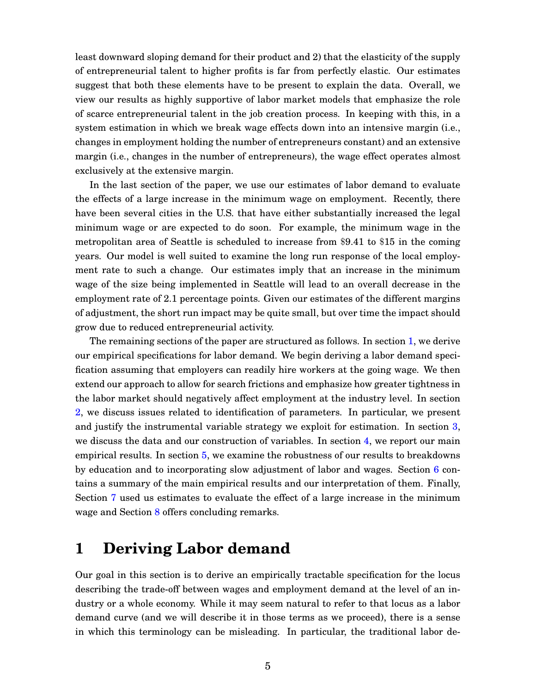least downward sloping demand for their product and 2) that the elasticity of the supply of entrepreneurial talent to higher profits is far from perfectly elastic. Our estimates suggest that both these elements have to be present to explain the data. Overall, we view our results as highly supportive of labor market models that emphasize the role of scarce entrepreneurial talent in the job creation process. In keeping with this, in a system estimation in which we break wage effects down into an intensive margin (i.e., changes in employment holding the number of entrepreneurs constant) and an extensive margin (i.e., changes in the number of entrepreneurs), the wage effect operates almost exclusively at the extensive margin.

In the last section of the paper, we use our estimates of labor demand to evaluate the effects of a large increase in the minimum wage on employment. Recently, there have been several cities in the U.S. that have either substantially increased the legal minimum wage or are expected to do soon. For example, the minimum wage in the metropolitan area of Seattle is scheduled to increase from \$9.41 to \$15 in the coming years. Our model is well suited to examine the long run response of the local employment rate to such a change. Our estimates imply that an increase in the minimum wage of the size being implemented in Seattle will lead to an overall decrease in the employment rate of 2.1 percentage points. Given our estimates of the different margins of adjustment, the short run impact may be quite small, but over time the impact should grow due to reduced entrepreneurial activity.

The remaining sections of the paper are structured as follows. In section [1,](#page-5-0) we derive our empirical specifications for labor demand. We begin deriving a labor demand specification assuming that employers can readily hire workers at the going wage. We then extend our approach to allow for search frictions and emphasize how greater tightness in the labor market should negatively affect employment at the industry level. In section [2,](#page-15-0) we discuss issues related to identification of parameters. In particular, we present and justify the instrumental variable strategy we exploit for estimation. In section [3,](#page-22-0) we discuss the data and our construction of variables. In section [4,](#page-23-0) we report our main empirical results. In section [5,](#page-29-0) we examine the robustness of our results to breakdowns by education and to incorporating slow adjustment of labor and wages. Section [6](#page-30-0) contains a summary of the main empirical results and our interpretation of them. Finally, Section [7](#page-32-0) used us estimates to evaluate the effect of a large increase in the minimum wage and Section [8](#page-38-0) offers concluding remarks.

## <span id="page-5-0"></span>**1 Deriving Labor demand**

Our goal in this section is to derive an empirically tractable specification for the locus describing the trade-off between wages and employment demand at the level of an industry or a whole economy. While it may seem natural to refer to that locus as a labor demand curve (and we will describe it in those terms as we proceed), there is a sense in which this terminology can be misleading. In particular, the traditional labor de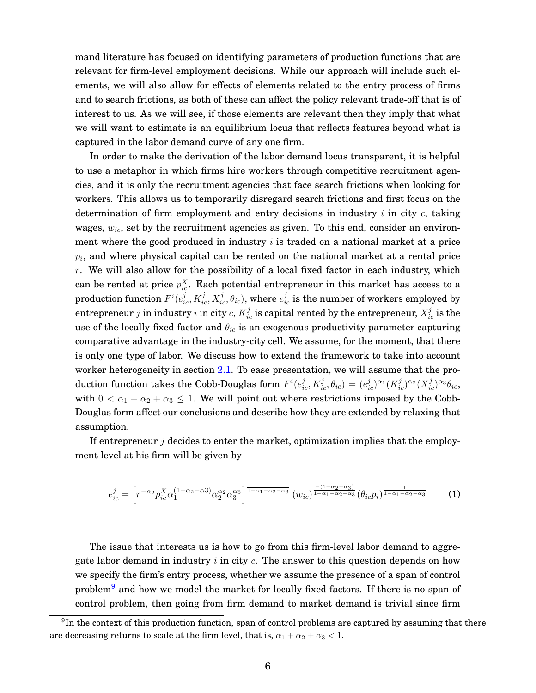mand literature has focused on identifying parameters of production functions that are relevant for firm-level employment decisions. While our approach will include such elements, we will also allow for effects of elements related to the entry process of firms and to search frictions, as both of these can affect the policy relevant trade-off that is of interest to us. As we will see, if those elements are relevant then they imply that what we will want to estimate is an equilibrium locus that reflects features beyond what is captured in the labor demand curve of any one firm.

In order to make the derivation of the labor demand locus transparent, it is helpful to use a metaphor in which firms hire workers through competitive recruitment agencies, and it is only the recruitment agencies that face search frictions when looking for workers. This allows us to temporarily disregard search frictions and first focus on the determination of firm employment and entry decisions in industry  $i$  in city  $c$ , taking wages,  $w_{ic}$ , set by the recruitment agencies as given. To this end, consider an environment where the good produced in industry  $i$  is traded on a national market at a price  $\,p_i,$  and where physical capital can be rented on the national market at a rental price  $r$ . We will also allow for the possibility of a local fixed factor in each industry, which can be rented at price  $p_{ic}^X$ . Each potential entrepreneur in this market has access to a production function  $F^i(e_{ic}^j,K_{ic}^j,K_{ic}^j,\theta_{ic}),$  where  $e_{ic}^j$  is the number of workers employed by entrepreneur  $j$  in industry  $i$  in city  $c,\,K_{ic}^j$  is capital rented by the entrepreneur,  $X_{ic}^j$  is the use of the locally fixed factor and  $\theta_{ic}$  is an exogenous productivity parameter capturing comparative advantage in the industry-city cell. We assume, for the moment, that there is only one type of labor. We discuss how to extend the framework to take into account worker heterogeneity in section [2.1.](#page-21-0) To ease presentation, we will assume that the production function takes the Cobb-Douglas form  $F^i(e_{ic}^j, K_{ic}^j, \theta_{ic}) = (e_{ic}^j)^{\alpha_1}(K_{ic}^j)^{\alpha_2}(X_{ic}^j)^{\alpha_3}\theta_{ic}$ with  $0 < \alpha_1 + \alpha_2 + \alpha_3 \leq 1$ . We will point out where restrictions imposed by the Cobb-Douglas form affect our conclusions and describe how they are extended by relaxing that assumption.

If entrepreneur  $j$  decides to enter the market, optimization implies that the employment level at his firm will be given by

$$
e_{ic}^{j} = \left[r^{-\alpha_2}p_{ic}^{X}\alpha_1^{(1-\alpha_2-\alpha_3)}\alpha_2^{\alpha_2}\alpha_3^{\alpha_3}\right]^{\frac{1}{1-\alpha_1-\alpha_2-\alpha_3}}(w_{ic})^{\frac{-(1-\alpha_2-\alpha_3)}{1-\alpha_1-\alpha_2-\alpha_3}}(\theta_{ic}p_i)^{\frac{1}{1-\alpha_1-\alpha_2-\alpha_3}}\tag{1}
$$

The issue that interests us is how to go from this firm-level labor demand to aggregate labor demand in industry  $i$  in city  $c$ . The answer to this question depends on how we specify the firm's entry process, whether we assume the presence of a span of control problem<sup>[9](#page-6-0)</sup> and how we model the market for locally fixed factors. If there is no span of control problem, then going from firm demand to market demand is trivial since firm

<span id="page-6-0"></span><sup>&</sup>lt;sup>9</sup>In the context of this production function, span of control problems are captured by assuming that there are decreasing returns to scale at the firm level, that is,  $\alpha_1 + \alpha_2 + \alpha_3 < 1$ .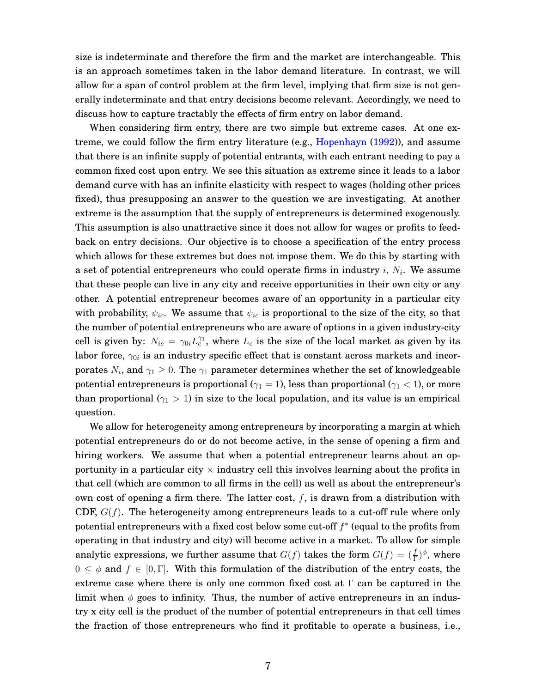size is indeterminate and therefore the firm and the market are interchangeable. This is an approach sometimes taken in the labor demand literature. In contrast, we will allow for a span of control problem at the firm level, implying that firm size is not generally indeterminate and that entry decisions become relevant. Accordingly, we need to discuss how to capture tractably the effects of firm entry on labor demand.

When considering firm entry, there are two simple but extreme cases. At one extreme, we could follow the firm entry literature (e.g., [Hopenhayn](#page-41-6) [\(1992\)](#page-41-6)), and assume that there is an infinite supply of potential entrants, with each entrant needing to pay a common fixed cost upon entry. We see this situation as extreme since it leads to a labor demand curve with has an infinite elasticity with respect to wages (holding other prices fixed), thus presupposing an answer to the question we are investigating. At another extreme is the assumption that the supply of entrepreneurs is determined exogenously. This assumption is also unattractive since it does not allow for wages or profits to feedback on entry decisions. Our objective is to choose a specification of the entry process which allows for these extremes but does not impose them. We do this by starting with a set of potential entrepreneurs who could operate firms in industry  $i,$   $N_i.$  We assume that these people can live in any city and receive opportunities in their own city or any other. A potential entrepreneur becomes aware of an opportunity in a particular city with probability,  $\psi_{ic}$ . We assume that  $\psi_{ic}$  is proportional to the size of the city, so that the number of potential entrepreneurs who are aware of options in a given industry-city cell is given by:  $N_{ic} = \gamma_{0i} L_c^{\gamma_1}$ , where  $L_c$  is the size of the local market as given by its labor force,  $\gamma_{0i}$  is an industry specific effect that is constant across markets and incorporates  $N_i$ , and  $\gamma_1\geq 0.$  The  $\gamma_1$  parameter determines whether the set of knowledgeable potential entrepreneurs is proportional ( $\gamma_1 = 1$ ), less than proportional ( $\gamma_1 < 1$ ), or more than proportional ( $\gamma_1 > 1$ ) in size to the local population, and its value is an empirical question.

We allow for heterogeneity among entrepreneurs by incorporating a margin at which potential entrepreneurs do or do not become active, in the sense of opening a firm and hiring workers. We assume that when a potential entrepreneur learns about an opportunity in a particular city  $\times$  industry cell this involves learning about the profits in that cell (which are common to all firms in the cell) as well as about the entrepreneur's own cost of opening a firm there. The latter cost,  $f$ , is drawn from a distribution with CDF,  $G(f)$ . The heterogeneity among entrepreneurs leads to a cut-off rule where only potential entrepreneurs with a fixed cost below some cut-off  $f^*$  (equal to the profits from operating in that industry and city) will become active in a market. To allow for simple analytic expressions, we further assume that  $G(f)$  takes the form  $G(f)=(\frac{f}{\Gamma})^{\phi},$  where  $0 \leq \phi$  and  $f \in [0, \Gamma]$ . With this formulation of the distribution of the entry costs, the extreme case where there is only one common fixed cost at  $\Gamma$  can be captured in the limit when  $\phi$  goes to infinity. Thus, the number of active entrepreneurs in an industry x city cell is the product of the number of potential entrepreneurs in that cell times the fraction of those entrepreneurs who find it profitable to operate a business, i.e.,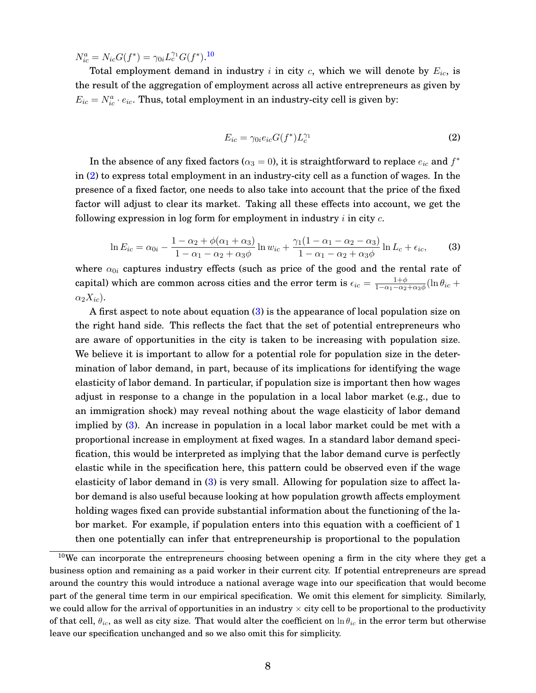$N_{ic}^{a} = N_{ic}G(f^{*}) = \gamma_{0i}L_{c}^{\gamma_{1}}G(f^{*}).^{10}$  $N_{ic}^{a} = N_{ic}G(f^{*}) = \gamma_{0i}L_{c}^{\gamma_{1}}G(f^{*}).^{10}$  $N_{ic}^{a} = N_{ic}G(f^{*}) = \gamma_{0i}L_{c}^{\gamma_{1}}G(f^{*}).^{10}$ 

Total employment demand in industry i in city c, which we will denote by  $E_{ic}$ , is the result of the aggregation of employment across all active entrepreneurs as given by  $E_{ic} = N_{ic}^a \cdot e_{ic}$ . Thus, total employment in an industry-city cell is given by:

<span id="page-8-1"></span>
$$
E_{ic} = \gamma_{0i} e_{ic} G(f^*) L_c^{\gamma_1} \tag{2}
$$

In the absence of any fixed factors ( $\alpha_3 = 0$ ), it is straightforward to replace  $e_{ic}$  and  $f^*$ in [\(2\)](#page-8-1) to express total employment in an industry-city cell as a function of wages. In the presence of a fixed factor, one needs to also take into account that the price of the fixed factor will adjust to clear its market. Taking all these effects into account, we get the following expression in log form for employment in industry  $i$  in city  $c$ .

<span id="page-8-2"></span>
$$
\ln E_{ic} = \alpha_{0i} - \frac{1 - \alpha_2 + \phi(\alpha_1 + \alpha_3)}{1 - \alpha_1 - \alpha_2 + \alpha_3 \phi} \ln w_{ic} + \frac{\gamma_1 (1 - \alpha_1 - \alpha_2 - \alpha_3)}{1 - \alpha_1 - \alpha_2 + \alpha_3 \phi} \ln L_c + \epsilon_{ic},
$$
 (3)

where  $\alpha_{0i}$  captures industry effects (such as price of the good and the rental rate of capital) which are common across cities and the error term is  $\epsilon_{ic} = \frac{1+\phi}{1-\alpha_1-\alpha_2}$  $\frac{1+\varphi}{1-\alpha_1-\alpha_2+\alpha_3\phi}(\ln\theta_{ic}+$  $\alpha_2X_{ic}$ ).

A first aspect to note about equation [\(3\)](#page-8-2) is the appearance of local population size on the right hand side. This reflects the fact that the set of potential entrepreneurs who are aware of opportunities in the city is taken to be increasing with population size. We believe it is important to allow for a potential role for population size in the determination of labor demand, in part, because of its implications for identifying the wage elasticity of labor demand. In particular, if population size is important then how wages adjust in response to a change in the population in a local labor market (e.g., due to an immigration shock) may reveal nothing about the wage elasticity of labor demand implied by [\(3\)](#page-8-2). An increase in population in a local labor market could be met with a proportional increase in employment at fixed wages. In a standard labor demand specification, this would be interpreted as implying that the labor demand curve is perfectly elastic while in the specification here, this pattern could be observed even if the wage elasticity of labor demand in [\(3\)](#page-8-2) is very small. Allowing for population size to affect labor demand is also useful because looking at how population growth affects employment holding wages fixed can provide substantial information about the functioning of the labor market. For example, if population enters into this equation with a coefficient of 1 then one potentially can infer that entrepreneurship is proportional to the population

<span id="page-8-0"></span> $10$ We can incorporate the entrepreneurs choosing between opening a firm in the city where they get a business option and remaining as a paid worker in their current city. If potential entrepreneurs are spread around the country this would introduce a national average wage into our specification that would become part of the general time term in our empirical specification. We omit this element for simplicity. Similarly, we could allow for the arrival of opportunities in an industry  $\times$  city cell to be proportional to the productivity of that cell,  $\theta_{ic}$ , as well as city size. That would alter the coefficient on  $\ln \theta_{ic}$  in the error term but otherwise leave our specification unchanged and so we also omit this for simplicity.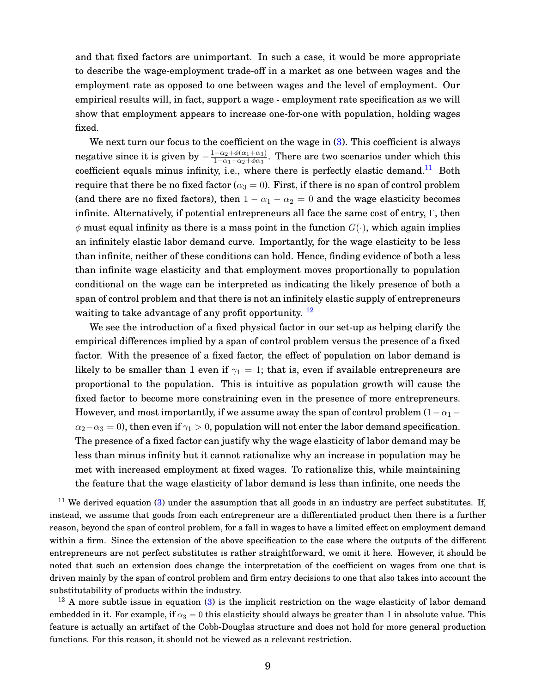and that fixed factors are unimportant. In such a case, it would be more appropriate to describe the wage-employment trade-off in a market as one between wages and the employment rate as opposed to one between wages and the level of employment. Our empirical results will, in fact, support a wage - employment rate specification as we will show that employment appears to increase one-for-one with population, holding wages fixed.

We next turn our focus to the coefficient on the wage in  $(3)$ . This coefficient is always negative since it is given by  $-\frac{1-\alpha_2+\phi(\alpha_1+\alpha_3)}{1-\alpha_1-\alpha_2+\phi(\alpha_2)}$  $\frac{-\alpha_2+\varphi(\alpha_1+\alpha_3)}{1-\alpha_1-\alpha_2+\varphi\alpha_3}$ . There are two scenarios under which this coefficient equals minus infinity, i.e., where there is perfectly elastic demand.<sup>[11](#page-9-0)</sup> Both require that there be no fixed factor ( $\alpha_3 = 0$ ). First, if there is no span of control problem (and there are no fixed factors), then  $1 - \alpha_1 - \alpha_2 = 0$  and the wage elasticity becomes infinite. Alternatively, if potential entrepreneurs all face the same cost of entry, Γ, then  $\phi$  must equal infinity as there is a mass point in the function  $G(\cdot)$ , which again implies an infinitely elastic labor demand curve. Importantly, for the wage elasticity to be less than infinite, neither of these conditions can hold. Hence, finding evidence of both a less than infinite wage elasticity and that employment moves proportionally to population conditional on the wage can be interpreted as indicating the likely presence of both a span of control problem and that there is not an infinitely elastic supply of entrepreneurs waiting to take advantage of any profit opportunity.<sup>[12](#page-9-1)</sup>

We see the introduction of a fixed physical factor in our set-up as helping clarify the empirical differences implied by a span of control problem versus the presence of a fixed factor. With the presence of a fixed factor, the effect of population on labor demand is likely to be smaller than 1 even if  $\gamma_1 = 1$ ; that is, even if available entrepreneurs are proportional to the population. This is intuitive as population growth will cause the fixed factor to become more constraining even in the presence of more entrepreneurs. However, and most importantly, if we assume away the span of control problem  $(1-\alpha_1 \alpha_2-\alpha_3=0$ , then even if  $\gamma_1>0$ , population will not enter the labor demand specification. The presence of a fixed factor can justify why the wage elasticity of labor demand may be less than minus infinity but it cannot rationalize why an increase in population may be met with increased employment at fixed wages. To rationalize this, while maintaining the feature that the wage elasticity of labor demand is less than infinite, one needs the

<span id="page-9-1"></span> $12$  A more subtle issue in equation [\(3\)](#page-8-2) is the implicit restriction on the wage elasticity of labor demand embedded in it. For example, if  $\alpha_3 = 0$  this elasticity should always be greater than 1 in absolute value. This feature is actually an artifact of the Cobb-Douglas structure and does not hold for more general production functions. For this reason, it should not be viewed as a relevant restriction.

<span id="page-9-0"></span> $11$  We derived equation [\(3\)](#page-8-2) under the assumption that all goods in an industry are perfect substitutes. If, instead, we assume that goods from each entrepreneur are a differentiated product then there is a further reason, beyond the span of control problem, for a fall in wages to have a limited effect on employment demand within a firm. Since the extension of the above specification to the case where the outputs of the different entrepreneurs are not perfect substitutes is rather straightforward, we omit it here. However, it should be noted that such an extension does change the interpretation of the coefficient on wages from one that is driven mainly by the span of control problem and firm entry decisions to one that also takes into account the substitutability of products within the industry.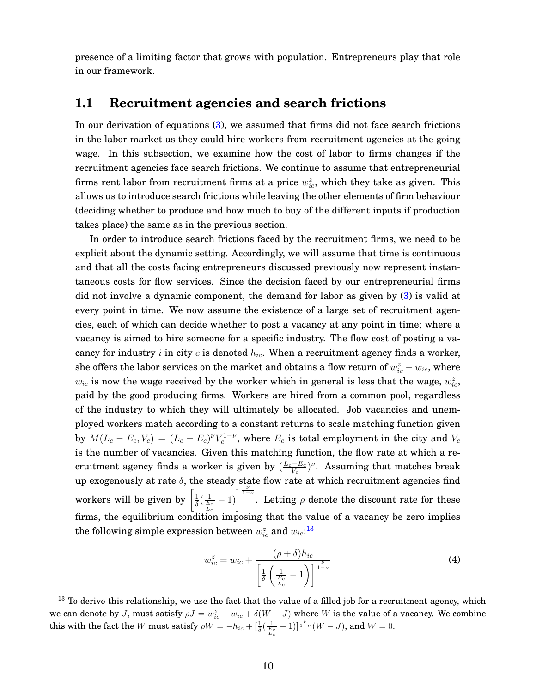presence of a limiting factor that grows with population. Entrepreneurs play that role in our framework.

#### **1.1 Recruitment agencies and search frictions**

In our derivation of equations [\(3\)](#page-8-2), we assumed that firms did not face search frictions in the labor market as they could hire workers from recruitment agencies at the going wage. In this subsection, we examine how the cost of labor to firms changes if the recruitment agencies face search frictions. We continue to assume that entrepreneurial firms rent labor from recruitment firms at a price  $w_{ic}^z$ , which they take as given. This allows us to introduce search frictions while leaving the other elements of firm behaviour (deciding whether to produce and how much to buy of the different inputs if production takes place) the same as in the previous section.

In order to introduce search frictions faced by the recruitment firms, we need to be explicit about the dynamic setting. Accordingly, we will assume that time is continuous and that all the costs facing entrepreneurs discussed previously now represent instantaneous costs for flow services. Since the decision faced by our entrepreneurial firms did not involve a dynamic component, the demand for labor as given by [\(3\)](#page-8-2) is valid at every point in time. We now assume the existence of a large set of recruitment agencies, each of which can decide whether to post a vacancy at any point in time; where a vacancy is aimed to hire someone for a specific industry. The flow cost of posting a vacancy for industry i in city c is denoted  $h_{ic}$ . When a recruitment agency finds a worker, she offers the labor services on the market and obtains a flow return of  $w_{ic}^{z} - w_{ic}$ , where  $w_{ic}$  is now the wage received by the worker which in general is less that the wage,  $w_{ic}^z$ , paid by the good producing firms. Workers are hired from a common pool, regardless of the industry to which they will ultimately be allocated. Job vacancies and unemployed workers match according to a constant returns to scale matching function given by  $M(L_c - E_c, V_c) = (L_c - E_c)^{\nu} V_c^{1-\nu}$ , where  $E_c$  is total employment in the city and  $V_c$ is the number of vacancies. Given this matching function, the flow rate at which a recruitment agency finds a worker is given by  $(\frac{L_c-E_c}{V})$  $\frac{e^{-E_c}}{V_c}$ <sup> $)\nu$ </sup>. Assuming that matches break up exogenously at rate  $\delta$ , the steady state flow rate at which recruitment agencies find workers will be given by  $\left[\frac{1}{\delta}\right]$  $\frac{1}{\delta} \Big( \frac{1}{\frac{E_c}{L_c}}$  $\left[-1\right]$ <sup> $\frac{\nu}{1-\nu}$ </sup>. Letting  $\rho$  denote the discount rate for these firms, the equilibrium condition imposing that the value of a vacancy be zero implies the following simple expression between  $w_{ic}^z$  and  $w_{ic}$ : $^{13}$  $^{13}$  $^{13}$ 

<span id="page-10-1"></span>
$$
w_{ic}^{z} = w_{ic} + \frac{(\rho + \delta)h_{ic}}{\left[\frac{1}{\delta}\left(\frac{1}{\frac{E_{c}}{L_{c}}}-1\right)\right]^{\frac{\nu}{1-\nu}}}
$$
(4)

<span id="page-10-0"></span> $\frac{13}{13}$  To derive this relationship, we use the fact that the value of a filled job for a recruitment agency, which we can denote by J, must satisfy  $\rho J = w_{ic}^z - w_{ic} + \delta(W - J)$  where W is the value of a vacancy. We combine this with the fact the W must satisfy  $\rho W = -h_{ic} + [\frac{1}{\delta}(\frac{E_c}{\frac{E_c}{L_c}}-1)]^{\frac{\nu}{1-\nu}}(W-J)$ , and  $W=0$ .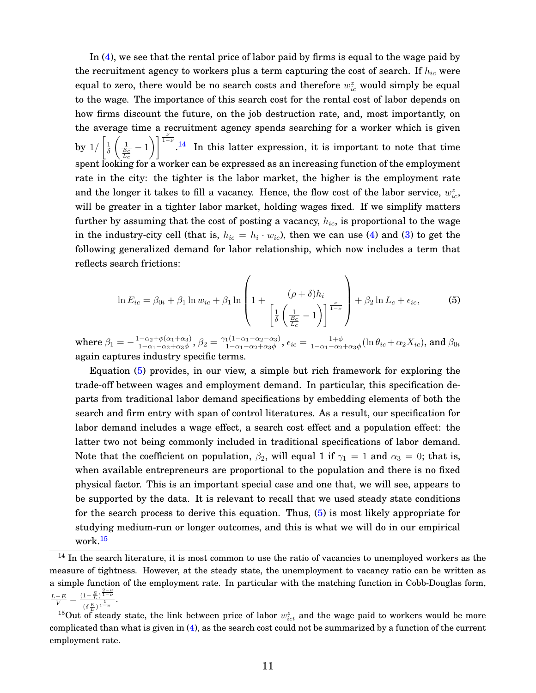In [\(4\)](#page-10-1), we see that the rental price of labor paid by firms is equal to the wage paid by the recruitment agency to workers plus a term capturing the cost of search. If  $h_{ic}$  were equal to zero, there would be no search costs and therefore  $w_{ic}^z$  would simply be equal to the wage. The importance of this search cost for the rental cost of labor depends on how firms discount the future, on the job destruction rate, and, most importantly, on the average time a recruitment agency spends searching for a worker which is given by  $1/\sqrt{\frac{1}{\overline{s}}}$ δ  $\left(\frac{1}{\frac{E_c}{L_c}}\right)$  $(-1)^{\frac{\nu}{1-\nu}}$ .<sup>[14](#page-11-0)</sup> In this latter expression, it is important to note that time spent looking for a worker can be expressed as an increasing function of the employment rate in the city: the tighter is the labor market, the higher is the employment rate and the longer it takes to fill a vacancy. Hence, the flow cost of the labor service,  $w_{ic}^z$ , will be greater in a tighter labor market, holding wages fixed. If we simplify matters further by assuming that the cost of posting a vacancy,  $h_{ic}$ , is proportional to the wage in the industry-city cell (that is,  $h_{ic} = h_i \cdot w_{ic}$ ), then we can use [\(4\)](#page-10-1) and [\(3\)](#page-8-2) to get the following generalized demand for labor relationship, which now includes a term that reflects search frictions:

<span id="page-11-1"></span>
$$
\ln E_{ic} = \beta_{0i} + \beta_1 \ln w_{ic} + \beta_1 \ln \left( 1 + \frac{(\rho + \delta)h_i}{\left[ \frac{1}{\delta} \left( \frac{1}{\frac{E_c}{L_c}} - 1 \right) \right]^{\frac{\nu}{1-\nu}}} \right) + \beta_2 \ln L_c + \epsilon_{ic},\tag{5}
$$

where  $\beta_1 = -\frac{1-\alpha_2+\phi(\alpha_1+\alpha_3)}{1-\alpha_1-\alpha_2+\alpha_3\phi}$  $\frac{1-\alpha_2+\phi(\alpha_1+\alpha_3)}{1-\alpha_1-\alpha_2+\alpha_3\phi}$ , β<sub>2</sub> =  $\frac{\gamma_1(1-\alpha_1-\alpha_2-\alpha_3)}{1-\alpha_1-\alpha_2+\alpha_3\phi}$  $\frac{1(1-\alpha_1-\alpha_2-\alpha_3)}{1-\alpha_1-\alpha_2+\alpha_3\phi}$ ,  $\epsilon_{ic}=\frac{1+\phi}{1-\alpha_1-\alpha_2}$  $\frac{1+\phi}{1-\alpha_1-\alpha_2+\alpha_3\phi}(\ln\theta_{ic}+\alpha_2 X_{ic})$ , and  $\beta_{0i}$ again captures industry specific terms.

Equation [\(5\)](#page-11-1) provides, in our view, a simple but rich framework for exploring the trade-off between wages and employment demand. In particular, this specification departs from traditional labor demand specifications by embedding elements of both the search and firm entry with span of control literatures. As a result, our specification for labor demand includes a wage effect, a search cost effect and a population effect: the latter two not being commonly included in traditional specifications of labor demand. Note that the coefficient on population,  $\beta_2$ , will equal 1 if  $\gamma_1 = 1$  and  $\alpha_3 = 0$ ; that is, when available entrepreneurs are proportional to the population and there is no fixed physical factor. This is an important special case and one that, we will see, appears to be supported by the data. It is relevant to recall that we used steady state conditions for the search process to derive this equation. Thus, [\(5\)](#page-11-1) is most likely appropriate for studying medium-run or longer outcomes, and this is what we will do in our empirical work.[15](#page-11-2)

<span id="page-11-0"></span><sup>&</sup>lt;sup>14</sup> In the search literature, it is most common to use the ratio of vacancies to unemployed workers as the measure of tightness. However, at the steady state, the unemployment to vacancy ratio can be written as a simple function of the employment rate. In particular with the matching function in Cobb-Douglas form,  $\frac{L-E}{V} = \frac{(1-\frac{E}{L})^{\frac{2-\nu}{1-\nu}}}{(s E)^{\frac{1}{1-\nu}}}$  $(\delta \frac{E}{L})^{\frac{1}{1-\nu}}$ 1 .

<span id="page-11-2"></span><sup>&</sup>lt;sup>15</sup>Out of steady state, the link between price of labor  $w_{ict}^z$  and the wage paid to workers would be more complicated than what is given in [\(4\)](#page-10-1), as the search cost could not be summarized by a function of the current employment rate.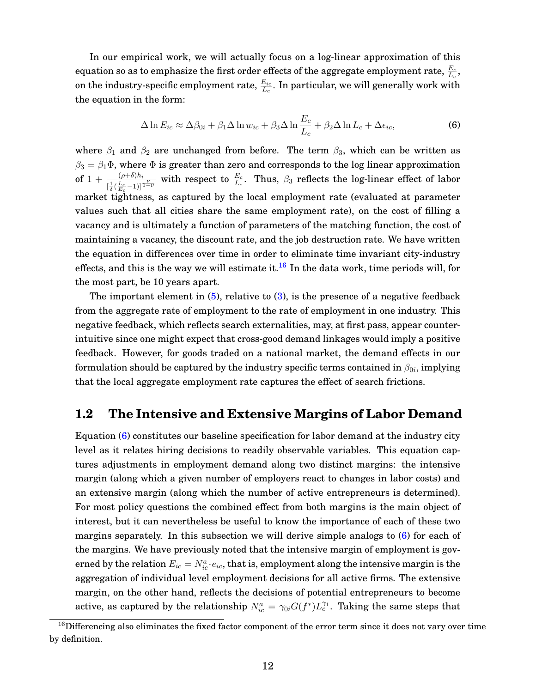In our empirical work, we will actually focus on a log-linear approximation of this equation so as to emphasize the first order effects of the aggregate employment rate,  $\frac{E_c}{L_c},$ on the industry-specific employment rate,  $\frac{E_{ic}}{L_{c}}.$  In particular, we will generally work with the equation in the form:

<span id="page-12-1"></span>
$$
\Delta \ln E_{ic} \approx \Delta \beta_{0i} + \beta_1 \Delta \ln w_{ic} + \beta_3 \Delta \ln \frac{E_c}{L_c} + \beta_2 \Delta \ln L_c + \Delta \epsilon_{ic},\tag{6}
$$

where  $\beta_1$  and  $\beta_2$  are unchanged from before. The term  $\beta_3$ , which can be written as  $\beta_3 = \beta_1 \Phi$ , where  $\Phi$  is greater than zero and corresponds to the log linear approximation of  $1 + \frac{(\rho + \delta)h_i}{\left[\frac{1}{\delta}\left(\frac{L_c}{E_c} - 1\right)\right]^{\frac{\nu}{1-\nu}}}$  with respect to  $\frac{E_c}{L_c}$ . Thus,  $\beta_3$  reflects the log-linear effect of labor market tightness, as captured by the local employment rate (evaluated at parameter values such that all cities share the same employment rate), on the cost of filling a vacancy and is ultimately a function of parameters of the matching function, the cost of maintaining a vacancy, the discount rate, and the job destruction rate. We have written the equation in differences over time in order to eliminate time invariant city-industry effects, and this is the way we will estimate it.<sup>[16](#page-12-0)</sup> In the data work, time periods will, for the most part, be 10 years apart.

The important element in  $(5)$ , relative to  $(3)$ , is the presence of a negative feedback from the aggregate rate of employment to the rate of employment in one industry. This negative feedback, which reflects search externalities, may, at first pass, appear counterintuitive since one might expect that cross-good demand linkages would imply a positive feedback. However, for goods traded on a national market, the demand effects in our formulation should be captured by the industry specific terms contained in  $\beta_{0i}$ , implying that the local aggregate employment rate captures the effect of search frictions.

#### **1.2 The Intensive and Extensive Margins of Labor Demand**

Equation [\(6\)](#page-12-1) constitutes our baseline specification for labor demand at the industry city level as it relates hiring decisions to readily observable variables. This equation captures adjustments in employment demand along two distinct margins: the intensive margin (along which a given number of employers react to changes in labor costs) and an extensive margin (along which the number of active entrepreneurs is determined). For most policy questions the combined effect from both margins is the main object of interest, but it can nevertheless be useful to know the importance of each of these two margins separately. In this subsection we will derive simple analogs to  $(6)$  for each of the margins. We have previously noted that the intensive margin of employment is governed by the relation  $E_{ic} = N_{ic}^a \cdot e_{ic}$ , that is, employment along the intensive margin is the aggregation of individual level employment decisions for all active firms. The extensive margin, on the other hand, reflects the decisions of potential entrepreneurs to become active, as captured by the relationship  $N_{ic}^a = \gamma_{0i} G(f^*) L_c^{\gamma_1}$ . Taking the same steps that

<span id="page-12-0"></span><sup>&</sup>lt;sup>16</sup>Differencing also eliminates the fixed factor component of the error term since it does not vary over time by definition.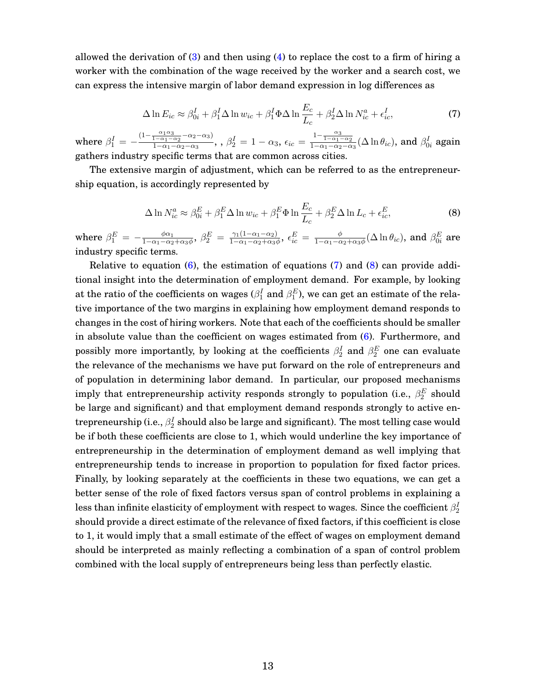allowed the derivation of  $(3)$  and then using  $(4)$  to replace the cost to a firm of hiring a worker with the combination of the wage received by the worker and a search cost, we can express the intensive margin of labor demand expression in log differences as

<span id="page-13-0"></span>
$$
\Delta \ln E_{ic} \approx \beta_{0i}^I + \beta_1^I \Delta \ln w_{ic} + \beta_1^I \Phi \Delta \ln \frac{E_c}{L_c} + \beta_2^I \Delta \ln N_{ic}^a + \epsilon_{ic}^I,
$$
\n(7)

where  $\beta_1^I = -\frac{(1 - \frac{\alpha_1 \alpha_3}{1 - \alpha_1 - \alpha_2} - \alpha_2 - \alpha_3)}{1 - \alpha_1 - \alpha_2 - \alpha_3}$  $\frac{\frac{\alpha_1\alpha_3}{1-\alpha_1-\alpha_2-\alpha_3}-\alpha_2-\alpha_3}{1-\alpha_1-\alpha_2-\alpha_3},\; ,\; \beta_2^I\,=\,1-\alpha_3,\; \epsilon_{ic}\,=\,\frac{1-\frac{\alpha_3}{1-\alpha_1-\alpha_2}}{1-\alpha_1-\alpha_2-\alpha_3}(\Delta\ln\theta_{ic}),\text{ and } \beta_{0i}^I \text{ again}$ gathers industry specific terms that are common across cities.

The extensive margin of adjustment, which can be referred to as the entrepreneurship equation, is accordingly represented by

<span id="page-13-1"></span>
$$
\Delta \ln N_{ic}^a \approx \beta_{0i}^E + \beta_1^E \Delta \ln w_{ic} + \beta_1^E \Phi \ln \frac{E_c}{L_c} + \beta_2^E \Delta \ln L_c + \epsilon_{ic}^E,
$$
\n(8)

where  $\beta_1^E \,=\, -\frac{\phi \alpha_1}{1-\alpha_1-\alpha_2}$  $\frac{\phi\alpha_1}{1-\alpha_1-\alpha_2+\alpha_3\phi}$ ,  $\beta_2^E$  =  $\frac{\gamma_1(1-\alpha_1-\alpha_2)}{1-\alpha_1-\alpha_2+\alpha_3\phi}$  $\frac{\gamma_1(1-\alpha_1-\alpha_2)}{1-\alpha_1-\alpha_2+\alpha_3\phi}$ ,  $\epsilon^E_{ic} = \frac{\phi}{1-\alpha_1-\alpha_3}$  $\frac{\phi}{1-\alpha_1-\alpha_2+\alpha_3\phi}(\Delta\ln\theta_{ic}),$  and  $\beta_{0i}^E$  are industry specific terms.

Relative to equation  $(6)$ , the estimation of equations  $(7)$  and  $(8)$  can provide additional insight into the determination of employment demand. For example, by looking at the ratio of the coefficients on wages ( $\beta_1^I$  and  $\beta_1^E$ ), we can get an estimate of the relative importance of the two margins in explaining how employment demand responds to changes in the cost of hiring workers. Note that each of the coefficients should be smaller in absolute value than the coefficient on wages estimated from [\(6\)](#page-12-1). Furthermore, and possibly more importantly, by looking at the coefficients  $\beta_2^I$  and  $\beta_2^E$  one can evaluate the relevance of the mechanisms we have put forward on the role of entrepreneurs and of population in determining labor demand. In particular, our proposed mechanisms imply that entrepreneurship activity responds strongly to population (i.e.,  $\beta_2^E$  should be large and significant) and that employment demand responds strongly to active entrepreneurship (i.e.,  $\beta_2^I$  should also be large and significant). The most telling case would be if both these coefficients are close to 1, which would underline the key importance of entrepreneurship in the determination of employment demand as well implying that entrepreneurship tends to increase in proportion to population for fixed factor prices. Finally, by looking separately at the coefficients in these two equations, we can get a better sense of the role of fixed factors versus span of control problems in explaining a less than infinite elasticity of employment with respect to wages. Since the coefficient  $\beta_2^I$ should provide a direct estimate of the relevance of fixed factors, if this coefficient is close to 1, it would imply that a small estimate of the effect of wages on employment demand should be interpreted as mainly reflecting a combination of a span of control problem combined with the local supply of entrepreneurs being less than perfectly elastic.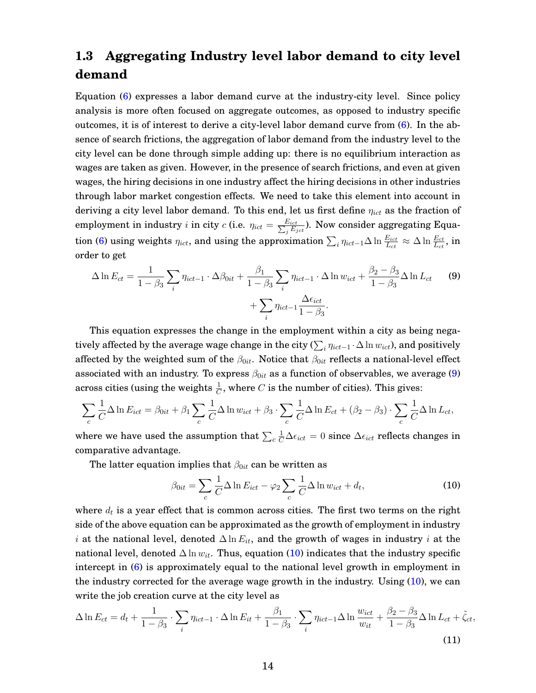### **1.3 Aggregating Industry level labor demand to city level demand**

Equation [\(6\)](#page-12-1) expresses a labor demand curve at the industry-city level. Since policy analysis is more often focused on aggregate outcomes, as opposed to industry specific outcomes, it is of interest to derive a city-level labor demand curve from [\(6\)](#page-12-1). In the absence of search frictions, the aggregation of labor demand from the industry level to the city level can be done through simple adding up: there is no equilibrium interaction as wages are taken as given. However, in the presence of search frictions, and even at given wages, the hiring decisions in one industry affect the hiring decisions in other industries through labor market congestion effects. We need to take this element into account in deriving a city level labor demand. To this end, let us first define  $\eta_{ict}$  as the fraction of employment in industry *i* in city *c* (i.e.  $\eta_{ict} = \frac{E_{ict}}{\sum_{i} E_i}$  $\frac{E_{ict}}{j\;E_{jet}}$ ). Now consider aggregating Equa-tion [\(6\)](#page-12-1) using weights  $\eta_{ict}$ , and using the approximation  $\sum_i \eta_{ict-1}\Delta \ln \frac{E_{ict}}{L_{ct}} \approx \Delta \ln \frac{E_{ct}}{L_{ct}},$  in order to get

$$
\Delta \ln E_{ct} = \frac{1}{1 - \beta_3} \sum_i \eta_{ict-1} \cdot \Delta \beta_{0it} + \frac{\beta_1}{1 - \beta_3} \sum_i \eta_{ict-1} \cdot \Delta \ln w_{ict} + \frac{\beta_2 - \beta_3}{1 - \beta_3} \Delta \ln L_{ct}
$$
 (9)  
+ 
$$
\sum_i \eta_{ict-1} \frac{\Delta \epsilon_{ict}}{1 - \beta_3}.
$$

This equation expresses the change in the employment within a city as being negatively affected by the average wage change in the city ( $\sum_i \eta_{ict-1} \cdot \Delta \ln w_{ict}$ ), and positively affected by the weighted sum of the  $\beta_{0it}$ . Notice that  $\beta_{0it}$  reflects a national-level effect associated with an industry. To express  $\beta_{0it}$  as a function of observables, we average [\(9\)](#page-14-0) across cities (using the weights  $\frac{1}{C}$ , where  $C$  is the number of cities). This gives:

$$
\sum_{c} \frac{1}{C} \Delta \ln E_{ict} = \beta_{0it} + \beta_1 \sum_{c} \frac{1}{C} \Delta \ln w_{ict} + \beta_3 \cdot \sum_{c} \frac{1}{C} \Delta \ln E_{ct} + (\beta_2 - \beta_3) \cdot \sum_{c} \frac{1}{C} \Delta \ln L_{ct},
$$

where we have used the assumption that  $\sum_c\frac{1}{C}\Delta\epsilon_{ict}=0$  since  $\Delta\epsilon_{ict}$  reflects changes in comparative advantage.

The latter equation implies that  $\beta_{0it}$  can be written as

<span id="page-14-2"></span><span id="page-14-1"></span><span id="page-14-0"></span>
$$
\beta_{0it} = \sum_{c} \frac{1}{C} \Delta \ln E_{ict} - \varphi_2 \sum_{c} \frac{1}{C} \Delta \ln w_{ict} + d_t, \qquad (10)
$$

where  $d_t$  is a year effect that is common across cities. The first two terms on the right side of the above equation can be approximated as the growth of employment in industry i at the national level, denoted  $\Delta \ln E_{it}$ , and the growth of wages in industry i at the national level, denoted  $\Delta \ln w_{it}$ . Thus, equation [\(10\)](#page-14-1) indicates that the industry specific intercept in [\(6\)](#page-12-1) is approximately equal to the national level growth in employment in the industry corrected for the average wage growth in the industry. Using [\(10\)](#page-14-1), we can write the job creation curve at the city level as

$$
\Delta \ln E_{ct} = d_t + \frac{1}{1 - \beta_3} \cdot \sum_i \eta_{ict-1} \cdot \Delta \ln E_{it} + \frac{\beta_1}{1 - \beta_3} \cdot \sum_i \eta_{ict-1} \Delta \ln \frac{w_{ict}}{w_{it}} + \frac{\beta_2 - \beta_3}{1 - \beta_3} \Delta \ln L_{ct} + \tilde{\zeta}_{ct},
$$
\n(11)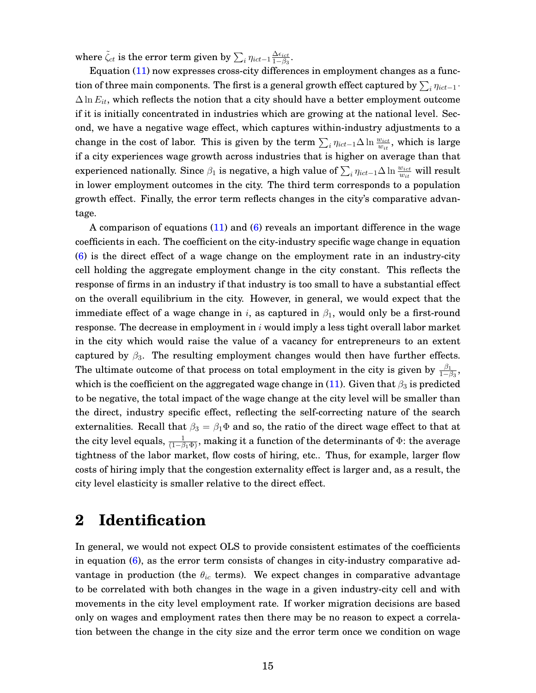where  $\tilde\zeta_{ct}$  is the error term given by  $\sum_i \eta_{ict-1} \frac{\Delta\epsilon_{ict}}{1-\beta_3}$  $\frac{\Delta \epsilon_{ict}}{1-\beta_3}$ .

Equation [\(11\)](#page-14-2) now expresses cross-city differences in employment changes as a function of three main components. The first is a general growth effect captured by  $\sum_i \eta_{ict-1}\cdot$  $\Delta \ln E_{it}$ , which reflects the notion that a city should have a better employment outcome if it is initially concentrated in industries which are growing at the national level. Second, we have a negative wage effect, which captures within-industry adjustments to a change in the cost of labor. This is given by the term  $\sum_i \eta_{ict-1} \Delta \ln \frac{w_{ict}}{w_{it}}$ , which is large if a city experiences wage growth across industries that is higher on average than that experienced nationally. Since  $\beta_1$  is negative, a high value of  $\sum_i \eta_{ict-1}\Delta \ln\frac{w_{ict}}{w_{it}}$  will result in lower employment outcomes in the city. The third term corresponds to a population growth effect. Finally, the error term reflects changes in the city's comparative advantage.

A comparison of equations [\(11\)](#page-14-2) and [\(6\)](#page-12-1) reveals an important difference in the wage coefficients in each. The coefficient on the city-industry specific wage change in equation [\(6\)](#page-12-1) is the direct effect of a wage change on the employment rate in an industry-city cell holding the aggregate employment change in the city constant. This reflects the response of firms in an industry if that industry is too small to have a substantial effect on the overall equilibrium in the city. However, in general, we would expect that the immediate effect of a wage change in i, as captured in  $\beta_1$ , would only be a first-round response. The decrease in employment in  $i$  would imply a less tight overall labor market in the city which would raise the value of a vacancy for entrepreneurs to an extent captured by  $\beta_3$ . The resulting employment changes would then have further effects. The ultimate outcome of that process on total employment in the city is given by  $\frac{\beta_1}{1-\beta_3},$ which is the coefficient on the aggregated wage change in [\(11\)](#page-14-2). Given that  $\beta_3$  is predicted to be negative, the total impact of the wage change at the city level will be smaller than the direct, industry specific effect, reflecting the self-correcting nature of the search externalities. Recall that  $\beta_3 = \beta_1 \Phi$  and so, the ratio of the direct wage effect to that at the city level equals,  $\frac{1}{(1-\beta_1\Phi)},$  making it a function of the determinants of  $\Phi$ : the average tightness of the labor market, flow costs of hiring, etc.. Thus, for example, larger flow costs of hiring imply that the congestion externality effect is larger and, as a result, the city level elasticity is smaller relative to the direct effect.

### <span id="page-15-0"></span>**2 Identification**

In general, we would not expect OLS to provide consistent estimates of the coefficients in equation  $(6)$ , as the error term consists of changes in city-industry comparative advantage in production (the  $\theta_{ic}$  terms). We expect changes in comparative advantage to be correlated with both changes in the wage in a given industry-city cell and with movements in the city level employment rate. If worker migration decisions are based only on wages and employment rates then there may be no reason to expect a correlation between the change in the city size and the error term once we condition on wage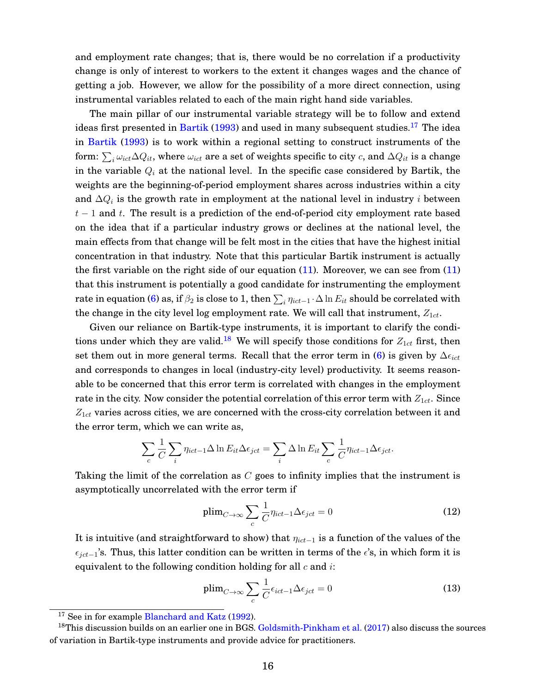and employment rate changes; that is, there would be no correlation if a productivity change is only of interest to workers to the extent it changes wages and the chance of getting a job. However, we allow for the possibility of a more direct connection, using instrumental variables related to each of the main right hand side variables.

The main pillar of our instrumental variable strategy will be to follow and extend ideas first presented in [Bartik](#page-39-1) [\(1993\)](#page-39-1) and used in many subsequent studies.<sup>[17](#page-16-0)</sup> The idea in [Bartik](#page-39-1) [\(1993\)](#page-39-1) is to work within a regional setting to construct instruments of the form:  $\sum_i\omega_{ict}\Delta Q_{it}$ , where  $\omega_{ict}$  are a set of weights specific to city  $c$ , and  $\Delta Q_{it}$  is a change in the variable  $Q_i$  at the national level. In the specific case considered by Bartik, the weights are the beginning-of-period employment shares across industries within a city and  $\Delta Q_i$  is the growth rate in employment at the national level in industry *i* between  $t-1$  and t. The result is a prediction of the end-of-period city employment rate based on the idea that if a particular industry grows or declines at the national level, the main effects from that change will be felt most in the cities that have the highest initial concentration in that industry. Note that this particular Bartik instrument is actually the first variable on the right side of our equation  $(11)$ . Moreover, we can see from  $(11)$ that this instrument is potentially a good candidate for instrumenting the employment rate in equation [\(6\)](#page-12-1) as, if  $\beta_2$  is close to 1, then  $\sum_i \eta_{ict-1}\!\cdot\!\Delta\ln E_{it}$  should be correlated with the change in the city level log employment rate. We will call that instrument,  $Z_{1ct}$ .

Given our reliance on Bartik-type instruments, it is important to clarify the condi-tions under which they are valid.<sup>[18](#page-16-1)</sup> We will specify those conditions for  $Z_{1ct}$  first, then set them out in more general terms. Recall that the error term in [\(6\)](#page-12-1) is given by  $\Delta \epsilon_{ict}$ and corresponds to changes in local (industry-city level) productivity. It seems reasonable to be concerned that this error term is correlated with changes in the employment rate in the city. Now consider the potential correlation of this error term with  $Z_{1ct}$ . Since  $Z_{1ct}$  varies across cities, we are concerned with the cross-city correlation between it and the error term, which we can write as,

$$
\sum_{c} \frac{1}{C} \sum_{i} \eta_{ict-1} \Delta \ln E_{it} \Delta \epsilon_{ict} = \sum_{i} \Delta \ln E_{it} \sum_{c} \frac{1}{C} \eta_{ict-1} \Delta \epsilon_{ict}.
$$

Taking the limit of the correlation as  $C$  goes to infinity implies that the instrument is asymptotically uncorrelated with the error term if

$$
\text{plim}_{C \to \infty} \sum_{c} \frac{1}{C} \eta_{ict-1} \Delta \epsilon_{jct} = 0 \tag{12}
$$

It is intuitive (and straightforward to show) that  $\eta_{ict-1}$  is a function of the values of the  $\epsilon_{jet-1}$ 's. Thus, this latter condition can be written in terms of the  $\epsilon$ 's, in which form it is equivalent to the following condition holding for all  $c$  and  $i$ :

<span id="page-16-2"></span>
$$
\text{plim}_{C \to \infty} \sum_{c} \frac{1}{C} \epsilon_{ict-1} \Delta \epsilon_{jct} = 0 \tag{13}
$$

<span id="page-16-1"></span><span id="page-16-0"></span><sup>&</sup>lt;sup>17</sup> See in for example [Blanchard and Katz](#page-40-1) [\(1992\)](#page-40-1).

<sup>&</sup>lt;sup>18</sup>This discussion builds on an earlier one in BGS. [Goldsmith-Pinkham et al.](#page-41-7)  $(2017)$  also discuss the sources of variation in Bartik-type instruments and provide advice for practitioners.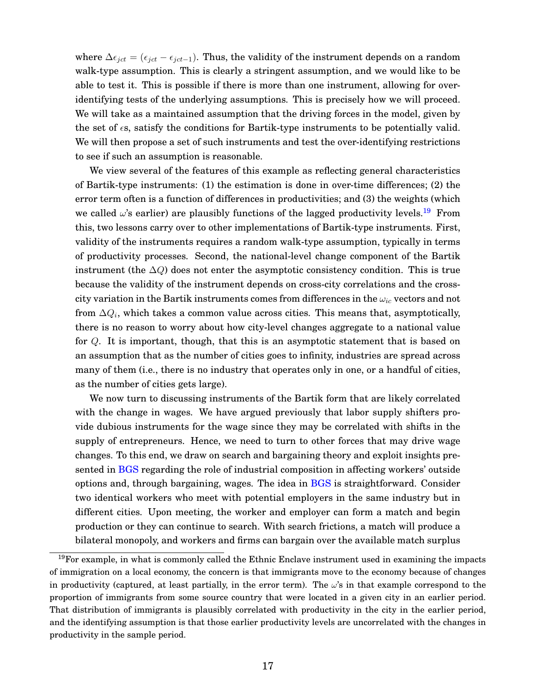where  $\Delta \epsilon_{jet} = (\epsilon_{jet} - \epsilon_{jet-1})$ . Thus, the validity of the instrument depends on a random walk-type assumption. This is clearly a stringent assumption, and we would like to be able to test it. This is possible if there is more than one instrument, allowing for overidentifying tests of the underlying assumptions. This is precisely how we will proceed. We will take as a maintained assumption that the driving forces in the model, given by the set of  $\epsilon$ s, satisfy the conditions for Bartik-type instruments to be potentially valid. We will then propose a set of such instruments and test the over-identifying restrictions to see if such an assumption is reasonable.

We view several of the features of this example as reflecting general characteristics of Bartik-type instruments: (1) the estimation is done in over-time differences; (2) the error term often is a function of differences in productivities; and (3) the weights (which we called  $\omega$ 's earlier) are plausibly functions of the lagged productivity levels.<sup>[19](#page-17-0)</sup> From this, two lessons carry over to other implementations of Bartik-type instruments. First, validity of the instruments requires a random walk-type assumption, typically in terms of productivity processes. Second, the national-level change component of the Bartik instrument (the  $\Delta Q$ ) does not enter the asymptotic consistency condition. This is true because the validity of the instrument depends on cross-city correlations and the crosscity variation in the Bartik instruments comes from differences in the  $\omega_{ic}$  vectors and not from  $\Delta Q_i$ , which takes a common value across cities. This means that, asymptotically, there is no reason to worry about how city-level changes aggregate to a national value for Q. It is important, though, that this is an asymptotic statement that is based on an assumption that as the number of cities goes to infinity, industries are spread across many of them (i.e., there is no industry that operates only in one, or a handful of cities, as the number of cities gets large).

We now turn to discussing instruments of the Bartik form that are likely correlated with the change in wages. We have argued previously that labor supply shifters provide dubious instruments for the wage since they may be correlated with shifts in the supply of entrepreneurs. Hence, we need to turn to other forces that may drive wage changes. To this end, we draw on search and bargaining theory and exploit insights presented in [BGS](#page-39-3) regarding the role of industrial composition in affecting workers' outside options and, through bargaining, wages. The idea in [BGS](#page-39-3) is straightforward. Consider two identical workers who meet with potential employers in the same industry but in different cities. Upon meeting, the worker and employer can form a match and begin production or they can continue to search. With search frictions, a match will produce a bilateral monopoly, and workers and firms can bargain over the available match surplus

<span id="page-17-0"></span> $19F$ or example, in what is commonly called the Ethnic Enclave instrument used in examining the impacts of immigration on a local economy, the concern is that immigrants move to the economy because of changes in productivity (captured, at least partially, in the error term). The  $\omega$ 's in that example correspond to the proportion of immigrants from some source country that were located in a given city in an earlier period. That distribution of immigrants is plausibly correlated with productivity in the city in the earlier period, and the identifying assumption is that those earlier productivity levels are uncorrelated with the changes in productivity in the sample period.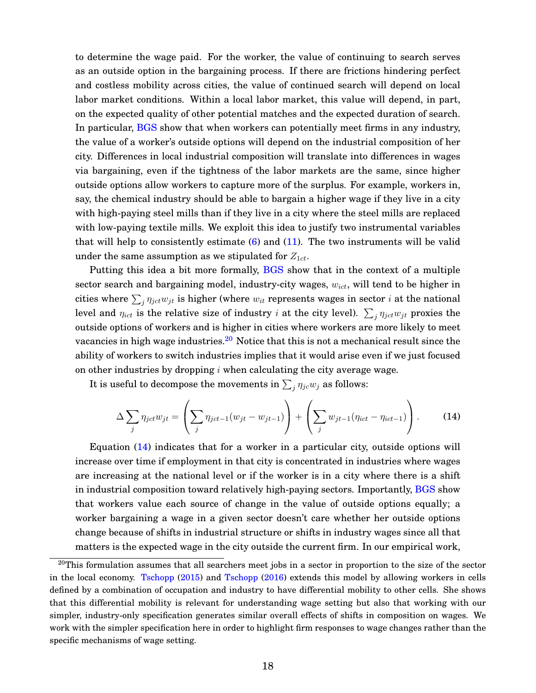to determine the wage paid. For the worker, the value of continuing to search serves as an outside option in the bargaining process. If there are frictions hindering perfect and costless mobility across cities, the value of continued search will depend on local labor market conditions. Within a local labor market, this value will depend, in part, on the expected quality of other potential matches and the expected duration of search. In particular, [BGS](#page-39-3) show that when workers can potentially meet firms in any industry, the value of a worker's outside options will depend on the industrial composition of her city. Differences in local industrial composition will translate into differences in wages via bargaining, even if the tightness of the labor markets are the same, since higher outside options allow workers to capture more of the surplus. For example, workers in, say, the chemical industry should be able to bargain a higher wage if they live in a city with high-paying steel mills than if they live in a city where the steel mills are replaced with low-paying textile mills. We exploit this idea to justify two instrumental variables that will help to consistently estimate  $(6)$  and  $(11)$ . The two instruments will be valid under the same assumption as we stipulated for  $Z_{1ct}$ .

Putting this idea a bit more formally, [BGS](#page-39-3) show that in the context of a multiple sector search and bargaining model, industry-city wages,  $w_{ict}$ , will tend to be higher in cities where  $\sum_j \eta_{jct} w_{jt}$  is higher (where  $w_{it}$  represents wages in sector  $i$  at the national level and  $\eta_{ict}$  is the relative size of industry  $i$  at the city level).  $\sum_j \eta_{jet}w_{jt}$  proxies the outside options of workers and is higher in cities where workers are more likely to meet vacancies in high wage industries.<sup>[20](#page-18-0)</sup> Notice that this is not a mechanical result since the ability of workers to switch industries implies that it would arise even if we just focused on other industries by dropping  $i$  when calculating the city average wage.

It is useful to decompose the movements in  $\sum_j \eta_{jc}w_j$  as follows:

<span id="page-18-1"></span>
$$
\Delta \sum_{j} \eta_{jct} w_{jt} = \left( \sum_{j} \eta_{jct-1}(w_{jt} - w_{jt-1}) \right) + \left( \sum_{j} w_{jt-1}(\eta_{ict} - \eta_{ict-1}) \right). \tag{14}
$$

Equation [\(14\)](#page-18-1) indicates that for a worker in a particular city, outside options will increase over time if employment in that city is concentrated in industries where wages are increasing at the national level or if the worker is in a city where there is a shift in industrial composition toward relatively high-paying sectors. Importantly, [BGS](#page-39-3) show that workers value each source of change in the value of outside options equally; a worker bargaining a wage in a given sector doesn't care whether her outside options change because of shifts in industrial structure or shifts in industry wages since all that matters is the expected wage in the city outside the current firm. In our empirical work,

<span id="page-18-0"></span> $20$ This formulation assumes that all searchers meet jobs in a sector in proportion to the size of the sector in the local economy. [Tschopp](#page-42-0) [\(2015\)](#page-42-0) and [Tschopp](#page-42-1) [\(2016\)](#page-42-1) extends this model by allowing workers in cells defined by a combination of occupation and industry to have differential mobility to other cells. She shows that this differential mobility is relevant for understanding wage setting but also that working with our simpler, industry-only specification generates similar overall effects of shifts in composition on wages. We work with the simpler specification here in order to highlight firm responses to wage changes rather than the specific mechanisms of wage setting.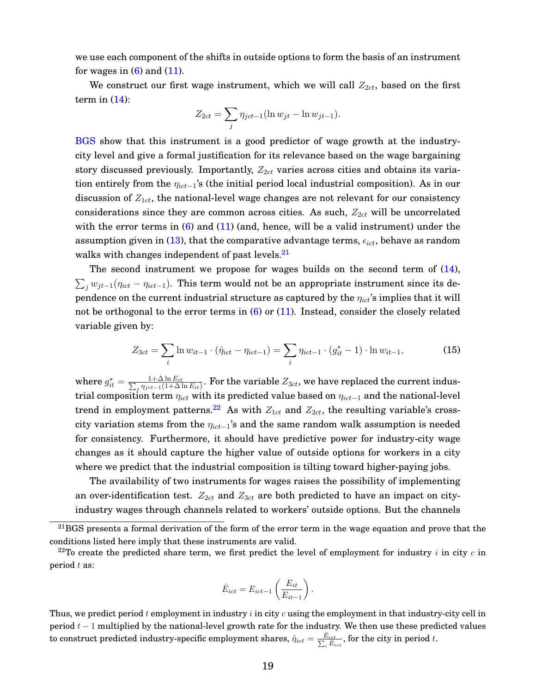we use each component of the shifts in outside options to form the basis of an instrument for wages in  $(6)$  and  $(11)$ .

We construct our first wage instrument, which we will call  $Z_{2ct}$ , based on the first term in  $(14)$ :

$$
Z_{2ct} = \sum_{j} \eta_{jct-1} (\ln w_{jt} - \ln w_{jt-1}).
$$

[BGS](#page-39-3) show that this instrument is a good predictor of wage growth at the industrycity level and give a formal justification for its relevance based on the wage bargaining story discussed previously. Importantly,  $Z_{2ct}$  varies across cities and obtains its variation entirely from the  $\eta_{ict-1}$ 's (the initial period local industrial composition). As in our discussion of  $Z_{1ct}$ , the national-level wage changes are not relevant for our consistency considerations since they are common across cities. As such,  $Z_{2ct}$  will be uncorrelated with the error terms in  $(6)$  and  $(11)$  (and, hence, will be a valid instrument) under the assumption given in [\(13\)](#page-16-2), that the comparative advantage terms,  $\epsilon_{ict}$ , behave as random walks with changes independent of past levels.<sup>[21](#page-19-0)</sup>

The second instrument we propose for wages builds on the second term of [\(14\)](#page-18-1),  $\sum_j w_{jt-1}(\eta_{ict}-\eta_{ict-1})$ . This term would not be an appropriate instrument since its dependence on the current industrial structure as captured by the  $\eta_{ict}$ 's implies that it will not be orthogonal to the error terms in  $(6)$  or  $(11)$ . Instead, consider the closely related variable given by:

$$
Z_{3ct} = \sum_{i} \ln w_{it-1} \cdot (\hat{\eta}_{ict} - \eta_{ict-1}) = \sum_{i} \eta_{ict-1} \cdot (g_{it}^{*} - 1) \cdot \ln w_{it-1},
$$
 (15)

where  $g_{it}^* = \frac{1+\Delta\ln E_{it}}{\sum_i \eta_{ict-1}(1+\Delta)}$  $\frac{1+\Delta\ln E_{it}}{j\,\eta_{jet-1}(1+\Delta\ln E_{it})}.$  For the variable  $Z_{3ct},$  we have replaced the current industrial composition term  $\eta_{ict}$  with its predicted value based on  $\eta_{ict-1}$  and the national-level trend in employment patterns.<sup>[22](#page-19-1)</sup> As with  $Z_{1ct}$  and  $Z_{2ct}$ , the resulting variable's crosscity variation stems from the  $\eta_{ict-1}$ 's and the same random walk assumption is needed for consistency. Furthermore, it should have predictive power for industry-city wage changes as it should capture the higher value of outside options for workers in a city where we predict that the industrial composition is tilting toward higher-paying jobs.

The availability of two instruments for wages raises the possibility of implementing an over-identification test.  $Z_{2ct}$  and  $Z_{3ct}$  are both predicted to have an impact on cityindustry wages through channels related to workers' outside options. But the channels

$$
\hat{E}_{ict} = E_{ict-1} \left( \frac{E_{it}}{E_{it-1}} \right).
$$

Thus, we predict period t employment in industry i in city c using the employment in that industry-city cell in period  $t - 1$  multiplied by the national-level growth rate for the industry. We then use these predicted values to construct predicted industry-specific employment shares,  $\hat{\eta}_{ict} = \frac{\hat{E}_{ict}}{\sum_i \hat{E}_{ict}}$ , for the city in period  $t.$ 

<span id="page-19-0"></span> $^{21}$ BGS presents a formal derivation of the form of the error term in the wage equation and prove that the conditions listed here imply that these instruments are valid.

<span id="page-19-1"></span><sup>&</sup>lt;sup>22</sup>To create the predicted share term, we first predict the level of employment for industry i in city c in period t as: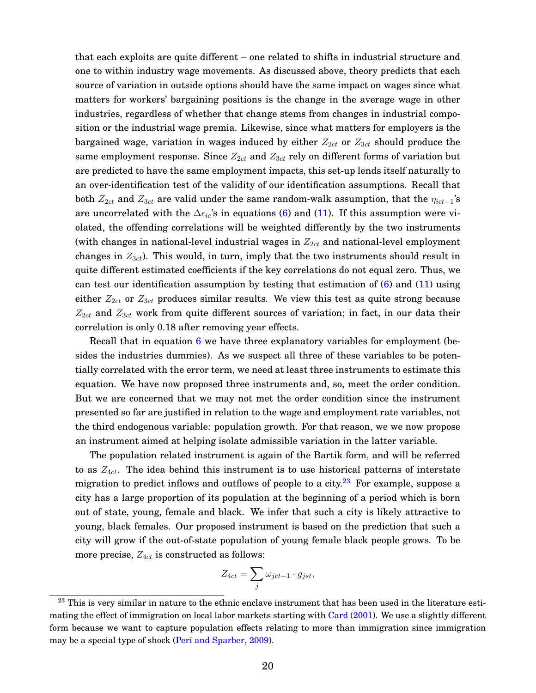that each exploits are quite different – one related to shifts in industrial structure and one to within industry wage movements. As discussed above, theory predicts that each source of variation in outside options should have the same impact on wages since what matters for workers' bargaining positions is the change in the average wage in other industries, regardless of whether that change stems from changes in industrial composition or the industrial wage premia. Likewise, since what matters for employers is the bargained wage, variation in wages induced by either  $Z_{2ct}$  or  $Z_{3ct}$  should produce the same employment response. Since  $Z_{2ct}$  and  $Z_{3ct}$  rely on different forms of variation but are predicted to have the same employment impacts, this set-up lends itself naturally to an over-identification test of the validity of our identification assumptions. Recall that both  $Z_{2ct}$  and  $Z_{3ct}$  are valid under the same random-walk assumption, that the  $\eta_{ict-1}$ 's are uncorrelated with the  $\Delta \epsilon_{ic}$ 's in equations [\(6\)](#page-12-1) and [\(11\)](#page-14-2). If this assumption were violated, the offending correlations will be weighted differently by the two instruments (with changes in national-level industrial wages in  $Z_{2ct}$  and national-level employment changes in  $Z_{3ct}$ ). This would, in turn, imply that the two instruments should result in quite different estimated coefficients if the key correlations do not equal zero. Thus, we can test our identification assumption by testing that estimation of  $(6)$  and  $(11)$  using either  $Z_{2ct}$  or  $Z_{3ct}$  produces similar results. We view this test as quite strong because  $Z_{2ct}$  and  $Z_{3ct}$  work from quite different sources of variation; in fact, in our data their correlation is only 0.18 after removing year effects.

Recall that in equation [6](#page-12-1) we have three explanatory variables for employment (besides the industries dummies). As we suspect all three of these variables to be potentially correlated with the error term, we need at least three instruments to estimate this equation. We have now proposed three instruments and, so, meet the order condition. But we are concerned that we may not met the order condition since the instrument presented so far are justified in relation to the wage and employment rate variables, not the third endogenous variable: population growth. For that reason, we we now propose an instrument aimed at helping isolate admissible variation in the latter variable.

The population related instrument is again of the Bartik form, and will be referred to as  $Z_{4ct}$ . The idea behind this instrument is to use historical patterns of interstate migration to predict inflows and outflows of people to a city.<sup>[23](#page-20-0)</sup> For example, suppose a city has a large proportion of its population at the beginning of a period which is born out of state, young, female and black. We infer that such a city is likely attractive to young, black females. Our proposed instrument is based on the prediction that such a city will grow if the out-of-state population of young female black people grows. To be more precise,  $Z_{4ct}$  is constructed as follows:

$$
Z_{4ct} = \sum_{j} \omega_{jct-1} \cdot g_{jst},
$$

<span id="page-20-0"></span><sup>&</sup>lt;sup>23</sup> This is very similar in nature to the ethnic enclave instrument that has been used in the literature estimating the effect of immigration on local labor markets starting with [Card](#page-40-8) [\(2001\)](#page-40-8). We use a slightly different form because we want to capture population effects relating to more than immigration since immigration may be a special type of shock [\(Peri and Sparber,](#page-42-2) [2009\)](#page-42-2).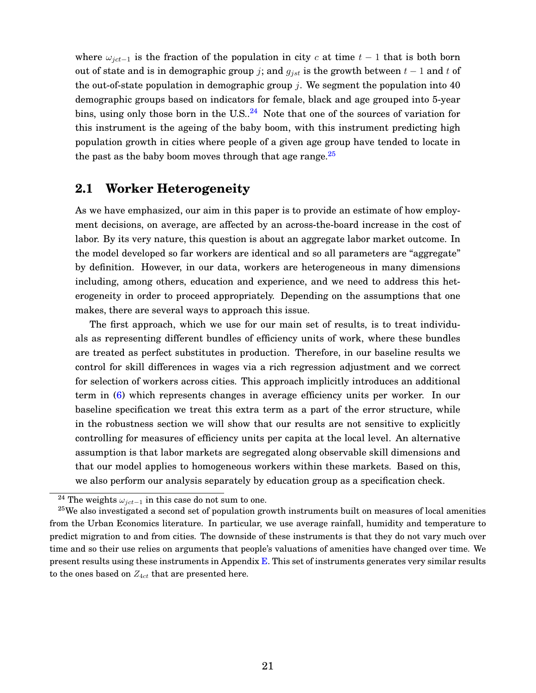where  $\omega_{jct-1}$  is the fraction of the population in city c at time  $t-1$  that is both born out of state and is in demographic group j; and  $g_{jst}$  is the growth between  $t-1$  and t of the out-of-state population in demographic group  $j$ . We segment the population into  $40$ demographic groups based on indicators for female, black and age grouped into 5-year bins, using only those born in the U.S.. $^{24}$  $^{24}$  $^{24}$  Note that one of the sources of variation for this instrument is the ageing of the baby boom, with this instrument predicting high population growth in cities where people of a given age group have tended to locate in the past as the baby boom moves through that age range.<sup>[25](#page-21-2)</sup>

#### <span id="page-21-0"></span>**2.1 Worker Heterogeneity**

As we have emphasized, our aim in this paper is to provide an estimate of how employment decisions, on average, are affected by an across-the-board increase in the cost of labor. By its very nature, this question is about an aggregate labor market outcome. In the model developed so far workers are identical and so all parameters are "aggregate" by definition. However, in our data, workers are heterogeneous in many dimensions including, among others, education and experience, and we need to address this heterogeneity in order to proceed appropriately. Depending on the assumptions that one makes, there are several ways to approach this issue.

The first approach, which we use for our main set of results, is to treat individuals as representing different bundles of efficiency units of work, where these bundles are treated as perfect substitutes in production. Therefore, in our baseline results we control for skill differences in wages via a rich regression adjustment and we correct for selection of workers across cities. This approach implicitly introduces an additional term in [\(6\)](#page-12-1) which represents changes in average efficiency units per worker. In our baseline specification we treat this extra term as a part of the error structure, while in the robustness section we will show that our results are not sensitive to explicitly controlling for measures of efficiency units per capita at the local level. An alternative assumption is that labor markets are segregated along observable skill dimensions and that our model applies to homogeneous workers within these markets. Based on this, we also perform our analysis separately by education group as a specification check.

<span id="page-21-2"></span><span id="page-21-1"></span><sup>&</sup>lt;sup>24</sup> The weights  $\omega_{ict-1}$  in this case do not sum to one.

<sup>&</sup>lt;sup>25</sup>We also investigated a second set of population growth instruments built on measures of local amenities from the Urban Economics literature. In particular, we use average rainfall, humidity and temperature to predict migration to and from cities. The downside of these instruments is that they do not vary much over time and so their use relies on arguments that people's valuations of amenities have changed over time. We present results using these instruments in Appendix  $E$ . This set of instruments generates very similar results to the ones based on  $Z_{4ct}$  that are presented here.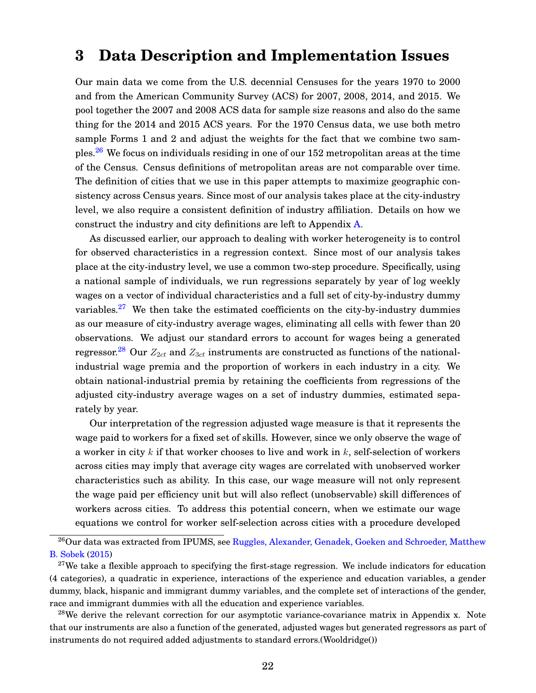## <span id="page-22-0"></span>**3 Data Description and Implementation Issues**

Our main data we come from the U.S. decennial Censuses for the years 1970 to 2000 and from the American Community Survey (ACS) for 2007, 2008, 2014, and 2015. We pool together the 2007 and 2008 ACS data for sample size reasons and also do the same thing for the 2014 and 2015 ACS years. For the 1970 Census data, we use both metro sample Forms 1 and 2 and adjust the weights for the fact that we combine two samples.[26](#page-22-1) We focus on individuals residing in one of our 152 metropolitan areas at the time of the Census. Census definitions of metropolitan areas are not comparable over time. The definition of cities that we use in this paper attempts to maximize geographic consistency across Census years. Since most of our analysis takes place at the city-industry level, we also require a consistent definition of industry affiliation. Details on how we construct the industry and city definitions are left to Appendix [A.](#page-55-0)

As discussed earlier, our approach to dealing with worker heterogeneity is to control for observed characteristics in a regression context. Since most of our analysis takes place at the city-industry level, we use a common two-step procedure. Specifically, using a national sample of individuals, we run regressions separately by year of log weekly wages on a vector of individual characteristics and a full set of city-by-industry dummy variables. $27$  We then take the estimated coefficients on the city-by-industry dummies as our measure of city-industry average wages, eliminating all cells with fewer than 20 observations. We adjust our standard errors to account for wages being a generated regressor.<sup>[28](#page-22-3)</sup> Our  $Z_{2ct}$  and  $Z_{3ct}$  instruments are constructed as functions of the nationalindustrial wage premia and the proportion of workers in each industry in a city. We obtain national-industrial premia by retaining the coefficients from regressions of the adjusted city-industry average wages on a set of industry dummies, estimated separately by year.

Our interpretation of the regression adjusted wage measure is that it represents the wage paid to workers for a fixed set of skills. However, since we only observe the wage of a worker in city k if that worker chooses to live and work in  $k$ , self-selection of workers across cities may imply that average city wages are correlated with unobserved worker characteristics such as ability. In this case, our wage measure will not only represent the wage paid per efficiency unit but will also reflect (unobservable) skill differences of workers across cities. To address this potential concern, when we estimate our wage equations we control for worker self-selection across cities with a procedure developed

<span id="page-22-1"></span><sup>&</sup>lt;sup>26</sup>Our data was extracted from IPUMS, see [Ruggles, Alexander, Genadek, Goeken and Schroeder, Matthew](#page-42-3) [B. Sobek](#page-42-3) [\(2015\)](#page-42-3)

<span id="page-22-2"></span><sup>&</sup>lt;sup>27</sup>We take a flexible approach to specifying the first-stage regression. We include indicators for education (4 categories), a quadratic in experience, interactions of the experience and education variables, a gender dummy, black, hispanic and immigrant dummy variables, and the complete set of interactions of the gender, race and immigrant dummies with all the education and experience variables.

<span id="page-22-3"></span> $28$ We derive the relevant correction for our asymptotic variance-covariance matrix in Appendix x. Note that our instruments are also a function of the generated, adjusted wages but generated regressors as part of instruments do not required added adjustments to standard errors.(Wooldridge())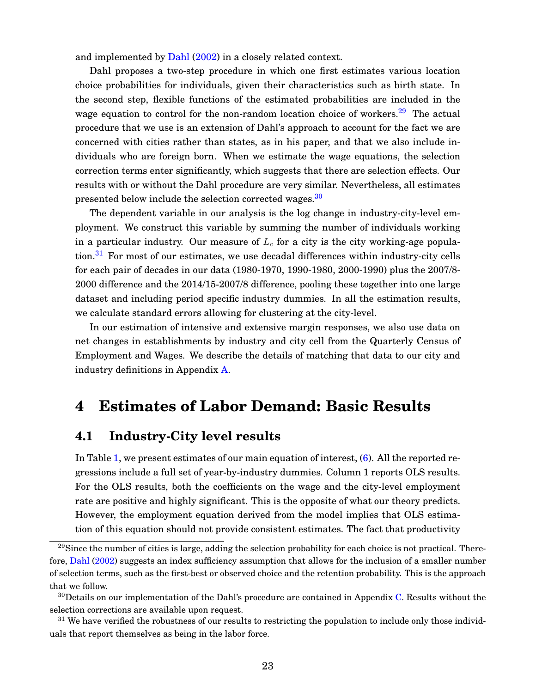and implemented by [Dahl](#page-40-9) [\(2002\)](#page-40-9) in a closely related context.

Dahl proposes a two-step procedure in which one first estimates various location choice probabilities for individuals, given their characteristics such as birth state. In the second step, flexible functions of the estimated probabilities are included in the wage equation to control for the non-random location choice of workers.<sup>[29](#page-23-1)</sup> The actual procedure that we use is an extension of Dahl's approach to account for the fact we are concerned with cities rather than states, as in his paper, and that we also include individuals who are foreign born. When we estimate the wage equations, the selection correction terms enter significantly, which suggests that there are selection effects. Our results with or without the Dahl procedure are very similar. Nevertheless, all estimates presented below include the selection corrected wages.<sup>[30](#page-23-2)</sup>

The dependent variable in our analysis is the log change in industry-city-level employment. We construct this variable by summing the number of individuals working in a particular industry. Our measure of  $L_c$  for a city is the city working-age popula- $\mu$  for most of our estimates, we use decadal differences within industry-city cells for each pair of decades in our data (1980-1970, 1990-1980, 2000-1990) plus the 2007/8- 2000 difference and the 2014/15-2007/8 difference, pooling these together into one large dataset and including period specific industry dummies. In all the estimation results, we calculate standard errors allowing for clustering at the city-level.

In our estimation of intensive and extensive margin responses, we also use data on net changes in establishments by industry and city cell from the Quarterly Census of Employment and Wages. We describe the details of matching that data to our city and industry definitions in Appendix [A.](#page-55-0)

## <span id="page-23-0"></span>**4 Estimates of Labor Demand: Basic Results**

### **4.1 Industry-City level results**

In Table [1,](#page-44-0) we present estimates of our main equation of interest, [\(6\)](#page-12-1). All the reported regressions include a full set of year-by-industry dummies. Column 1 reports OLS results. For the OLS results, both the coefficients on the wage and the city-level employment rate are positive and highly significant. This is the opposite of what our theory predicts. However, the employment equation derived from the model implies that OLS estimation of this equation should not provide consistent estimates. The fact that productivity

<span id="page-23-1"></span> $^{29}$ Since the number of cities is large, adding the selection probability for each choice is not practical. Therefore, [Dahl](#page-40-9) [\(2002\)](#page-40-9) suggests an index sufficiency assumption that allows for the inclusion of a smaller number of selection terms, such as the first-best or observed choice and the retention probability. This is the approach that we follow.

<span id="page-23-2"></span> $30$ Details on our implementation of the Dahl's procedure are contained in Appendix [C.](#page-66-0) Results without the selection corrections are available upon request.

<span id="page-23-3"></span> $31$  We have verified the robustness of our results to restricting the population to include only those individuals that report themselves as being in the labor force.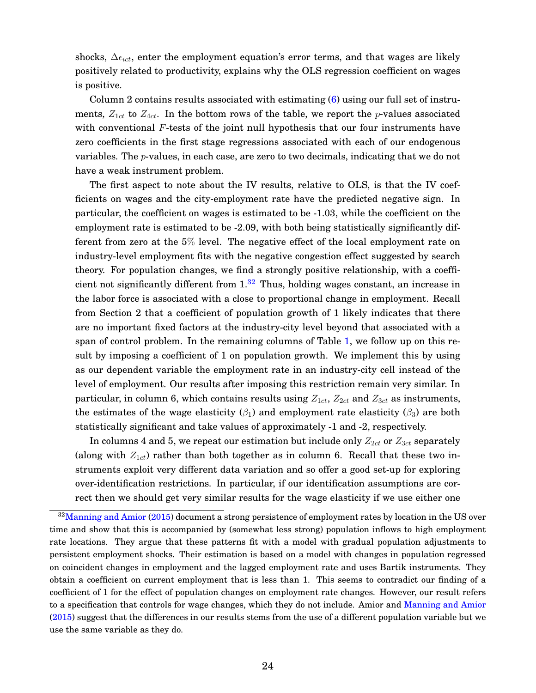shocks,  $\Delta \epsilon_{ict}$ , enter the employment equation's error terms, and that wages are likely positively related to productivity, explains why the OLS regression coefficient on wages is positive.

Column 2 contains results associated with estimating [\(6\)](#page-12-1) using our full set of instruments,  $Z_{1ct}$  to  $Z_{4ct}$ . In the bottom rows of the table, we report the *p*-values associated with conventional F-tests of the joint null hypothesis that our four instruments have zero coefficients in the first stage regressions associated with each of our endogenous variables. The p-values, in each case, are zero to two decimals, indicating that we do not have a weak instrument problem.

The first aspect to note about the IV results, relative to OLS, is that the IV coefficients on wages and the city-employment rate have the predicted negative sign. In particular, the coefficient on wages is estimated to be -1.03, while the coefficient on the employment rate is estimated to be -2.09, with both being statistically significantly different from zero at the 5% level. The negative effect of the local employment rate on industry-level employment fits with the negative congestion effect suggested by search theory. For population changes, we find a strongly positive relationship, with a coefficient not significantly different from  $1<sup>32</sup>$  $1<sup>32</sup>$  $1<sup>32</sup>$  Thus, holding wages constant, an increase in the labor force is associated with a close to proportional change in employment. Recall from Section 2 that a coefficient of population growth of 1 likely indicates that there are no important fixed factors at the industry-city level beyond that associated with a span of control problem. In the remaining columns of Table [1,](#page-44-0) we follow up on this result by imposing a coefficient of 1 on population growth. We implement this by using as our dependent variable the employment rate in an industry-city cell instead of the level of employment. Our results after imposing this restriction remain very similar. In particular, in column 6, which contains results using  $Z_{1ct}$ ,  $Z_{2ct}$  and  $Z_{3ct}$  as instruments, the estimates of the wage elasticity  $(\beta_1)$  and employment rate elasticity  $(\beta_3)$  are both statistically significant and take values of approximately -1 and -2, respectively.

In columns 4 and 5, we repeat our estimation but include only  $Z_{2ct}$  or  $Z_{3ct}$  separately (along with  $Z_{1ct}$ ) rather than both together as in column 6. Recall that these two instruments exploit very different data variation and so offer a good set-up for exploring over-identification restrictions. In particular, if our identification assumptions are correct then we should get very similar results for the wage elasticity if we use either one

<span id="page-24-0"></span> $32$ [Manning and Amior](#page-42-4) [\(2015\)](#page-42-4) document a strong persistence of employment rates by location in the US over time and show that this is accompanied by (somewhat less strong) population inflows to high employment rate locations. They argue that these patterns fit with a model with gradual population adjustments to persistent employment shocks. Their estimation is based on a model with changes in population regressed on coincident changes in employment and the lagged employment rate and uses Bartik instruments. They obtain a coefficient on current employment that is less than 1. This seems to contradict our finding of a coefficient of 1 for the effect of population changes on employment rate changes. However, our result refers to a specification that controls for wage changes, which they do not include. Amior and [Manning and Amior](#page-42-4) [\(2015\)](#page-42-4) suggest that the differences in our results stems from the use of a different population variable but we use the same variable as they do.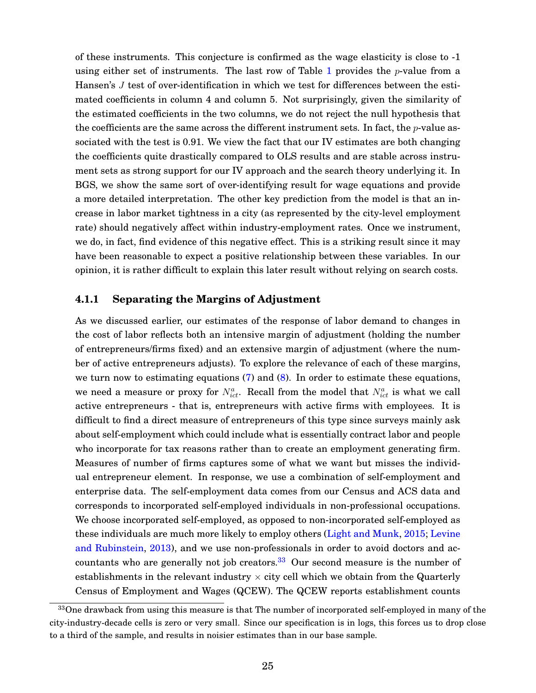of these instruments. This conjecture is confirmed as the wage elasticity is close to -1 using either set of instruments. The last row of Table [1](#page-44-0) provides the  $p$ -value from a Hansen's J test of over-identification in which we test for differences between the estimated coefficients in column 4 and column 5. Not surprisingly, given the similarity of the estimated coefficients in the two columns, we do not reject the null hypothesis that the coefficients are the same across the different instrument sets. In fact, the  $p$ -value associated with the test is 0.91. We view the fact that our IV estimates are both changing the coefficients quite drastically compared to OLS results and are stable across instrument sets as strong support for our IV approach and the search theory underlying it. In BGS, we show the same sort of over-identifying result for wage equations and provide a more detailed interpretation. The other key prediction from the model is that an increase in labor market tightness in a city (as represented by the city-level employment rate) should negatively affect within industry-employment rates. Once we instrument, we do, in fact, find evidence of this negative effect. This is a striking result since it may have been reasonable to expect a positive relationship between these variables. In our opinion, it is rather difficult to explain this later result without relying on search costs.

#### **4.1.1 Separating the Margins of Adjustment**

As we discussed earlier, our estimates of the response of labor demand to changes in the cost of labor reflects both an intensive margin of adjustment (holding the number of entrepreneurs/firms fixed) and an extensive margin of adjustment (where the number of active entrepreneurs adjusts). To explore the relevance of each of these margins, we turn now to estimating equations [\(7\)](#page-13-0) and [\(8\)](#page-13-1). In order to estimate these equations, we need a measure or proxy for  $N_{ict}^a$ . Recall from the model that  $N_{ict}^a$  is what we call active entrepreneurs - that is, entrepreneurs with active firms with employees. It is difficult to find a direct measure of entrepreneurs of this type since surveys mainly ask about self-employment which could include what is essentially contract labor and people who incorporate for tax reasons rather than to create an employment generating firm. Measures of number of firms captures some of what we want but misses the individual entrepreneur element. In response, we use a combination of self-employment and enterprise data. The self-employment data comes from our Census and ACS data and corresponds to incorporated self-employed individuals in non-professional occupations. We choose incorporated self-employed, as opposed to non-incorporated self-employed as these individuals are much more likely to employ others [\(Light and Munk,](#page-41-8) [2015;](#page-41-8) [Levine](#page-41-9) [and Rubinstein,](#page-41-9) [2013\)](#page-41-9), and we use non-professionals in order to avoid doctors and accountants who are generally not job creators. $33$  Our second measure is the number of establishments in the relevant industry  $\times$  city cell which we obtain from the Quarterly Census of Employment and Wages (QCEW). The QCEW reports establishment counts

<span id="page-25-0"></span><sup>&</sup>lt;sup>33</sup>One drawback from using this measure is that The number of incorporated self-employed in many of the city-industry-decade cells is zero or very small. Since our specification is in logs, this forces us to drop close to a third of the sample, and results in noisier estimates than in our base sample.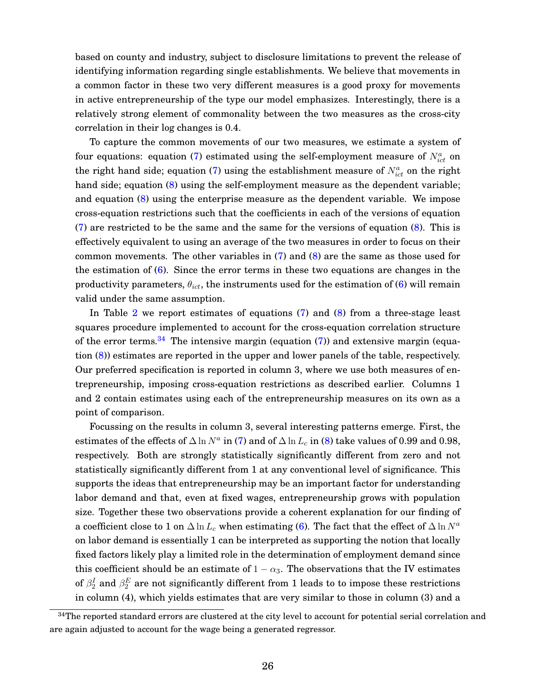based on county and industry, subject to disclosure limitations to prevent the release of identifying information regarding single establishments. We believe that movements in a common factor in these two very different measures is a good proxy for movements in active entrepreneurship of the type our model emphasizes. Interestingly, there is a relatively strong element of commonality between the two measures as the cross-city correlation in their log changes is 0.4.

To capture the common movements of our two measures, we estimate a system of four equations: equation [\(7\)](#page-13-0) estimated using the self-employment measure of  $N_{ict}^{a}$  on the right hand side; equation [\(7\)](#page-13-0) using the establishment measure of  $N_{ict}^a$  on the right hand side; equation [\(8\)](#page-13-1) using the self-employment measure as the dependent variable; and equation [\(8\)](#page-13-1) using the enterprise measure as the dependent variable. We impose cross-equation restrictions such that the coefficients in each of the versions of equation [\(7\)](#page-13-0) are restricted to be the same and the same for the versions of equation [\(8\)](#page-13-1). This is effectively equivalent to using an average of the two measures in order to focus on their common movements. The other variables in [\(7\)](#page-13-0) and [\(8\)](#page-13-1) are the same as those used for the estimation of [\(6\)](#page-12-1). Since the error terms in these two equations are changes in the productivity parameters,  $\theta_{ict}$ , the instruments used for the estimation of [\(6\)](#page-12-1) will remain valid under the same assumption.

In Table [2](#page-45-0) we report estimates of equations [\(7\)](#page-13-0) and [\(8\)](#page-13-1) from a three-stage least squares procedure implemented to account for the cross-equation correlation structure of the error terms.<sup>[34](#page-26-0)</sup> The intensive margin (equation  $(7)$ ) and extensive margin (equation [\(8\)](#page-13-1)) estimates are reported in the upper and lower panels of the table, respectively. Our preferred specification is reported in column 3, where we use both measures of entrepreneurship, imposing cross-equation restrictions as described earlier. Columns 1 and 2 contain estimates using each of the entrepreneurship measures on its own as a point of comparison.

Focussing on the results in column 3, several interesting patterns emerge. First, the estimates of the effects of  $\Delta \ln N^a$  in [\(7\)](#page-13-0) and of  $\Delta \ln L_c$  in [\(8\)](#page-13-1) take values of 0.99 and 0.98, respectively. Both are strongly statistically significantly different from zero and not statistically significantly different from 1 at any conventional level of significance. This supports the ideas that entrepreneurship may be an important factor for understanding labor demand and that, even at fixed wages, entrepreneurship grows with population size. Together these two observations provide a coherent explanation for our finding of a coefficient close to 1 on  $\Delta \ln L_c$  when estimating [\(6\)](#page-12-1). The fact that the effect of  $\Delta \ln N^a$ on labor demand is essentially 1 can be interpreted as supporting the notion that locally fixed factors likely play a limited role in the determination of employment demand since this coefficient should be an estimate of  $1 - \alpha_3$ . The observations that the IV estimates of  $\beta_2^I$  and  $\beta_2^E$  are not significantly different from  $1$  leads to to impose these restrictions in column (4), which yields estimates that are very similar to those in column (3) and a

<span id="page-26-0"></span> $34$ The reported standard errors are clustered at the city level to account for potential serial correlation and are again adjusted to account for the wage being a generated regressor.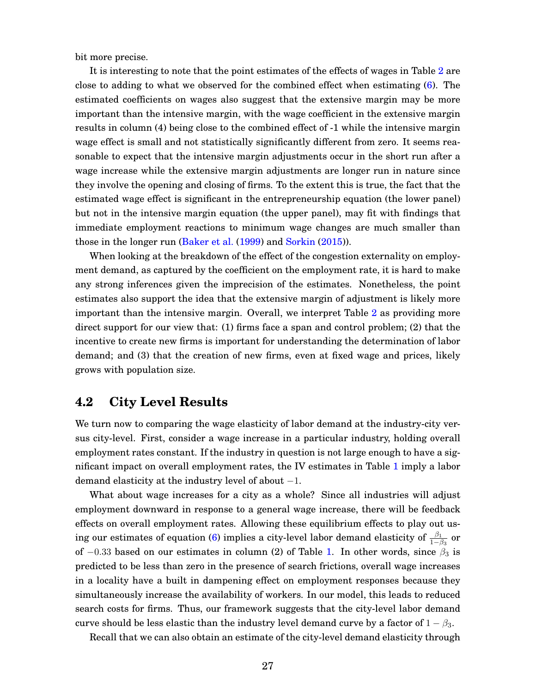bit more precise.

It is interesting to note that the point estimates of the effects of wages in Table [2](#page-45-0) are close to adding to what we observed for the combined effect when estimating [\(6\)](#page-12-1). The estimated coefficients on wages also suggest that the extensive margin may be more important than the intensive margin, with the wage coefficient in the extensive margin results in column (4) being close to the combined effect of -1 while the intensive margin wage effect is small and not statistically significantly different from zero. It seems reasonable to expect that the intensive margin adjustments occur in the short run after a wage increase while the extensive margin adjustments are longer run in nature since they involve the opening and closing of firms. To the extent this is true, the fact that the estimated wage effect is significant in the entrepreneurship equation (the lower panel) but not in the intensive margin equation (the upper panel), may fit with findings that immediate employment reactions to minimum wage changes are much smaller than those in the longer run [\(Baker et al.](#page-39-4) [\(1999\)](#page-39-4) and [Sorkin](#page-42-5) [\(2015\)](#page-42-5)).

When looking at the breakdown of the effect of the congestion externality on employment demand, as captured by the coefficient on the employment rate, it is hard to make any strong inferences given the imprecision of the estimates. Nonetheless, the point estimates also support the idea that the extensive margin of adjustment is likely more important than the intensive margin. Overall, we interpret Table [2](#page-45-0) as providing more direct support for our view that: (1) firms face a span and control problem; (2) that the incentive to create new firms is important for understanding the determination of labor demand; and (3) that the creation of new firms, even at fixed wage and prices, likely grows with population size.

### **4.2 City Level Results**

We turn now to comparing the wage elasticity of labor demand at the industry-city versus city-level. First, consider a wage increase in a particular industry, holding overall employment rates constant. If the industry in question is not large enough to have a significant impact on overall employment rates, the IV estimates in Table [1](#page-44-0) imply a labor demand elasticity at the industry level of about −1.

What about wage increases for a city as a whole? Since all industries will adjust employment downward in response to a general wage increase, there will be feedback effects on overall employment rates. Allowing these equilibrium effects to play out us-ing our estimates of equation [\(6\)](#page-12-1) implies a city-level labor demand elasticity of  $\frac{\beta_1}{1-\beta_3}$  or of  $-0.33$  based on our estimates in column (2) of Table [1.](#page-44-0) In other words, since  $\beta_3$  is predicted to be less than zero in the presence of search frictions, overall wage increases in a locality have a built in dampening effect on employment responses because they simultaneously increase the availability of workers. In our model, this leads to reduced search costs for firms. Thus, our framework suggests that the city-level labor demand curve should be less elastic than the industry level demand curve by a factor of  $1 - \beta_3$ .

Recall that we can also obtain an estimate of the city-level demand elasticity through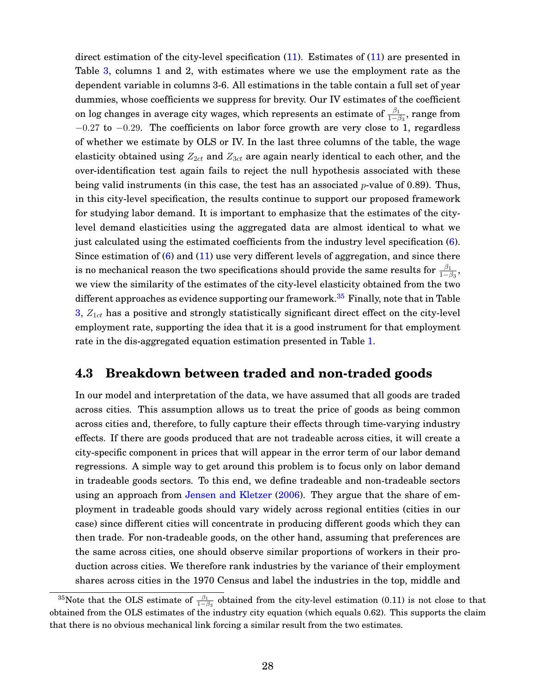direct estimation of the city-level specification [\(11\)](#page-14-2). Estimates of [\(11\)](#page-14-2) are presented in Table [3,](#page-46-0) columns 1 and 2, with estimates where we use the employment rate as the dependent variable in columns 3-6. All estimations in the table contain a full set of year dummies, whose coefficients we suppress for brevity. Our IV estimates of the coefficient on log changes in average city wages, which represents an estimate of  $\frac{\beta_1}{1-\beta_3},$  range from  $-0.27$  to  $-0.29$ . The coefficients on labor force growth are very close to 1, regardless of whether we estimate by OLS or IV. In the last three columns of the table, the wage elasticity obtained using  $Z_{2ct}$  and  $Z_{3ct}$  are again nearly identical to each other, and the over-identification test again fails to reject the null hypothesis associated with these being valid instruments (in this case, the test has an associated  $p$ -value of 0.89). Thus, in this city-level specification, the results continue to support our proposed framework for studying labor demand. It is important to emphasize that the estimates of the citylevel demand elasticities using the aggregated data are almost identical to what we just calculated using the estimated coefficients from the industry level specification [\(6\)](#page-12-1). Since estimation of  $(6)$  and  $(11)$  use very different levels of aggregation, and since there is no mechanical reason the two specifications should provide the same results for  $\frac{\beta_1}{1-\beta_3},$ we view the similarity of the estimates of the city-level elasticity obtained from the two different approaches as evidence supporting our framework.<sup>[35](#page-28-0)</sup> Finally, note that in Table  $3, Z_{1ct}$  $3, Z_{1ct}$  has a positive and strongly statistically significant direct effect on the city-level employment rate, supporting the idea that it is a good instrument for that employment rate in the dis-aggregated equation estimation presented in Table [1.](#page-44-0)

#### **4.3 Breakdown between traded and non-traded goods**

In our model and interpretation of the data, we have assumed that all goods are traded across cities. This assumption allows us to treat the price of goods as being common across cities and, therefore, to fully capture their effects through time-varying industry effects. If there are goods produced that are not tradeable across cities, it will create a city-specific component in prices that will appear in the error term of our labor demand regressions. A simple way to get around this problem is to focus only on labor demand in tradeable goods sectors. To this end, we define tradeable and non-tradeable sectors using an approach from [Jensen and Kletzer](#page-41-10) [\(2006\)](#page-41-10). They argue that the share of employment in tradeable goods should vary widely across regional entities (cities in our case) since different cities will concentrate in producing different goods which they can then trade. For non-tradeable goods, on the other hand, assuming that preferences are the same across cities, one should observe similar proportions of workers in their production across cities. We therefore rank industries by the variance of their employment shares across cities in the 1970 Census and label the industries in the top, middle and

<span id="page-28-0"></span><sup>&</sup>lt;sup>35</sup>Note that the OLS estimate of  $\frac{\beta_1}{1-\beta_3}$  obtained from the city-level estimation (0.11) is not close to that obtained from the OLS estimates of the industry city equation (which equals 0.62). This supports the claim that there is no obvious mechanical link forcing a similar result from the two estimates.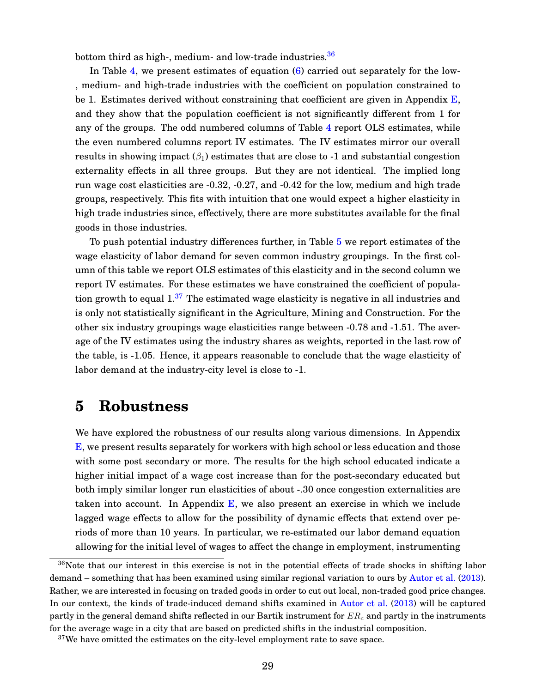bottom third as high-, medium- and low-trade industries.<sup>[36](#page-29-1)</sup>

In Table [4,](#page-47-0) we present estimates of equation [\(6\)](#page-12-1) carried out separately for the low- , medium- and high-trade industries with the coefficient on population constrained to be 1. Estimates derived without constraining that coefficient are given in Appendix  $\overline{E}$ , and they show that the population coefficient is not significantly different from 1 for any of the groups. The odd numbered columns of Table [4](#page-47-0) report OLS estimates, while the even numbered columns report IV estimates. The IV estimates mirror our overall results in showing impact  $(\beta_1)$  estimates that are close to -1 and substantial congestion externality effects in all three groups. But they are not identical. The implied long run wage cost elasticities are -0.32, -0.27, and -0.42 for the low, medium and high trade groups, respectively. This fits with intuition that one would expect a higher elasticity in high trade industries since, effectively, there are more substitutes available for the final goods in those industries.

To push potential industry differences further, in Table [5](#page-48-0) we report estimates of the wage elasticity of labor demand for seven common industry groupings. In the first column of this table we report OLS estimates of this elasticity and in the second column we report IV estimates. For these estimates we have constrained the coefficient of population growth to equal  $1^{37}$  $1^{37}$  $1^{37}$  The estimated wage elasticity is negative in all industries and is only not statistically significant in the Agriculture, Mining and Construction. For the other six industry groupings wage elasticities range between -0.78 and -1.51. The average of the IV estimates using the industry shares as weights, reported in the last row of the table, is -1.05. Hence, it appears reasonable to conclude that the wage elasticity of labor demand at the industry-city level is close to -1.

### <span id="page-29-0"></span>**5 Robustness**

We have explored the robustness of our results along various dimensions. In Appendix [E,](#page-68-0) we present results separately for workers with high school or less education and those with some post secondary or more. The results for the high school educated indicate a higher initial impact of a wage cost increase than for the post-secondary educated but both imply similar longer run elasticities of about -.30 once congestion externalities are taken into account. In Appendix  $E$ , we also present an exercise in which we include lagged wage effects to allow for the possibility of dynamic effects that extend over periods of more than 10 years. In particular, we re-estimated our labor demand equation allowing for the initial level of wages to affect the change in employment, instrumenting

<span id="page-29-1"></span><sup>&</sup>lt;sup>36</sup>Note that our interest in this exercise is not in the potential effects of trade shocks in shifting labor demand – something that has been examined using similar regional variation to ours by [Autor et al.](#page-39-5) [\(2013\)](#page-39-5). Rather, we are interested in focusing on traded goods in order to cut out local, non-traded good price changes. In our context, the kinds of trade-induced demand shifts examined in [Autor et al.](#page-39-5) [\(2013\)](#page-39-5) will be captured partly in the general demand shifts reflected in our Bartik instrument for  $ER<sub>c</sub>$  and partly in the instruments for the average wage in a city that are based on predicted shifts in the industrial composition.

<span id="page-29-2"></span><sup>&</sup>lt;sup>37</sup>We have omitted the estimates on the city-level employment rate to save space.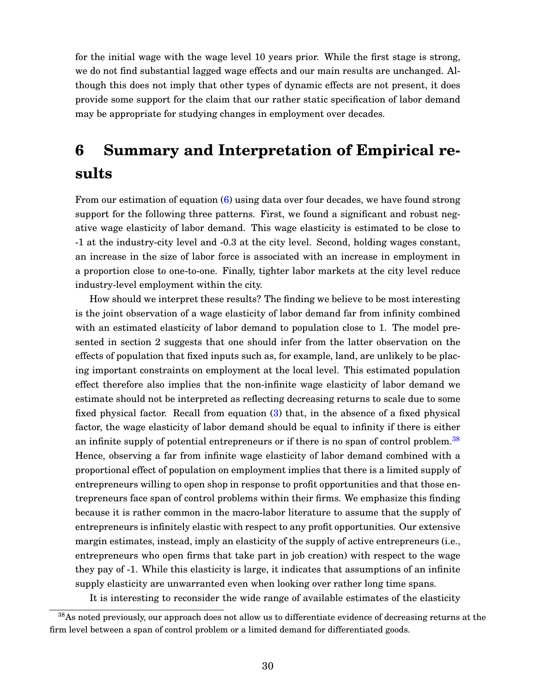for the initial wage with the wage level 10 years prior. While the first stage is strong, we do not find substantial lagged wage effects and our main results are unchanged. Although this does not imply that other types of dynamic effects are not present, it does provide some support for the claim that our rather static specification of labor demand may be appropriate for studying changes in employment over decades.

# <span id="page-30-0"></span>**6 Summary and Interpretation of Empirical results**

From our estimation of equation [\(6\)](#page-12-1) using data over four decades, we have found strong support for the following three patterns. First, we found a significant and robust negative wage elasticity of labor demand. This wage elasticity is estimated to be close to -1 at the industry-city level and -0.3 at the city level. Second, holding wages constant, an increase in the size of labor force is associated with an increase in employment in a proportion close to one-to-one. Finally, tighter labor markets at the city level reduce industry-level employment within the city.

How should we interpret these results? The finding we believe to be most interesting is the joint observation of a wage elasticity of labor demand far from infinity combined with an estimated elasticity of labor demand to population close to 1. The model presented in section 2 suggests that one should infer from the latter observation on the effects of population that fixed inputs such as, for example, land, are unlikely to be placing important constraints on employment at the local level. This estimated population effect therefore also implies that the non-infinite wage elasticity of labor demand we estimate should not be interpreted as reflecting decreasing returns to scale due to some fixed physical factor. Recall from equation [\(3\)](#page-8-2) that, in the absence of a fixed physical factor, the wage elasticity of labor demand should be equal to infinity if there is either an infinite supply of potential entrepreneurs or if there is no span of control problem.<sup>[38](#page-30-1)</sup> Hence, observing a far from infinite wage elasticity of labor demand combined with a proportional effect of population on employment implies that there is a limited supply of entrepreneurs willing to open shop in response to profit opportunities and that those entrepreneurs face span of control problems within their firms. We emphasize this finding because it is rather common in the macro-labor literature to assume that the supply of entrepreneurs is infinitely elastic with respect to any profit opportunities. Our extensive margin estimates, instead, imply an elasticity of the supply of active entrepreneurs (i.e., entrepreneurs who open firms that take part in job creation) with respect to the wage they pay of -1. While this elasticity is large, it indicates that assumptions of an infinite supply elasticity are unwarranted even when looking over rather long time spans.

It is interesting to reconsider the wide range of available estimates of the elasticity

<span id="page-30-1"></span><sup>&</sup>lt;sup>38</sup>As noted previously, our approach does not allow us to differentiate evidence of decreasing returns at the firm level between a span of control problem or a limited demand for differentiated goods.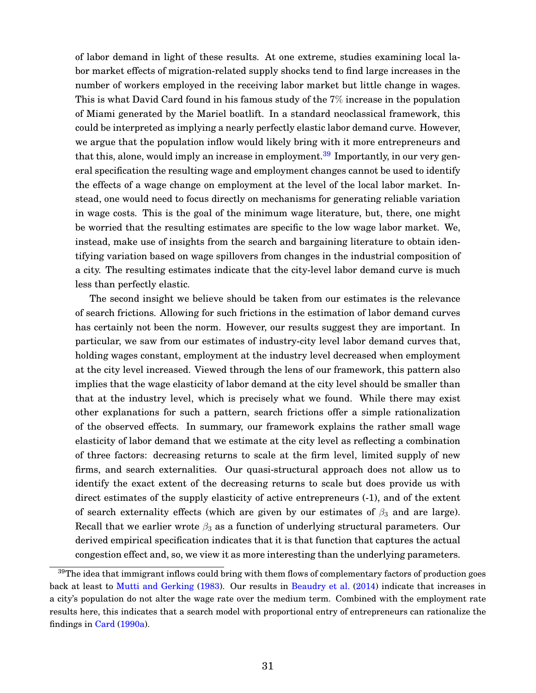of labor demand in light of these results. At one extreme, studies examining local labor market effects of migration-related supply shocks tend to find large increases in the number of workers employed in the receiving labor market but little change in wages. This is what David Card found in his famous study of the 7% increase in the population of Miami generated by the Mariel boatlift. In a standard neoclassical framework, this could be interpreted as implying a nearly perfectly elastic labor demand curve. However, we argue that the population inflow would likely bring with it more entrepreneurs and that this, alone, would imply an increase in employment.<sup>[39](#page-31-0)</sup> Importantly, in our very general specification the resulting wage and employment changes cannot be used to identify the effects of a wage change on employment at the level of the local labor market. Instead, one would need to focus directly on mechanisms for generating reliable variation in wage costs. This is the goal of the minimum wage literature, but, there, one might be worried that the resulting estimates are specific to the low wage labor market. We, instead, make use of insights from the search and bargaining literature to obtain identifying variation based on wage spillovers from changes in the industrial composition of a city. The resulting estimates indicate that the city-level labor demand curve is much less than perfectly elastic.

The second insight we believe should be taken from our estimates is the relevance of search frictions. Allowing for such frictions in the estimation of labor demand curves has certainly not been the norm. However, our results suggest they are important. In particular, we saw from our estimates of industry-city level labor demand curves that, holding wages constant, employment at the industry level decreased when employment at the city level increased. Viewed through the lens of our framework, this pattern also implies that the wage elasticity of labor demand at the city level should be smaller than that at the industry level, which is precisely what we found. While there may exist other explanations for such a pattern, search frictions offer a simple rationalization of the observed effects. In summary, our framework explains the rather small wage elasticity of labor demand that we estimate at the city level as reflecting a combination of three factors: decreasing returns to scale at the firm level, limited supply of new firms, and search externalities. Our quasi-structural approach does not allow us to identify the exact extent of the decreasing returns to scale but does provide us with direct estimates of the supply elasticity of active entrepreneurs (-1), and of the extent of search externality effects (which are given by our estimates of  $\beta_3$  and are large). Recall that we earlier wrote  $\beta_3$  as a function of underlying structural parameters. Our derived empirical specification indicates that it is that function that captures the actual congestion effect and, so, we view it as more interesting than the underlying parameters.

<span id="page-31-0"></span><sup>&</sup>lt;sup>39</sup>The idea that immigrant inflows could bring with them flows of complementary factors of production goes back at least to [Mutti and Gerking](#page-42-6) [\(1983\)](#page-42-6). Our results in [Beaudry et al.](#page-39-6) [\(2014\)](#page-39-6) indicate that increases in a city's population do not alter the wage rate over the medium term. Combined with the employment rate results here, this indicates that a search model with proportional entry of entrepreneurs can rationalize the findings in [Card](#page-40-2) [\(1990a\)](#page-40-2).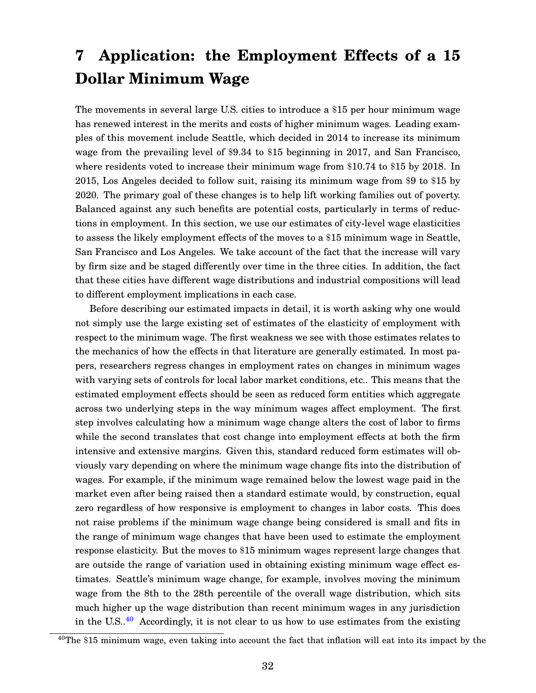# <span id="page-32-0"></span>**7 Application: the Employment Effects of a 15 Dollar Minimum Wage**

The movements in several large U.S. cities to introduce a \$15 per hour minimum wage has renewed interest in the merits and costs of higher minimum wages. Leading examples of this movement include Seattle, which decided in 2014 to increase its minimum wage from the prevailing level of \$9.34 to \$15 beginning in 2017, and San Francisco, where residents voted to increase their minimum wage from \$10.74 to \$15 by 2018. In 2015, Los Angeles decided to follow suit, raising its minimum wage from \$9 to \$15 by 2020. The primary goal of these changes is to help lift working families out of poverty. Balanced against any such benefits are potential costs, particularly in terms of reductions in employment. In this section, we use our estimates of city-level wage elasticities to assess the likely employment effects of the moves to a \$15 minimum wage in Seattle, San Francisco and Los Angeles. We take account of the fact that the increase will vary by firm size and be staged differently over time in the three cities. In addition, the fact that these cities have different wage distributions and industrial compositions will lead to different employment implications in each case.

Before describing our estimated impacts in detail, it is worth asking why one would not simply use the large existing set of estimates of the elasticity of employment with respect to the minimum wage. The first weakness we see with those estimates relates to the mechanics of how the effects in that literature are generally estimated. In most papers, researchers regress changes in employment rates on changes in minimum wages with varying sets of controls for local labor market conditions, etc.. This means that the estimated employment effects should be seen as reduced form entities which aggregate across two underlying steps in the way minimum wages affect employment. The first step involves calculating how a minimum wage change alters the cost of labor to firms while the second translates that cost change into employment effects at both the firm intensive and extensive margins. Given this, standard reduced form estimates will obviously vary depending on where the minimum wage change fits into the distribution of wages. For example, if the minimum wage remained below the lowest wage paid in the market even after being raised then a standard estimate would, by construction, equal zero regardless of how responsive is employment to changes in labor costs. This does not raise problems if the minimum wage change being considered is small and fits in the range of minimum wage changes that have been used to estimate the employment response elasticity. But the moves to \$15 minimum wages represent large changes that are outside the range of variation used in obtaining existing minimum wage effect estimates. Seattle's minimum wage change, for example, involves moving the minimum wage from the 8th to the 28th percentile of the overall wage distribution, which sits much higher up the wage distribution than recent minimum wages in any jurisdiction in the U.S..<sup>[40](#page-32-1)</sup> Accordingly, it is not clear to us how to use estimates from the existing

<span id="page-32-1"></span> $40$ The \$15 minimum wage, even taking into account the fact that inflation will eat into its impact by the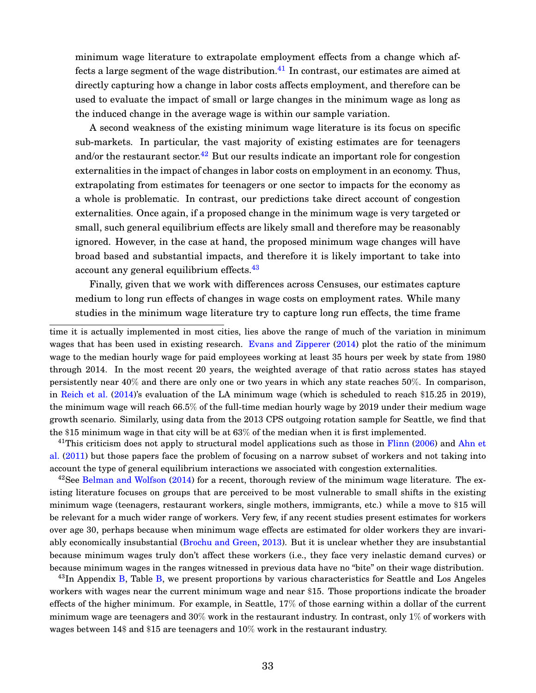minimum wage literature to extrapolate employment effects from a change which af-fects a large segment of the wage distribution.<sup>[41](#page-33-0)</sup> In contrast, our estimates are aimed at directly capturing how a change in labor costs affects employment, and therefore can be used to evaluate the impact of small or large changes in the minimum wage as long as the induced change in the average wage is within our sample variation.

A second weakness of the existing minimum wage literature is its focus on specific sub-markets. In particular, the vast majority of existing estimates are for teenagers and/or the restaurant sector.<sup>[42](#page-33-1)</sup> But our results indicate an important role for congestion externalities in the impact of changes in labor costs on employment in an economy. Thus, extrapolating from estimates for teenagers or one sector to impacts for the economy as a whole is problematic. In contrast, our predictions take direct account of congestion externalities. Once again, if a proposed change in the minimum wage is very targeted or small, such general equilibrium effects are likely small and therefore may be reasonably ignored. However, in the case at hand, the proposed minimum wage changes will have broad based and substantial impacts, and therefore it is likely important to take into account any general equilibrium effects.<sup>[43](#page-33-2)</sup>

Finally, given that we work with differences across Censuses, our estimates capture medium to long run effects of changes in wage costs on employment rates. While many studies in the minimum wage literature try to capture long run effects, the time frame

<span id="page-33-0"></span><sup>41</sup>This criticism does not apply to structural model applications such as those in [Flinn](#page-41-11) [\(2006\)](#page-41-11) and [Ahn et](#page-39-7) [al.](#page-39-7) [\(2011\)](#page-39-7) but those papers face the problem of focusing on a narrow subset of workers and not taking into account the type of general equilibrium interactions we associated with congestion externalities.

<span id="page-33-1"></span> $42$ See [Belman and Wolfson](#page-39-8) [\(2014\)](#page-39-8) for a recent, thorough review of the minimum wage literature. The existing literature focuses on groups that are perceived to be most vulnerable to small shifts in the existing minimum wage (teenagers, restaurant workers, single mothers, immigrants, etc.) while a move to \$15 will be relevant for a much wider range of workers. Very few, if any recent studies present estimates for workers over age 30, perhaps because when minimum wage effects are estimated for older workers they are invariably economically insubstantial [\(Brochu and Green,](#page-40-11) [2013\)](#page-40-11). But it is unclear whether they are insubstantial because minimum wages truly don't affect these workers (i.e., they face very inelastic demand curves) or because minimum wages in the ranges witnessed in previous data have no "bite" on their wage distribution.

<span id="page-33-2"></span> $^{43}$ In Appendix [B,](#page-57-0) Table B, we present proportions by various characteristics for Seattle and Los Angeles workers with wages near the current minimum wage and near \$15. Those proportions indicate the broader effects of the higher minimum. For example, in Seattle, 17% of those earning within a dollar of the current minimum wage are teenagers and 30% work in the restaurant industry. In contrast, only 1% of workers with wages between 14\$ and \$15 are teenagers and 10% work in the restaurant industry.

time it is actually implemented in most cities, lies above the range of much of the variation in minimum wages that has been used in existing research. [Evans and Zipperer](#page-40-10) [\(2014\)](#page-40-10) plot the ratio of the minimum wage to the median hourly wage for paid employees working at least 35 hours per week by state from 1980 through 2014. In the most recent 20 years, the weighted average of that ratio across states has stayed persistently near 40% and there are only one or two years in which any state reaches 50%. In comparison, in [Reich et al.](#page-42-7) [\(2014\)](#page-42-7)'s evaluation of the LA minimum wage (which is scheduled to reach \$15.25 in 2019), the minimum wage will reach 66.5% of the full-time median hourly wage by 2019 under their medium wage growth scenario. Similarly, using data from the 2013 CPS outgoing rotation sample for Seattle, we find that the \$15 minimum wage in that city will be at 63% of the median when it is first implemented.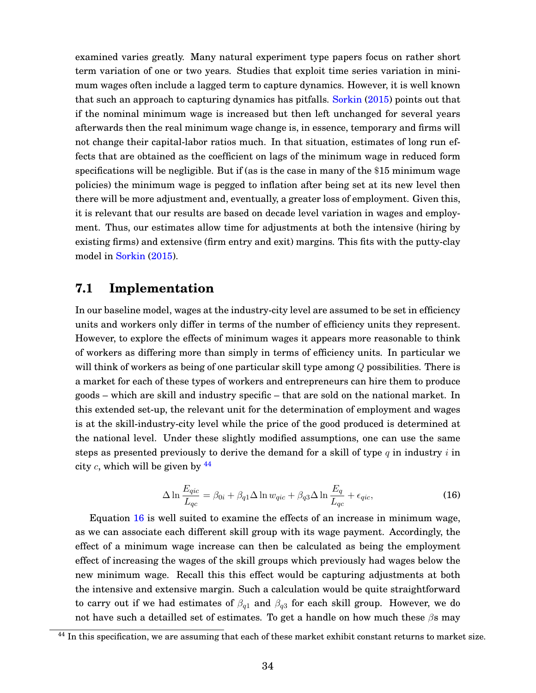examined varies greatly. Many natural experiment type papers focus on rather short term variation of one or two years. Studies that exploit time series variation in minimum wages often include a lagged term to capture dynamics. However, it is well known that such an approach to capturing dynamics has pitfalls. [Sorkin](#page-42-5) [\(2015\)](#page-42-5) points out that if the nominal minimum wage is increased but then left unchanged for several years afterwards then the real minimum wage change is, in essence, temporary and firms will not change their capital-labor ratios much. In that situation, estimates of long run effects that are obtained as the coefficient on lags of the minimum wage in reduced form specifications will be negligible. But if (as is the case in many of the \$15 minimum wage policies) the minimum wage is pegged to inflation after being set at its new level then there will be more adjustment and, eventually, a greater loss of employment. Given this, it is relevant that our results are based on decade level variation in wages and employment. Thus, our estimates allow time for adjustments at both the intensive (hiring by existing firms) and extensive (firm entry and exit) margins. This fits with the putty-clay model in [Sorkin](#page-42-5) [\(2015\)](#page-42-5).

### **7.1 Implementation**

In our baseline model, wages at the industry-city level are assumed to be set in efficiency units and workers only differ in terms of the number of efficiency units they represent. However, to explore the effects of minimum wages it appears more reasonable to think of workers as differing more than simply in terms of efficiency units. In particular we will think of workers as being of one particular skill type among Q possibilities. There is a market for each of these types of workers and entrepreneurs can hire them to produce goods – which are skill and industry specific – that are sold on the national market. In this extended set-up, the relevant unit for the determination of employment and wages is at the skill-industry-city level while the price of the good produced is determined at the national level. Under these slightly modified assumptions, one can use the same steps as presented previously to derive the demand for a skill of type  $q$  in industry i in city c, which will be given by  $44$ 

<span id="page-34-1"></span>
$$
\Delta \ln \frac{E_{qic}}{L_{qc}} = \beta_{0i} + \beta_{q1} \Delta \ln w_{qic} + \beta_{q3} \Delta \ln \frac{E_q}{L_{qc}} + \epsilon_{qic},\tag{16}
$$

Equation [16](#page-34-1) is well suited to examine the effects of an increase in minimum wage, as we can associate each different skill group with its wage payment. Accordingly, the effect of a minimum wage increase can then be calculated as being the employment effect of increasing the wages of the skill groups which previously had wages below the new minimum wage. Recall this this effect would be capturing adjustments at both the intensive and extensive margin. Such a calculation would be quite straightforward to carry out if we had estimates of  $\beta_{q1}$  and  $\beta_{q3}$  for each skill group. However, we do not have such a detailled set of estimates. To get a handle on how much these  $\beta s$  may

<span id="page-34-0"></span><sup>&</sup>lt;sup>44</sup> In this specification, we are assuming that each of these market exhibit constant returns to market size.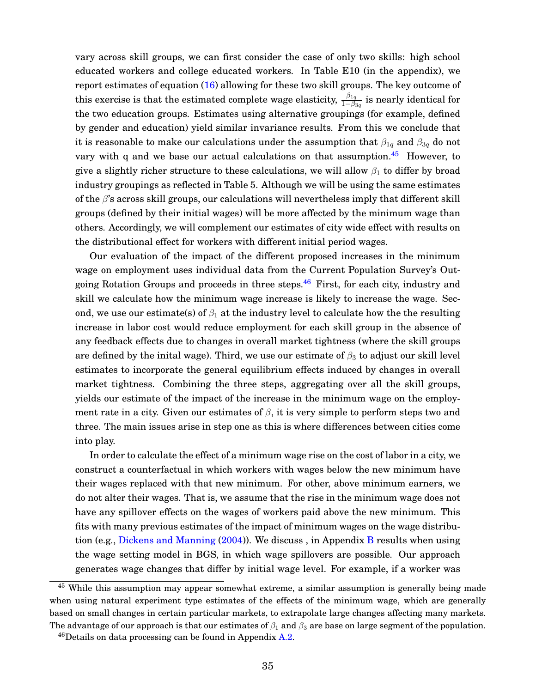vary across skill groups, we can first consider the case of only two skills: high school educated workers and college educated workers. In Table E10 (in the appendix), we report estimates of equation [\(16\)](#page-34-1) allowing for these two skill groups. The key outcome of this exercise is that the estimated complete wage elasticity,  $\frac{\beta_{1q}}{1-\beta_{3q}}$  is nearly identical for the two education groups. Estimates using alternative groupings (for example, defined by gender and education) yield similar invariance results. From this we conclude that it is reasonable to make our calculations under the assumption that  $\beta_{1q}$  and  $\beta_{3q}$  do not vary with q and we base our actual calculations on that assumption. $45$  However, to give a slightly richer structure to these calculations, we will allow  $\beta_1$  to differ by broad industry groupings as reflected in Table 5. Although we will be using the same estimates of the  $\beta$ 's across skill groups, our calculations will nevertheless imply that different skill groups (defined by their initial wages) will be more affected by the minimum wage than others. Accordingly, we will complement our estimates of city wide effect with results on the distributional effect for workers with different initial period wages.

Our evaluation of the impact of the different proposed increases in the minimum wage on employment uses individual data from the Current Population Survey's Outgoing Rotation Groups and proceeds in three steps. $46$  First, for each city, industry and skill we calculate how the minimum wage increase is likely to increase the wage. Second, we use our estimate(s) of  $\beta_1$  at the industry level to calculate how the the resulting increase in labor cost would reduce employment for each skill group in the absence of any feedback effects due to changes in overall market tightness (where the skill groups are defined by the inital wage). Third, we use our estimate of  $\beta_3$  to adjust our skill level estimates to incorporate the general equilibrium effects induced by changes in overall market tightness. Combining the three steps, aggregating over all the skill groups, yields our estimate of the impact of the increase in the minimum wage on the employment rate in a city. Given our estimates of  $\beta$ , it is very simple to perform steps two and three. The main issues arise in step one as this is where differences between cities come into play.

In order to calculate the effect of a minimum wage rise on the cost of labor in a city, we construct a counterfactual in which workers with wages below the new minimum have their wages replaced with that new minimum. For other, above minimum earners, we do not alter their wages. That is, we assume that the rise in the minimum wage does not have any spillover effects on the wages of workers paid above the new minimum. This fits with many previous estimates of the impact of minimum wages on the wage distribution (e.g., [Dickens and Manning](#page-40-12) [\(2004\)](#page-40-12)). We discuss , in Appendix [B](#page-57-0) results when using the wage setting model in BGS, in which wage spillovers are possible. Our approach generates wage changes that differ by initial wage level. For example, if a worker was

<span id="page-35-0"></span><sup>&</sup>lt;sup>45</sup> While this assumption may appear somewhat extreme, a similar assumption is generally being made when using natural experiment type estimates of the effects of the minimum wage, which are generally based on small changes in certain particular markets, to extrapolate large changes affecting many markets. The advantage of our approach is that our estimates of  $\beta_1$  and  $\beta_3$  are base on large segment of the population.

<span id="page-35-1"></span> $46$  Details on data processing can be found in Appendix [A.2.](#page-56-0)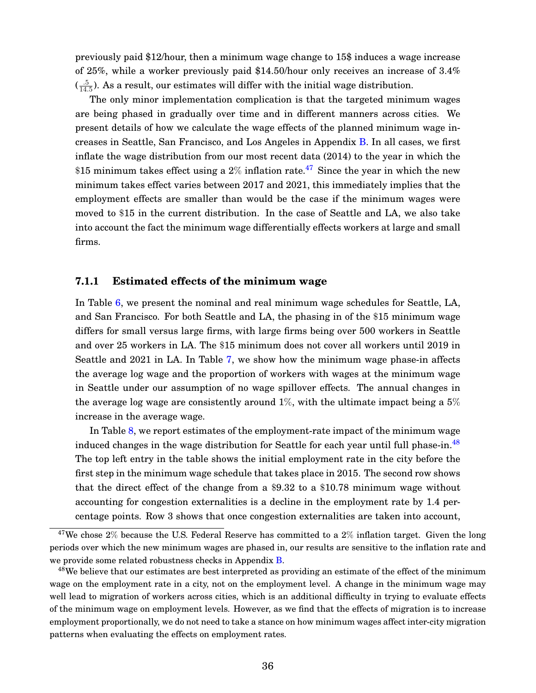previously paid \$12/hour, then a minimum wage change to 15\$ induces a wage increase of 25%, while a worker previously paid \$14.50/hour only receives an increase of 3.4%  $(\frac{.5}{14})$  $\frac{.5}{14.5}$ ). As a result, our estimates will differ with the initial wage distribution.

The only minor implementation complication is that the targeted minimum wages are being phased in gradually over time and in different manners across cities. We present details of how we calculate the wage effects of the planned minimum wage increases in Seattle, San Francisco, and Los Angeles in Appendix [B.](#page-57-0) In all cases, we first inflate the wage distribution from our most recent data (2014) to the year in which the \$15 minimum takes effect using a  $2\%$  inflation rate.<sup>[47](#page-36-0)</sup> Since the year in which the new minimum takes effect varies between 2017 and 2021, this immediately implies that the employment effects are smaller than would be the case if the minimum wages were moved to \$15 in the current distribution. In the case of Seattle and LA, we also take into account the fact the minimum wage differentially effects workers at large and small firms.

#### **7.1.1 Estimated effects of the minimum wage**

In Table [6,](#page-49-0) we present the nominal and real minimum wage schedules for Seattle, LA, and San Francisco. For both Seattle and LA, the phasing in of the \$15 minimum wage differs for small versus large firms, with large firms being over 500 workers in Seattle and over 25 workers in LA. The \$15 minimum does not cover all workers until 2019 in Seattle and 2021 in LA. In Table [7,](#page-50-0) we show how the minimum wage phase-in affects the average log wage and the proportion of workers with wages at the minimum wage in Seattle under our assumption of no wage spillover effects. The annual changes in the average log wage are consistently around  $1\%$ , with the ultimate impact being a  $5\%$ increase in the average wage.

In Table [8,](#page-51-0) we report estimates of the employment-rate impact of the minimum wage induced changes in the wage distribution for Seattle for each year until full phase-in.<sup>[48](#page-36-1)</sup> The top left entry in the table shows the initial employment rate in the city before the first step in the minimum wage schedule that takes place in 2015. The second row shows that the direct effect of the change from a \$9.32 to a \$10.78 minimum wage without accounting for congestion externalities is a decline in the employment rate by 1.4 percentage points. Row 3 shows that once congestion externalities are taken into account,

<span id="page-36-0"></span> $47$ We chose  $2\%$  because the U.S. Federal Reserve has committed to a  $2\%$  inflation target. Given the long periods over which the new minimum wages are phased in, our results are sensitive to the inflation rate and we provide some related robustness checks in Appendix [B.](#page-57-0)

<span id="page-36-1"></span><sup>&</sup>lt;sup>48</sup>We believe that our estimates are best interpreted as providing an estimate of the effect of the minimum wage on the employment rate in a city, not on the employment level. A change in the minimum wage may well lead to migration of workers across cities, which is an additional difficulty in trying to evaluate effects of the minimum wage on employment levels. However, as we find that the effects of migration is to increase employment proportionally, we do not need to take a stance on how minimum wages affect inter-city migration patterns when evaluating the effects on employment rates.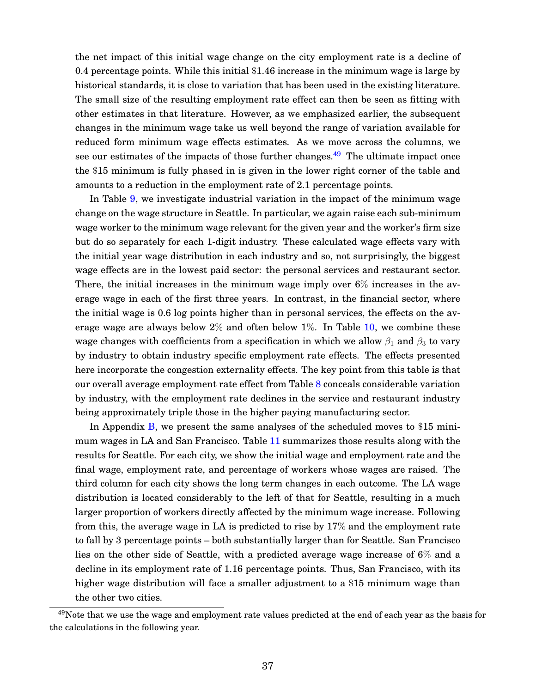the net impact of this initial wage change on the city employment rate is a decline of 0.4 percentage points. While this initial \$1.46 increase in the minimum wage is large by historical standards, it is close to variation that has been used in the existing literature. The small size of the resulting employment rate effect can then be seen as fitting with other estimates in that literature. However, as we emphasized earlier, the subsequent changes in the minimum wage take us well beyond the range of variation available for reduced form minimum wage effects estimates. As we move across the columns, we see our estimates of the impacts of those further changes.<sup>[49](#page-37-0)</sup> The ultimate impact once the \$15 minimum is fully phased in is given in the lower right corner of the table and amounts to a reduction in the employment rate of 2.1 percentage points.

In Table [9,](#page-52-0) we investigate industrial variation in the impact of the minimum wage change on the wage structure in Seattle. In particular, we again raise each sub-minimum wage worker to the minimum wage relevant for the given year and the worker's firm size but do so separately for each 1-digit industry. These calculated wage effects vary with the initial year wage distribution in each industry and so, not surprisingly, the biggest wage effects are in the lowest paid sector: the personal services and restaurant sector. There, the initial increases in the minimum wage imply over  $6\%$  increases in the average wage in each of the first three years. In contrast, in the financial sector, where the initial wage is 0.6 log points higher than in personal services, the effects on the average wage are always below  $2\%$  and often below  $1\%$ . In Table [10,](#page-53-0) we combine these wage changes with coefficients from a specification in which we allow  $\beta_1$  and  $\beta_3$  to vary by industry to obtain industry specific employment rate effects. The effects presented here incorporate the congestion externality effects. The key point from this table is that our overall average employment rate effect from Table [8](#page-51-0) conceals considerable variation by industry, with the employment rate declines in the service and restaurant industry being approximately triple those in the higher paying manufacturing sector.

In Appendix [B,](#page-57-0) we present the same analyses of the scheduled moves to \$15 minimum wages in LA and San Francisco. Table [11](#page-54-0) summarizes those results along with the results for Seattle. For each city, we show the initial wage and employment rate and the final wage, employment rate, and percentage of workers whose wages are raised. The third column for each city shows the long term changes in each outcome. The LA wage distribution is located considerably to the left of that for Seattle, resulting in a much larger proportion of workers directly affected by the minimum wage increase. Following from this, the average wage in LA is predicted to rise by 17% and the employment rate to fall by 3 percentage points – both substantially larger than for Seattle. San Francisco lies on the other side of Seattle, with a predicted average wage increase of 6% and a decline in its employment rate of 1.16 percentage points. Thus, San Francisco, with its higher wage distribution will face a smaller adjustment to a \$15 minimum wage than the other two cities.

<span id="page-37-0"></span><sup>&</sup>lt;sup>49</sup>Note that we use the wage and employment rate values predicted at the end of each year as the basis for the calculations in the following year.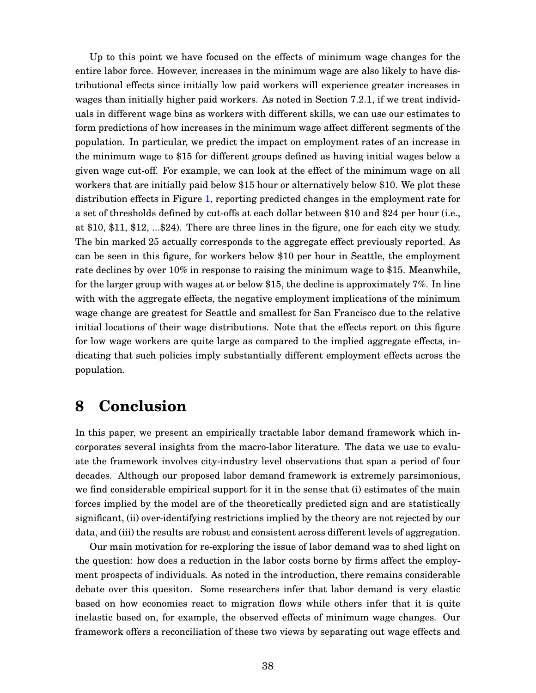Up to this point we have focused on the effects of minimum wage changes for the entire labor force. However, increases in the minimum wage are also likely to have distributional effects since initially low paid workers will experience greater increases in wages than initially higher paid workers. As noted in Section 7.2.1, if we treat individuals in different wage bins as workers with different skills, we can use our estimates to form predictions of how increases in the minimum wage affect different segments of the population. In particular, we predict the impact on employment rates of an increase in the minimum wage to \$15 for different groups defined as having initial wages below a given wage cut-off. For example, we can look at the effect of the minimum wage on all workers that are initially paid below \$15 hour or alternatively below \$10. We plot these distribution effects in Figure [1,](#page-43-0) reporting predicted changes in the employment rate for a set of thresholds defined by cut-offs at each dollar between \$10 and \$24 per hour (i.e., at \$10, \$11, \$12, ...\$24). There are three lines in the figure, one for each city we study. The bin marked 25 actually corresponds to the aggregate effect previously reported. As can be seen in this figure, for workers below \$10 per hour in Seattle, the employment rate declines by over 10% in response to raising the minimum wage to \$15. Meanwhile, for the larger group with wages at or below \$15, the decline is approximately 7%. In line with with the aggregate effects, the negative employment implications of the minimum wage change are greatest for Seattle and smallest for San Francisco due to the relative initial locations of their wage distributions. Note that the effects report on this figure for low wage workers are quite large as compared to the implied aggregate effects, indicating that such policies imply substantially different employment effects across the population.

## **8 Conclusion**

In this paper, we present an empirically tractable labor demand framework which incorporates several insights from the macro-labor literature. The data we use to evaluate the framework involves city-industry level observations that span a period of four decades. Although our proposed labor demand framework is extremely parsimonious, we find considerable empirical support for it in the sense that (i) estimates of the main forces implied by the model are of the theoretically predicted sign and are statistically significant, (ii) over-identifying restrictions implied by the theory are not rejected by our data, and (iii) the results are robust and consistent across different levels of aggregation.

Our main motivation for re-exploring the issue of labor demand was to shed light on the question: how does a reduction in the labor costs borne by firms affect the employment prospects of individuals. As noted in the introduction, there remains considerable debate over this quesiton. Some researchers infer that labor demand is very elastic based on how economies react to migration flows while others infer that it is quite inelastic based on, for example, the observed effects of minimum wage changes. Our framework offers a reconciliation of these two views by separating out wage effects and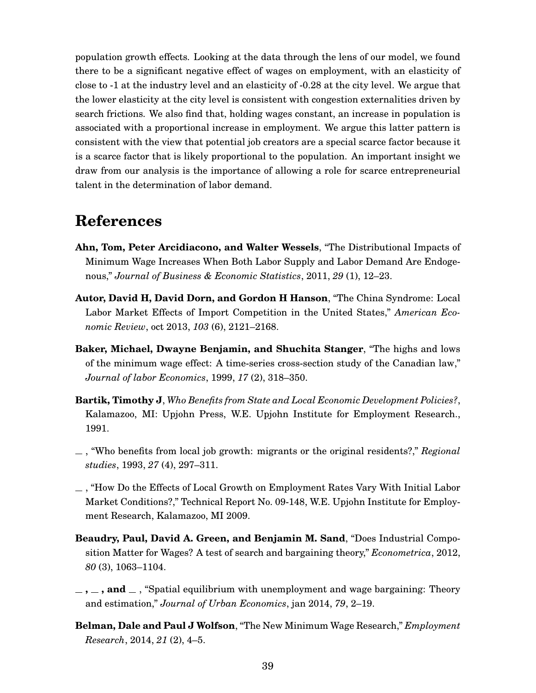population growth effects. Looking at the data through the lens of our model, we found there to be a significant negative effect of wages on employment, with an elasticity of close to -1 at the industry level and an elasticity of -0.28 at the city level. We argue that the lower elasticity at the city level is consistent with congestion externalities driven by search frictions. We also find that, holding wages constant, an increase in population is associated with a proportional increase in employment. We argue this latter pattern is consistent with the view that potential job creators are a special scarce factor because it is a scarce factor that is likely proportional to the population. An important insight we draw from our analysis is the importance of allowing a role for scarce entrepreneurial talent in the determination of labor demand.

## **References**

- **Ahn, Tom, Peter Arcidiacono, and Walter Wessels**, "The Distributional Impacts of Minimum Wage Increases When Both Labor Supply and Labor Demand Are Endogenous," *Journal of Business & Economic Statistics*, 2011, *29* (1), 12–23.
- **Autor, David H, David Dorn, and Gordon H Hanson**, "The China Syndrome: Local Labor Market Effects of Import Competition in the United States," *American Economic Review*, oct 2013, *103* (6), 2121–2168.
- **Baker, Michael, Dwayne Benjamin, and Shuchita Stanger**, "The highs and lows of the minimum wage effect: A time-series cross-section study of the Canadian law," *Journal of labor Economics*, 1999, *17* (2), 318–350.
- **Bartik, Timothy J**, *Who Benefits from State and Local Economic Development Policies?*, Kalamazoo, MI: Upjohn Press, W.E. Upjohn Institute for Employment Research., 1991.
- , "Who benefits from local job growth: migrants or the original residents?," *Regional studies*, 1993, *27* (4), 297–311.
- $\ldots$ , "How Do the Effects of Local Growth on Employment Rates Vary With Initial Labor Market Conditions?," Technical Report No. 09-148, W.E. Upjohn Institute for Employment Research, Kalamazoo, MI 2009.
- **Beaudry, Paul, David A. Green, and Benjamin M. Sand**, "Does Industrial Composition Matter for Wages? A test of search and bargaining theory," *Econometrica*, 2012, *80* (3), 1063–1104.
- $\mathbf{I} = \mathbf{I}$ ,  $\mathbf{I} = \mathbf{I}$ , "Spatial equilibrium with unemployment and wage bargaining: Theory and estimation," *Journal of Urban Economics*, jan 2014, *79*, 2–19.
- **Belman, Dale and Paul J Wolfson**, "The New Minimum Wage Research," *Employment Research*, 2014, *21* (2), 4–5.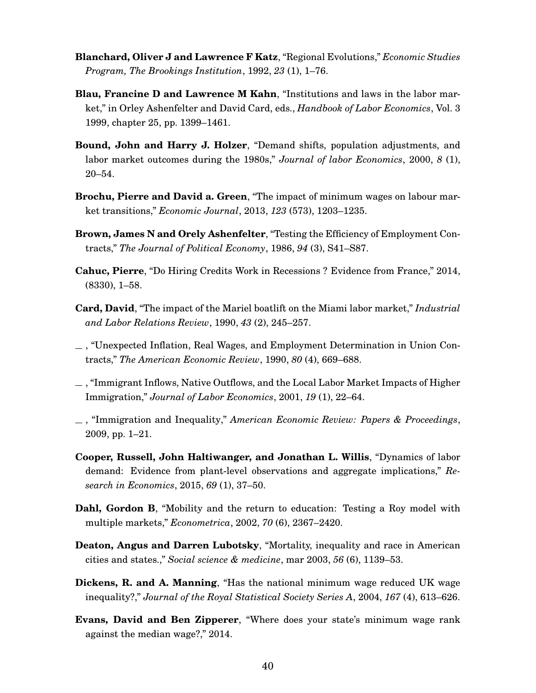- **Blanchard, Oliver J and Lawrence F Katz**, "Regional Evolutions," *Economic Studies Program, The Brookings Institution*, 1992, *23* (1), 1–76.
- **Blau, Francine D and Lawrence M Kahn**, "Institutions and laws in the labor market," in Orley Ashenfelter and David Card, eds., *Handbook of Labor Economics*, Vol. 3 1999, chapter 25, pp. 1399–1461.
- **Bound, John and Harry J. Holzer**, "Demand shifts, population adjustments, and labor market outcomes during the 1980s," *Journal of labor Economics*, 2000, *8* (1), 20–54.
- **Brochu, Pierre and David a. Green**, "The impact of minimum wages on labour market transitions," *Economic Journal*, 2013, *123* (573), 1203–1235.
- **Brown, James N and Orely Ashenfelter**, "Testing the Efficiency of Employment Contracts," *The Journal of Political Economy*, 1986, *94* (3), S41–S87.
- **Cahuc, Pierre**, "Do Hiring Credits Work in Recessions ? Evidence from France," 2014, (8330), 1–58.
- **Card, David**, "The impact of the Mariel boatlift on the Miami labor market," *Industrial and Labor Relations Review*, 1990, *43* (2), 245–257.
- $-$ , "Unexpected Inflation, Real Wages, and Employment Determination in Union Contracts," *The American Economic Review*, 1990, *80* (4), 669–688.
- $-$ , "Immigrant Inflows, Native Outflows, and the Local Labor Market Impacts of Higher Immigration," *Journal of Labor Economics*, 2001, *19* (1), 22–64.
- <span id="page-40-2"></span>, "Immigration and Inequality," *American Economic Review: Papers & Proceedings*, 2009, pp. 1–21.
- **Cooper, Russell, John Haltiwanger, and Jonathan L. Willis**, "Dynamics of labor demand: Evidence from plant-level observations and aggregate implications," *Research in Economics*, 2015, *69* (1), 37–50.
- <span id="page-40-1"></span>**Dahl, Gordon B**, "Mobility and the return to education: Testing a Roy model with multiple markets," *Econometrica*, 2002, *70* (6), 2367–2420.
- <span id="page-40-0"></span>**Deaton, Angus and Darren Lubotsky**, "Mortality, inequality and race in American cities and states.," *Social science & medicine*, mar 2003, *56* (6), 1139–53.
- **Dickens, R. and A. Manning**, "Has the national minimum wage reduced UK wage inequality?," *Journal of the Royal Statistical Society Series A*, 2004, *167* (4), 613–626.
- **Evans, David and Ben Zipperer**, "Where does your state's minimum wage rank against the median wage?," 2014.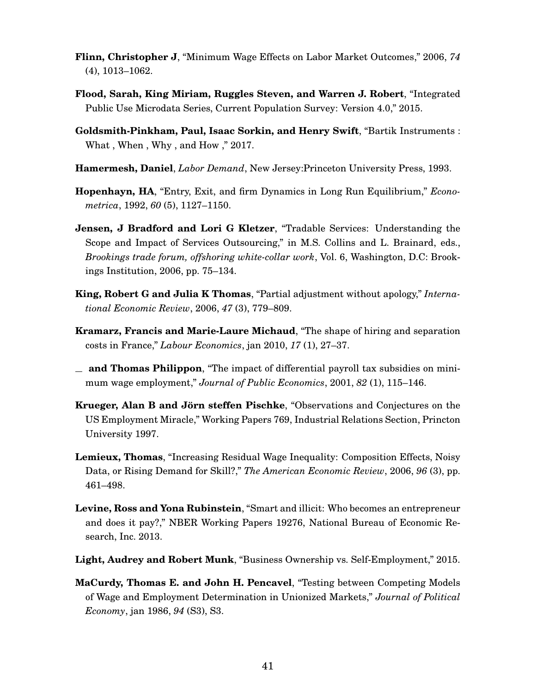- **Flinn, Christopher J**, "Minimum Wage Effects on Labor Market Outcomes," 2006, *74* (4), 1013–1062.
- <span id="page-41-1"></span>**Flood, Sarah, King Miriam, Ruggles Steven, and Warren J. Robert**, "Integrated Public Use Microdata Series, Current Population Survey: Version 4.0," 2015.
- **Goldsmith-Pinkham, Paul, Isaac Sorkin, and Henry Swift**, "Bartik Instruments : What, When, Why, and How," 2017.
- **Hamermesh, Daniel**, *Labor Demand*, New Jersey:Princeton University Press, 1993.
- **Hopenhayn, HA**, "Entry, Exit, and firm Dynamics in Long Run Equilibrium," *Econometrica*, 1992, *60* (5), 1127–1150.
- **Jensen, J Bradford and Lori G Kletzer**, "Tradable Services: Understanding the Scope and Impact of Services Outsourcing," in M.S. Collins and L. Brainard, eds., *Brookings trade forum, offshoring white-collar work*, Vol. 6, Washington, D.C: Brookings Institution, 2006, pp. 75–134.
- **King, Robert G and Julia K Thomas**, "Partial adjustment without apology," *International Economic Review*, 2006, *47* (3), 779–809.
- **Kramarz, Francis and Marie-Laure Michaud**, "The shape of hiring and separation costs in France," *Labour Economics*, jan 2010, *17* (1), 27–37.
- **and Thomas Philippon**, "The impact of differential payroll tax subsidies on minimum wage employment," *Journal of Public Economics*, 2001, *82* (1), 115–146.
- **Krueger, Alan B and Jörn steffen Pischke, "Observations and Conjectures on the** US Employment Miracle," Working Papers 769, Industrial Relations Section, Princton University 1997.
- <span id="page-41-0"></span>**Lemieux, Thomas**, "Increasing Residual Wage Inequality: Composition Effects, Noisy Data, or Rising Demand for Skill?," *The American Economic Review*, 2006, *96* (3), pp. 461–498.
- **Levine, Ross and Yona Rubinstein**, "Smart and illicit: Who becomes an entrepreneur and does it pay?," NBER Working Papers 19276, National Bureau of Economic Research, Inc. 2013.
- **Light, Audrey and Robert Munk**, "Business Ownership vs. Self-Employment," 2015.
- **MaCurdy, Thomas E. and John H. Pencavel**, "Testing between Competing Models of Wage and Employment Determination in Unionized Markets," *Journal of Political Economy*, jan 1986, *94* (S3), S3.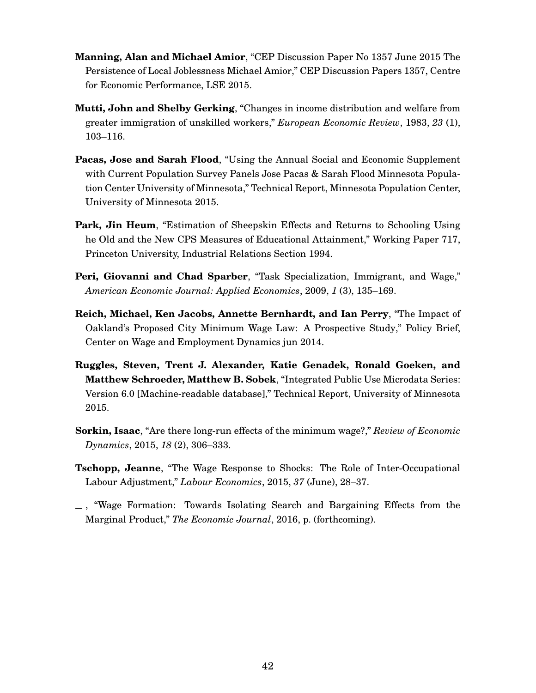- **Manning, Alan and Michael Amior**, "CEP Discussion Paper No 1357 June 2015 The Persistence of Local Joblessness Michael Amior," CEP Discussion Papers 1357, Centre for Economic Performance, LSE 2015.
- **Mutti, John and Shelby Gerking**, "Changes in income distribution and welfare from greater immigration of unskilled workers," *European Economic Review*, 1983, *23* (1), 103–116.
- <span id="page-42-2"></span>**Pacas, Jose and Sarah Flood**, "Using the Annual Social and Economic Supplement with Current Population Survey Panels Jose Pacas & Sarah Flood Minnesota Population Center University of Minnesota," Technical Report, Minnesota Population Center, University of Minnesota 2015.
- <span id="page-42-1"></span>**Park, Jin Heum**, "Estimation of Sheepskin Effects and Returns to Schooling Using he Old and the New CPS Measures of Educational Attainment," Working Paper 717, Princeton University, Industrial Relations Section 1994.
- **Peri, Giovanni and Chad Sparber**, "Task Specialization, Immigrant, and Wage," *American Economic Journal: Applied Economics*, 2009, *1* (3), 135–169.
- **Reich, Michael, Ken Jacobs, Annette Bernhardt, and Ian Perry**, "The Impact of Oakland's Proposed City Minimum Wage Law: A Prospective Study," Policy Brief, Center on Wage and Employment Dynamics jun 2014.
- <span id="page-42-0"></span>**Ruggles, Steven, Trent J. Alexander, Katie Genadek, Ronald Goeken, and Matthew Schroeder, Matthew B. Sobek**, "Integrated Public Use Microdata Series: Version 6.0 [Machine-readable database]," Technical Report, University of Minnesota 2015.
- **Sorkin, Isaac**, "Are there long-run effects of the minimum wage?," *Review of Economic Dynamics*, 2015, *18* (2), 306–333.
- **Tschopp, Jeanne**, "The Wage Response to Shocks: The Role of Inter-Occupational Labour Adjustment," *Labour Economics*, 2015, *37* (June), 28–37.
- $-$ , "Wage Formation: Towards Isolating Search and Bargaining Effects from the Marginal Product," *The Economic Journal*, 2016, p. (forthcoming).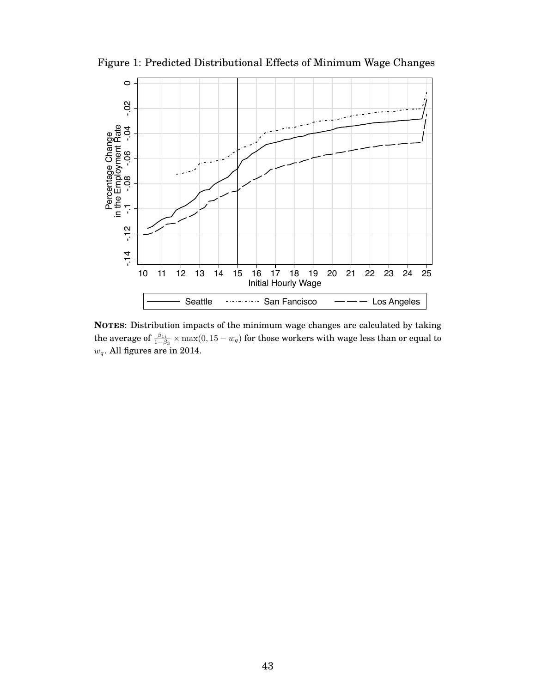

<span id="page-43-0"></span>Figure 1: Predicted Distributional Effects of Minimum Wage Changes

**NOTES**: Distribution impacts of the minimum wage changes are calculated by taking the average of  $\frac{\beta_{1i}}{1-\beta_3}\times\max(0,15-w_q)$  for those workers with wage less than or equal to  $w_q$ . All figures are in 2014.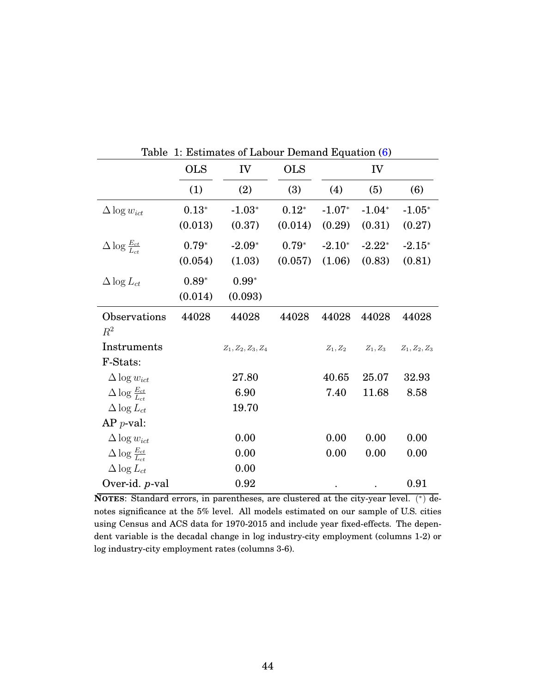|                                     | <b>OLS</b> | IV                   | <b>OLS</b> |            | IV         |                 |
|-------------------------------------|------------|----------------------|------------|------------|------------|-----------------|
|                                     | (1)        | (2)                  | (3)        | (4)        | (5)        | (6)             |
| $\Delta \log w_{ict}$               | $0.13*$    | $-1.03*$             | $0.12*$    | $-1.07*$   | $-1.04*$   | $-1.05*$        |
|                                     | (0.013)    | (0.37)               | (0.014)    | (0.29)     | (0.31)     | (0.27)          |
| $\Delta \log \frac{E_{ct}}{L_{ct}}$ | $0.79*$    | $-2.09*$             | $0.79*$    | $-2.10*$   | $-2.22*$   | $-2.15*$        |
|                                     | (0.054)    | (1.03)               | (0.057)    | (1.06)     | (0.83)     | (0.81)          |
| $\Delta \log L_{ct}$                | $0.89*$    | $0.99*$              |            |            |            |                 |
|                                     | (0.014)    | (0.093)              |            |            |            |                 |
| Observations                        | 44028      | 44028                | 44028      | 44028      | 44028      | 44028           |
| $R^2$                               |            |                      |            |            |            |                 |
| Instruments                         |            | $Z_1, Z_2, Z_3, Z_4$ |            | $Z_1, Z_2$ | $Z_1, Z_3$ | $Z_1, Z_2, Z_3$ |
| F-Stats:                            |            |                      |            |            |            |                 |
| $\Delta \log w_{ict}$               |            | 27.80                |            | 40.65      | 25.07      | 32.93           |
| $\Delta \log \frac{E_{ct}}{L_{ct}}$ |            | 6.90                 |            | 7.40       | 11.68      | 8.58            |
| $\Delta \log L_{ct}$                |            | 19.70                |            |            |            |                 |
| $AP$ <i>p</i> -val:                 |            |                      |            |            |            |                 |
| $\Delta \log w_{ict}$               |            | 0.00                 |            | 0.00       | 0.00       | 0.00            |
| $\Delta \log \frac{E_{ct}}{L_{ct}}$ |            | 0.00                 |            | 0.00       | 0.00       | 0.00            |
| $\Delta \log L_{ct}$                |            | 0.00                 |            |            |            |                 |
| Over-id. p-val                      |            | 0.92                 |            |            |            | 0.91            |

Table 1: Estimates of Labour Demand Equation [\(6\)](#page-12-0)

**NOTES**: Standard errors, in parentheses, are clustered at the city-year level. (\*) denotes significance at the 5% level. All models estimated on our sample of U.S. cities using Census and ACS data for 1970-2015 and include year fixed-effects. The dependent variable is the decadal change in log industry-city employment (columns 1-2) or log industry-city employment rates (columns 3-6).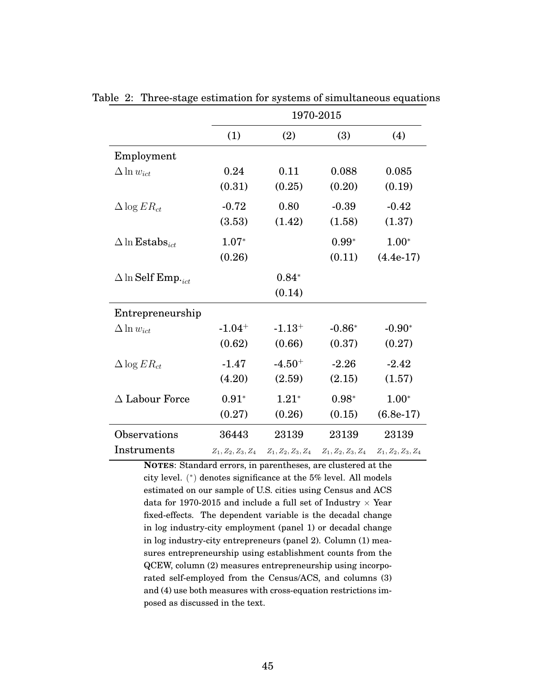|                                     |                      |                                           | 1970-2015 |                      |
|-------------------------------------|----------------------|-------------------------------------------|-----------|----------------------|
|                                     | (1)                  | (2)                                       | (3)       | (4)                  |
| Employment                          |                      |                                           |           |                      |
| $\Delta \ln w_{ict}$                | 0.24                 | 0.11                                      | 0.088     | 0.085                |
|                                     | (0.31)               | (0.25)                                    | (0.20)    | (0.19)               |
| $\Delta \log ER_{ct}$               | $-0.72$              | 0.80                                      | $-0.39$   | $-0.42$              |
|                                     | (3.53)               | (1.42)                                    | (1.58)    | (1.37)               |
| $\Delta \ln \text{Estabs}_{ict}$    | $1.07*$              |                                           | $0.99*$   | $1.00*$              |
|                                     | (0.26)               |                                           | (0.11)    | $(4.4e-17)$          |
| $\Delta \ln \text{Self Emp.}_{ict}$ |                      | $0.84*$                                   |           |                      |
|                                     |                      | (0.14)                                    |           |                      |
| Entrepreneurship                    |                      |                                           |           |                      |
| $\Delta \ln w_{ict}$                | $-1.04+$             | $-1.13+$                                  | $-0.86*$  | $-0.90*$             |
|                                     | (0.62)               | (0.66)                                    | (0.37)    | (0.27)               |
| $\Delta \log ER_{ct}$               | $-1.47$              | $-4.50+$                                  | $-2.26$   | $-2.42$              |
|                                     | (4.20)               | (2.59)                                    | (2.15)    | (1.57)               |
| $\Delta$ Labour Force               | $0.91*$              | $1.21*$                                   | $0.98*$   | $1.00*$              |
|                                     | (0.27)               | (0.26)                                    | (0.15)    | $(6.8e-17)$          |
| Observations                        | 36443                | 23139                                     | 23139     | 23139                |
| Instruments                         | $Z_1, Z_2, Z_3, Z_4$ | $Z_1, Z_2, Z_3, Z_4$ $Z_1, Z_2, Z_3, Z_4$ |           | $Z_1, Z_2, Z_3, Z_4$ |

Table 2: Three-stage estimation for systems of simultaneous equations

**NOTES**: Standard errors, in parentheses, are clustered at the city level. ( ∗ ) denotes significance at the 5% level. All models estimated on our sample of U.S. cities using Census and ACS data for 1970-2015 and include a full set of Industry  $\times$  Year fixed-effects. The dependent variable is the decadal change in log industry-city employment (panel 1) or decadal change in log industry-city entrepreneurs (panel 2). Column (1) measures entrepreneurship using establishment counts from the QCEW, column (2) measures entrepreneurship using incorporated self-employed from the Census/ACS, and columns (3) and (4) use both measures with cross-equation restrictions imposed as discussed in the text.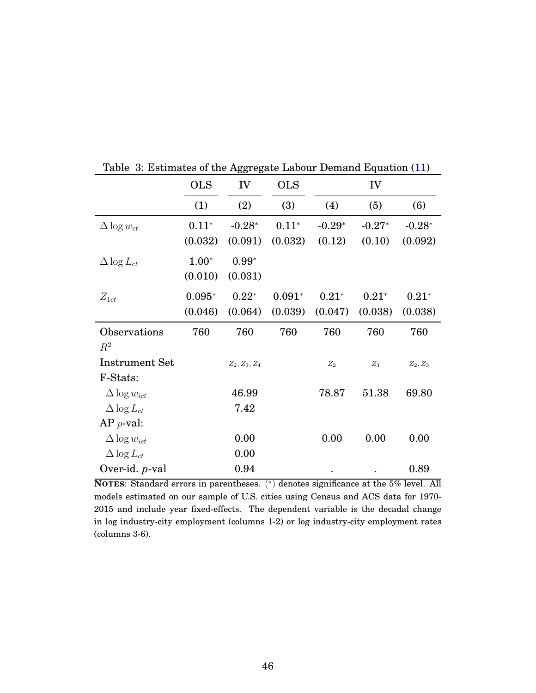|                       | <b>OLS</b> | IV              | <b>OLS</b> |          | IV       |            |
|-----------------------|------------|-----------------|------------|----------|----------|------------|
|                       | (1)        | (2)             | (3)        | (4)      | (5)      | (6)        |
| $\Delta \log w_{ct}$  | $0.11*$    | $-0.28*$        | $0.11*$    | $-0.29*$ | $-0.27*$ | $-0.28*$   |
|                       | (0.032)    | (0.091)         | (0.032)    | (0.12)   | (0.10)   | (0.092)    |
| $\Delta \log L_{ct}$  | $1.00*$    | $0.99*$         |            |          |          |            |
|                       | (0.010)    | (0.031)         |            |          |          |            |
| $Z_{1ct}$             | $0.095*$   | $0.22*$         | $0.091*$   | $0.21*$  | $0.21*$  | $0.21*$    |
|                       | (0.046)    | (0.064)         | (0.039)    | (0.047)  | (0.038)  | (0.038)    |
| Observations          | 760        | 760             | 760        | 760      | 760      | 760        |
| $R^2$                 |            |                 |            |          |          |            |
| <b>Instrument Set</b> |            | $Z_2, Z_3, Z_4$ |            | $Z_2$    | $Z_3$    | $Z_2, Z_3$ |
| F-Stats:              |            |                 |            |          |          |            |
| $\Delta \log w_{ict}$ |            | 46.99           |            | 78.87    | 51.38    | 69.80      |
| $\Delta \log L_{ct}$  |            | 7.42            |            |          |          |            |
| $AP$ p-val:           |            |                 |            |          |          |            |
| $\Delta \log w_{ict}$ |            | 0.00            |            | 0.00     | 0.00     | 0.00       |
| $\Delta \log L_{ct}$  |            | 0.00            |            |          |          |            |
| Over-id. p-val        |            | 0.94            |            |          |          | 0.89       |

Table 3: Estimates of the Aggregate Labour Demand Equation [\(11\)](#page-14-0)

**NOTES:** Standard errors in parentheses. (\*) denotes significance at the 5% level. All models estimated on our sample of U.S. cities using Census and ACS data for 1970- 2015 and include year fixed-effects. The dependent variable is the decadal change in log industry-city employment (columns 1-2) or log industry-city employment rates (columns 3-6).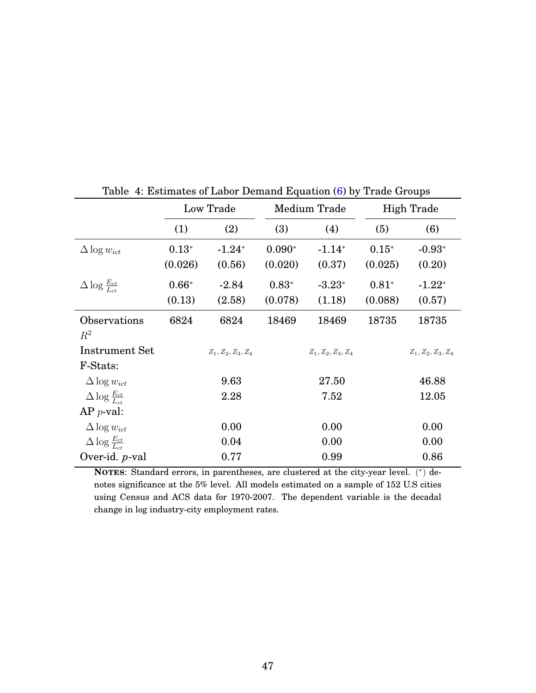|                                      |         | Low Trade            |          | Medium Trade         |         | High Trade           |
|--------------------------------------|---------|----------------------|----------|----------------------|---------|----------------------|
|                                      | (1)     | (2)                  | (3)      | (4)                  | (5)     | (6)                  |
| $\Delta \log w_{ict}$                | $0.13*$ | $-1.24*$             | $0.090*$ | $-1.14*$             | $0.15*$ | $-0.93*$             |
|                                      | (0.026) | (0.56)               | (0.020)  | (0.37)               | (0.025) | (0.20)               |
| $\Delta \log \frac{E_{ct}}{L_{tot}}$ | $0.66*$ | $-2.84$              | $0.83*$  | $-3.23*$             | $0.81*$ | $-1.22*$             |
|                                      | (0.13)  | (2.58)               | (0.078)  | (1.18)               | (0.088) | (0.57)               |
| Observations                         | 6824    | 6824                 | 18469    | 18469                | 18735   | 18735                |
| $R^2$                                |         |                      |          |                      |         |                      |
| <b>Instrument Set</b>                |         | $Z_1, Z_2, Z_3, Z_4$ |          | $Z_1, Z_2, Z_3, Z_4$ |         | $Z_1, Z_2, Z_3, Z_4$ |
| F-Stats:                             |         |                      |          |                      |         |                      |
| $\Delta \log w_{ict}$                |         | 9.63                 |          | 27.50                |         | 46.88                |
| $\Delta \log \frac{E_{ct}}{L_{ct}}$  |         | 2.28                 |          | 7.52                 |         | 12.05                |
| $AP$ <i>p</i> -val:                  |         |                      |          |                      |         |                      |
| $\Delta \log w_{ict}$                |         | 0.00                 |          | 0.00                 |         | 0.00                 |
| $\Delta \log \frac{E_{ct}}{L_{ct}}$  |         | 0.04                 |          | 0.00                 |         | 0.00                 |
| Over-id. p-val                       |         | 0.77                 |          | 0.99                 |         | 0.86                 |

Table 4: Estimates of Labor Demand Equation [\(6\)](#page-12-0) by Trade Groups

**NOTES**: Standard errors, in parentheses, are clustered at the city-year level. (\*) denotes significance at the 5% level. All models estimated on a sample of 152 U.S cities using Census and ACS data for 1970-2007. The dependent variable is the decadal change in log industry-city employment rates.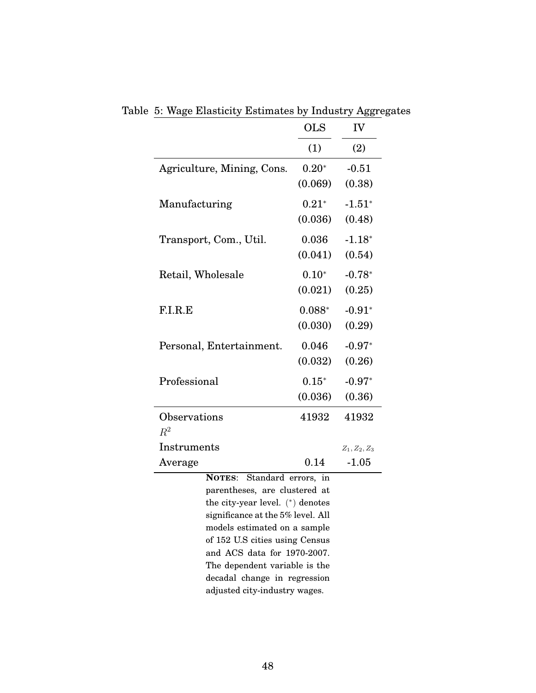|                            | <b>OLS</b> | IV              |
|----------------------------|------------|-----------------|
|                            | (1)        | (2)             |
| Agriculture, Mining, Cons. | $0.20*$    | $-0.51$         |
|                            | (0.069)    | (0.38)          |
| Manufacturing              | $0.21*$    | $-1.51*$        |
|                            | (0.036)    | (0.48)          |
| Transport, Com., Util.     | 0.036      | $-1.18*$        |
|                            | (0.041)    | (0.54)          |
| Retail, Wholesale          | $0.10*$    | $-0.78*$        |
|                            | (0.021)    | (0.25)          |
| F.I.R.E                    | $0.088*$   | $-0.91*$        |
|                            | (0.030)    | (0.29)          |
| Personal, Entertainment.   | 0.046      | $-0.97*$        |
|                            | (0.032)    | (0.26)          |
| Professional               | $0.15*$    | $-0.97*$        |
|                            | (0.036)    | (0.36)          |
| Observations               | 41932      | 41932           |
| $R^2$                      |            |                 |
| Instruments                |            | $Z_1, Z_2, Z_3$ |
| Average                    | 0.14       | $-1.05$         |
| Standard errors,<br>NOTES: | in         |                 |

Table 5: Wage Elasticity Estimates by Industry Aggregates

parentheses, are clustered at the city-year level. ( ∗ ) denotes significance at the 5% level. All models estimated on a sample of 152 U.S cities using Census and ACS data for 1970-2007. The dependent variable is the decadal change in regression adjusted city-industry wages.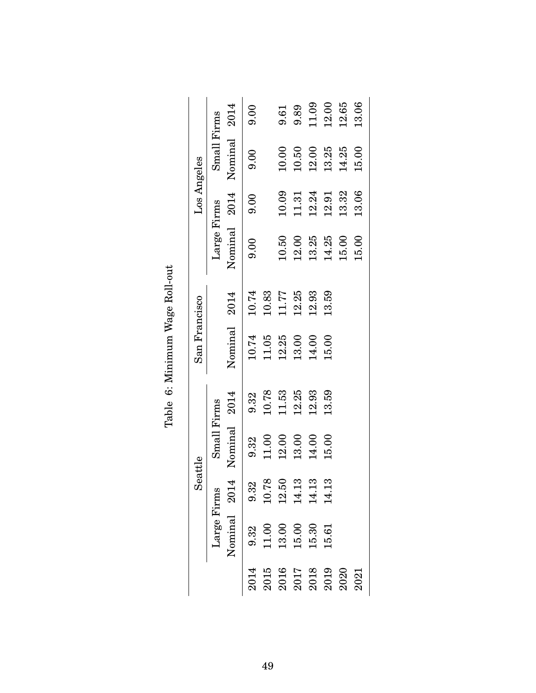<span id="page-49-0"></span>

|                                      |                                                                          |                                                                            | Seattle     |       | San Francisco |       |              | Los Angeles |             |       |
|--------------------------------------|--------------------------------------------------------------------------|----------------------------------------------------------------------------|-------------|-------|---------------|-------|--------------|-------------|-------------|-------|
|                                      | Large Firms                                                              |                                                                            | Small Firms |       |               |       | Large Firms  |             | Small Firms |       |
|                                      | Nominal 2014                                                             |                                                                            | Nominal     | 2014  | Nominal       | 2014  | Nominal 2014 |             | Nominal     | 2014  |
| 2014                                 | 9.32                                                                     |                                                                            | 9.32        | 9.32  | 10.74         | 10.74 | 0.00         | 0.00        | 9.00        | 0.00  |
|                                      |                                                                          |                                                                            | 11.00       | 10.78 | 11.05         | 10.83 |              |             |             |       |
| 2015<br>2016<br>2017<br>2018<br>2020 | $\begin{array}{c} 11.00 \\ 13.00 \\ 15.00 \\ 15.30 \\ 15.61 \end{array}$ | $\begin{array}{c} 9.32 \\ 10.78 \\ 12.50 \\ 14.13 \\ 14.13 \\ \end{array}$ | 12.00       | 11.53 | 12.25         | 11.77 | 10.50        | 10.09       | 10.00       | 9.61  |
|                                      |                                                                          |                                                                            | 13.00       | 12.25 | 13.00         | 12.25 | 12.00        | 11.31       | 10.50       | 9.89  |
|                                      |                                                                          |                                                                            | 14.00       | 12.93 | 14.00         | 12.93 | 13.25        | 12.24       | 12.00       | 11.09 |
|                                      |                                                                          |                                                                            | 15.00       | 13.59 | 15.00         | 13.59 | 14.25        | 12.91       | 13.25       | 12.00 |
|                                      |                                                                          |                                                                            |             |       |               |       | 15.00        | 13.32       | 14.25       | 12.65 |
| 2021                                 |                                                                          |                                                                            |             |       |               |       | 15.00        | 13.06       | 15.00       | 13.06 |
|                                      |                                                                          |                                                                            |             |       |               |       |              |             |             |       |

| ┋<br>Roll<br>ſ     |
|--------------------|
| Wage               |
| anmur.             |
| $\dot{\mathbf{c}}$ |
| Table              |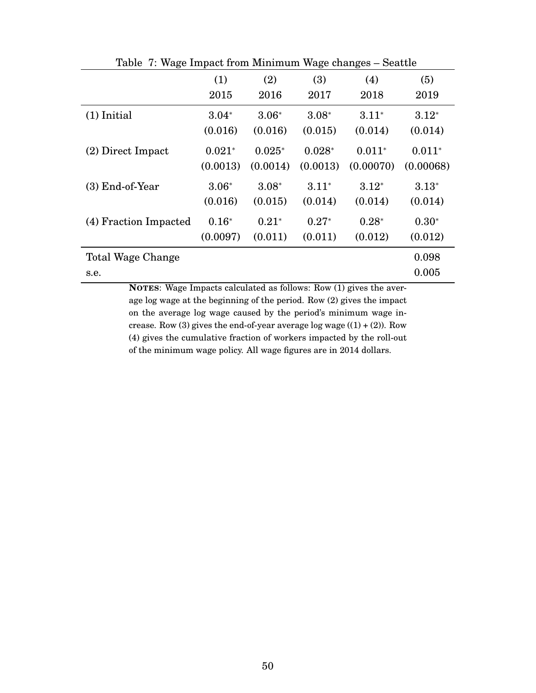<span id="page-50-0"></span>

| Table 7: Wage Impact from Minimum Wage changes - Seattle |          |                                |          |           |           |
|----------------------------------------------------------|----------|--------------------------------|----------|-----------|-----------|
|                                                          | (1)      | (2)                            | (3)      | (4)       | (5)       |
|                                                          | 2015     | 2016                           | 2017     | 2018      | 2019      |
| $(1)$ Initial                                            | $3.04*$  | $3.06*$                        | $3.08*$  | $3.11*$   | $3.12*$   |
|                                                          | (0.016)  | (0.016)                        | (0.015)  | (0.014)   | (0.014)   |
| (2) Direct Impact                                        | $0.021*$ | $0.025*$                       | $0.028*$ | $0.011*$  | $0.011*$  |
|                                                          | (0.0013) | (0.0014)                       | (0.0013) | (0.00070) | (0.00068) |
| $(3)$ End-of-Year                                        | $3.06*$  | $3.08*$                        | $3.11*$  | $3.12*$   | $3.13*$   |
|                                                          | (0.016)  | (0.015)                        | (0.014)  | (0.014)   | (0.014)   |
| (4) Fraction Impacted                                    | $0.16*$  | $0.21*$                        | $0.27*$  | $0.28*$   | $0.30*$   |
|                                                          | (0.0097) | (0.011)                        | (0.011)  | (0.012)   | (0.012)   |
| Total Wage Change                                        |          |                                |          |           | 0.098     |
| s.e.<br>$\overline{\cdots}$                              |          | $\overline{\phantom{a}}$<br>27 |          |           | 0.005     |

**NOTES**: Wage Impacts calculated as follows: Row (1) gives the average log wage at the beginning of the period. Row (2) gives the impact on the average log wage caused by the period's minimum wage increase. Row  $(3)$  gives the end-of-year average log wage  $((1) + (2))$ . Row (4) gives the cumulative fraction of workers impacted by the roll-out of the minimum wage policy. All wage figures are in 2014 dollars.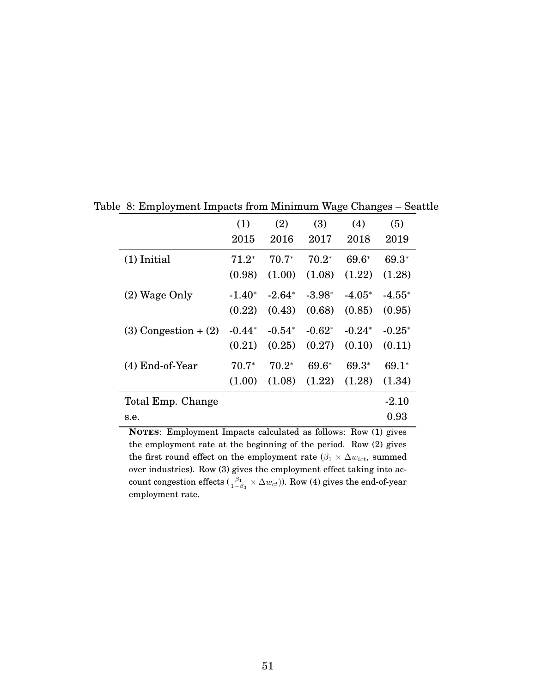<span id="page-51-0"></span>

|                                                                        | (1)      | (2)      | (3)      | (4)      | (5)      |
|------------------------------------------------------------------------|----------|----------|----------|----------|----------|
|                                                                        | 2015     | 2016     | 2017     | 2018     | 2019     |
| $(1)$ Initial                                                          | $71.2*$  | $70.7*$  | $70.2*$  | 69.6*    | $69.3*$  |
|                                                                        | (0.98)   | (1.00)   | (1.08)   | (1.22)   | (1.28)   |
| $(2)$ Wage Only                                                        | $-1.40*$ | $-2.64*$ | $-3.98*$ | $-4.05*$ | $-4.55*$ |
|                                                                        | (0.22)   | (0.43)   | (0.68)   | (0.85)   | (0.95)   |
| $(3)$ Congestion + $(2)$                                               | $-0.44*$ | $-0.54*$ | $-0.62*$ | $-0.24*$ | $-0.25*$ |
|                                                                        | (0.21)   | (0.25)   | (0.27)   | (0.10)   | (0.11)   |
| $(4)$ End-of-Year                                                      | $70.7*$  | $70.2*$  | 69.6*    | $69.3*$  | $69.1*$  |
|                                                                        | (1.00)   | (1.08)   | (1.22)   | (1.28)   | (1.34)   |
| Total Emp. Change                                                      |          |          |          |          | $-2.10$  |
| s.e.<br>Norma, Employment Importa coloulated es follows: Dew (1) gives |          |          |          |          | 0.93     |

Table 8: Employment Impacts from Minimum Wage Changes – Seattle

**NOTES**: Employment Impacts calculated as follows: Row (1) gives the employment rate at the beginning of the period. Row (2) gives the first round effect on the employment rate ( $\beta_1 \times \Delta w_{ict}$ , summed over industries). Row (3) gives the employment effect taking into account congestion effects ( $\frac{\beta_1}{1-\beta_3}\times \Delta w_{ct})$ ). Row (4) gives the end-of-year employment rate.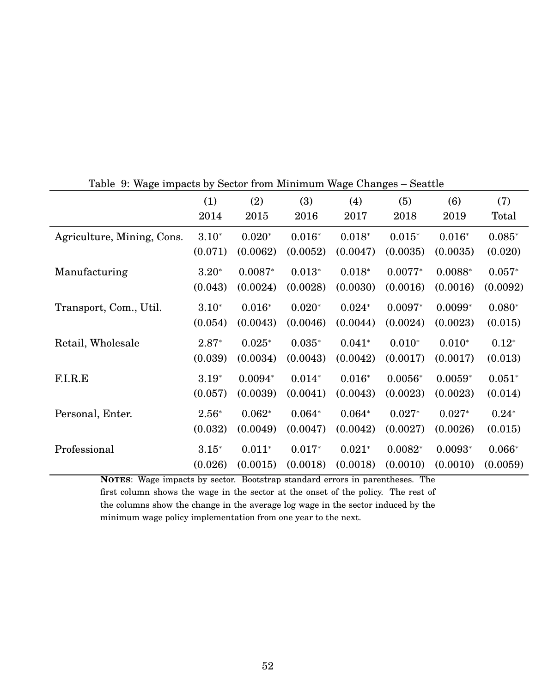|                            | (1)     | (2)       | (3)      | (4)      | (5)       | (6)       | (7)      |
|----------------------------|---------|-----------|----------|----------|-----------|-----------|----------|
|                            | 2014    | 2015      | 2016     | 2017     | 2018      | 2019      | Total    |
| Agriculture, Mining, Cons. | $3.10*$ | $0.020*$  | $0.016*$ | $0.018*$ | $0.015*$  | $0.016*$  | $0.085*$ |
|                            | (0.071) | (0.0062)  | (0.0052) | (0.0047) | (0.0035)  | (0.0035)  | (0.020)  |
| Manufacturing              | $3.20*$ | $0.0087*$ | $0.013*$ | $0.018*$ | $0.0077*$ | $0.0088*$ | $0.057*$ |
|                            | (0.043) | (0.0024)  | (0.0028) | (0.0030) | (0.0016)  | (0.0016)  | (0.0092) |
| Transport, Com., Util.     | $3.10*$ | $0.016*$  | $0.020*$ | $0.024*$ | $0.0097*$ | $0.0099*$ | $0.080*$ |
|                            | (0.054) | (0.0043)  | (0.0046) | (0.0044) | (0.0024)  | (0.0023)  | (0.015)  |
| Retail, Wholesale          | $2.87*$ | $0.025*$  | $0.035*$ | $0.041*$ | $0.010*$  | $0.010*$  | $0.12*$  |
|                            | (0.039) | (0.0034)  | (0.0043) | (0.0042) | (0.0017)  | (0.0017)  | (0.013)  |
| F.I.R.E                    | $3.19*$ | $0.0094*$ | $0.014*$ | $0.016*$ | $0.0056*$ | $0.0059*$ | $0.051*$ |
|                            | (0.057) | (0.0039)  | (0.0041) | (0.0043) | (0.0023)  | (0.0023)  | (0.014)  |
| Personal, Enter.           | $2.56*$ | $0.062*$  | $0.064*$ | $0.064*$ | $0.027*$  | $0.027*$  | $0.24*$  |
|                            | (0.032) | (0.0049)  | (0.0047) | (0.0042) | (0.0027)  | (0.0026)  | (0.015)  |
| Professional               | $3.15*$ | $0.011*$  | $0.017*$ | $0.021*$ | $0.0082*$ | $0.0093*$ | $0.066*$ |
|                            | (0.026) | (0.0015)  | (0.0018) | (0.0018) | (0.0010)  | (0.0010)  | (0.0059) |

#### <span id="page-52-0"></span>Table 9: Wage impacts by Sector from Minimum Wage Changes – Seattle

**NOTES**: Wage impacts by sector. Bootstrap standard errors in parentheses. The first column shows the wage in the sector at the onset of the policy. The rest of the columns show the change in the average log wage in the sector induced by the minimum wage policy implementation from one year to the next.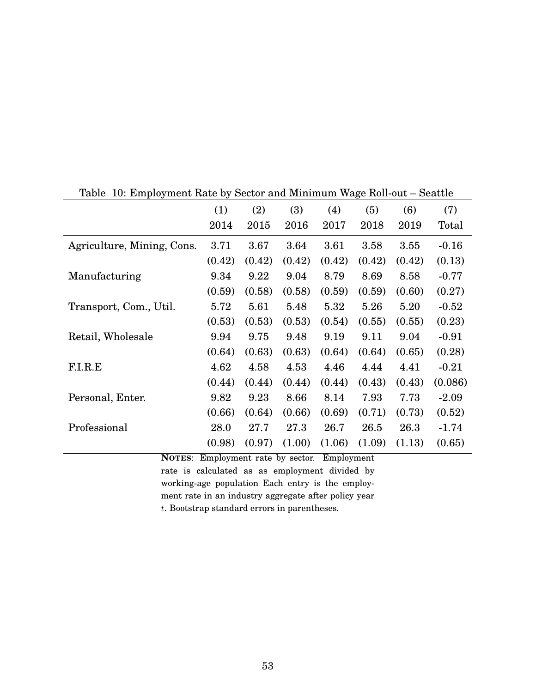| Tavic<br>10. Employment Rate by Dector and minimum wage from out |                              |            |        |                              |              |        | <u>ωσαννισ</u> |
|------------------------------------------------------------------|------------------------------|------------|--------|------------------------------|--------------|--------|----------------|
|                                                                  | (1)                          | (2)        | (3)    | (4)                          | (5)          | (6)    | (7)            |
|                                                                  | 2014                         | 2015       | 2016   | 2017                         | 2018         | 2019   | Total          |
| Agriculture, Mining, Cons.                                       | 3.71                         | 3.67       | 3.64   | 3.61                         | 3.58         | 3.55   | $-0.16$        |
|                                                                  | (0.42)                       | (0.42)     | (0.42) | (0.42)                       | (0.42)       | (0.42) | (0.13)         |
| Manufacturing                                                    | 9.34                         | 9.22       | 9.04   | 8.79                         | 8.69         | 8.58   | $-0.77$        |
|                                                                  | (0.59)                       | (0.58)     | (0.58) | (0.59)                       | (0.59)       | (0.60) | (0.27)         |
| Transport, Com., Util.                                           | 5.72                         | 5.61       | 5.48   | 5.32                         | 5.26         | 5.20   | $-0.52$        |
|                                                                  | (0.53)                       | (0.53)     | (0.53) | (0.54)                       | (0.55)       | (0.55) | (0.23)         |
| Retail, Wholesale                                                | 9.94                         | 9.75       | 9.48   | 9.19                         | 9.11         | 9.04   | $-0.91$        |
|                                                                  | (0.64)                       | (0.63)     | (0.63) | (0.64)                       | (0.64)       | (0.65) | (0.28)         |
| F.I.R.E                                                          | 4.62                         | 4.58       | 4.53   | 4.46                         | 4.44         | 4.41   | $-0.21$        |
|                                                                  | (0.44)                       | (0.44)     | (0.44) | (0.44)                       | (0.43)       | (0.43) | (0.086)        |
| Personal, Enter.                                                 | 9.82                         | 9.23       | 8.66   | 8.14                         | 7.93         | 7.73   | $-2.09$        |
|                                                                  | (0.66)                       | (0.64)     | (0.66) | (0.69)                       | (0.71)       | (0.73) | (0.52)         |
| Professional                                                     | 28.0                         | 27.7       | 27.3   | 26.7                         | 26.5         | 26.3   | $-1.74$        |
|                                                                  | (0.98)                       | (0.97)     | (1.00) | (1.06)                       | (1.09)       | (1.13) | (0.65)         |
| $\mathbf{M}$ $\alpha$ mm $\alpha$                                | $\mathbf{L}$<br>$\mathbf{1}$ | $\sqrt{1}$ |        | $\mathbf{L}$<br>$\mathbf{1}$ | $\mathbf{I}$ |        |                |

<span id="page-53-0"></span>Table 10: Employment Rate by Sector and Minimum Wage Roll-out – Seattle

**NOTES**: Employment rate by sector. Employment rate is calculated as as employment divided by working-age population Each entry is the employment rate in an industry aggregate after policy year t. Bootstrap standard errors in parentheses.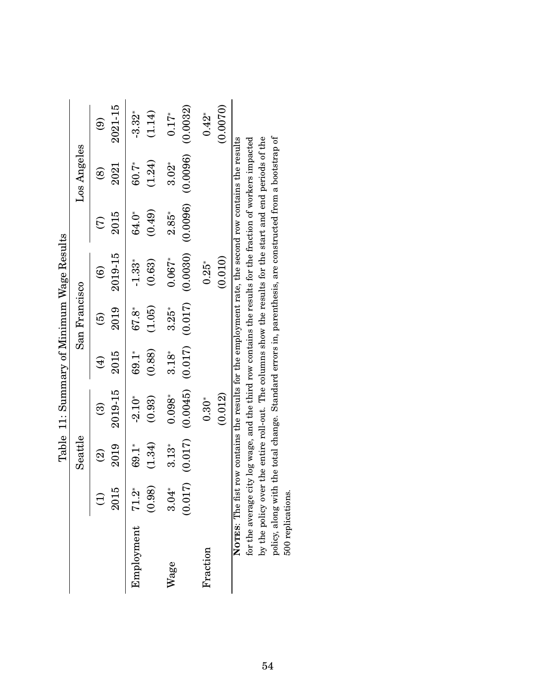<span id="page-54-0"></span>

|            |                         |                                  | Table 11: Summary of Minimum Wage Results                                                                                                                                                                           |                     |                        |                              |                       |                     |                                       |
|------------|-------------------------|----------------------------------|---------------------------------------------------------------------------------------------------------------------------------------------------------------------------------------------------------------------|---------------------|------------------------|------------------------------|-----------------------|---------------------|---------------------------------------|
|            |                         | Seattle                          |                                                                                                                                                                                                                     |                     | San Francisco          |                              |                       | Los Angeles         |                                       |
|            | $\widehat{\Xi}$<br>2015 | 2019<br>$\widehat{\mathfrak{D}}$ | 2019-15<br>$\widehat{\mathfrak{B}}$                                                                                                                                                                                 | 2015<br>$\bigoplus$ | 2019<br>$\overline{6}$ | 2019-15<br>$\widehat{\odot}$ | 2015<br>$\widehat{L}$ | 2021<br>$\circledS$ | $2021 - 15$<br>$\widehat{\mathbf{e}}$ |
| Employment | $71.2*$<br>(0.98)       | (1.34)<br>$69.1*$                | $-2.10*$<br>(0.93)                                                                                                                                                                                                  | (0.88)<br>$69.1*$   | (1.05)<br>$67.8*$      | $-1.33*$<br>(0.63)           | (0.49)<br>$64.0*$     | (1.24)<br>$60.7^*$  | (1.14)<br>$-3.32*$                    |
| Wage       | (0.017)<br>$3.04*$      | (0.017)<br>$3.13*$               | (0.0045)<br>$0.098*$                                                                                                                                                                                                | (0.017)<br>$3.18*$  | (0.017)<br>$3.25*$     | (0.0030)<br>$0.067*$         | (0.0096)<br>$2.85*$   | (0.0096)<br>$3.02*$ | (0.0032)<br>$0.17*$                   |
| Fraction   |                         |                                  | (0.012)<br>$0.30*$                                                                                                                                                                                                  |                     |                        | (0.010)<br>$0.25*$           |                       |                     | (0.0070)<br>$0.42*$                   |
|            |                         |                                  | NOTES: The fist row contains the results for the employment rate, the second row contains the results<br>for the average city log wage, and the third row contains the results for the fraction of workers impacted |                     |                        |                              |                       |                     |                                       |

| くりしてく<br>$\frac{2}{3}$<br>I                                                     |  |
|---------------------------------------------------------------------------------|--|
| ) مەم<br>با<br>Ì                                                                |  |
| <b>、 - - - - - - - -</b> -<br>֚֚֚֚֝<br>֧֧֧֧֧֧֚֚֚֚֚֚֚֚֚֚֚֚֚֚֚֚֚֚֚֚֚֚֝֝֓֝֟֓֝֓֝֬֝֓ |  |
| ר אייר היי האד ד<br> <br> <br> <br>ł                                            |  |
| l                                                                               |  |
| I                                                                               |  |

by ane poincy over the entite roir-out. Ine columns show the results for the start and erm perious of the policy, along with the total change. Standard errors in, parenthesis, are constructed from a bootstrap of 500 replic for the average city log wage, and the third row contains the results for the traction of workers impacted<br>by the policy over the entire roll-out. The columns show the results for the start and end periods of the policy, along with the total change. Standard errors in, parenthesis, are constructed from a bootstrap of for the average city log wage, and the third row contains the results for the fraction of workers impacted by the policy over the entire roll-out. The columns show the results for the start and end periods of the 500 replications.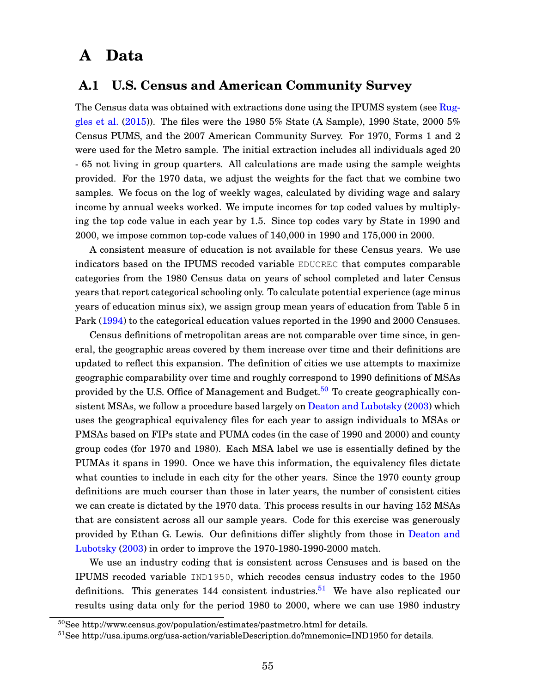## **A Data**

### **A.1 U.S. Census and American Community Survey**

The Census data was obtained with extractions done using the IPUMS system (see [Rug](#page-42-0)[gles et al.](#page-42-0) [\(2015\)](#page-42-0)). The files were the 1980 5% State (A Sample), 1990 State, 2000 5% Census PUMS, and the 2007 American Community Survey. For 1970, Forms 1 and 2 were used for the Metro sample. The initial extraction includes all individuals aged 20 - 65 not living in group quarters. All calculations are made using the sample weights provided. For the 1970 data, we adjust the weights for the fact that we combine two samples. We focus on the log of weekly wages, calculated by dividing wage and salary income by annual weeks worked. We impute incomes for top coded values by multiplying the top code value in each year by 1.5. Since top codes vary by State in 1990 and 2000, we impose common top-code values of 140,000 in 1990 and 175,000 in 2000.

A consistent measure of education is not available for these Census years. We use indicators based on the IPUMS recoded variable EDUCREC that computes comparable categories from the 1980 Census data on years of school completed and later Census years that report categorical schooling only. To calculate potential experience (age minus years of education minus six), we assign group mean years of education from Table 5 in Park [\(1994\)](#page-42-1) to the categorical education values reported in the 1990 and 2000 Censuses.

Census definitions of metropolitan areas are not comparable over time since, in general, the geographic areas covered by them increase over time and their definitions are updated to reflect this expansion. The definition of cities we use attempts to maximize geographic comparability over time and roughly correspond to 1990 definitions of MSAs provided by the U.S. Office of Management and Budget.<sup>[50](#page-55-0)</sup> To create geographically consistent MSAs, we follow a procedure based largely on [Deaton and Lubotsky](#page-40-0) [\(2003\)](#page-40-0) which uses the geographical equivalency files for each year to assign individuals to MSAs or PMSAs based on FIPs state and PUMA codes (in the case of 1990 and 2000) and county group codes (for 1970 and 1980). Each MSA label we use is essentially defined by the PUMAs it spans in 1990. Once we have this information, the equivalency files dictate what counties to include in each city for the other years. Since the 1970 county group definitions are much courser than those in later years, the number of consistent cities we can create is dictated by the 1970 data. This process results in our having 152 MSAs that are consistent across all our sample years. Code for this exercise was generously provided by Ethan G. Lewis. Our definitions differ slightly from those in [Deaton and](#page-40-0) [Lubotsky](#page-40-0) [\(2003\)](#page-40-0) in order to improve the 1970-1980-1990-2000 match.

We use an industry coding that is consistent across Censuses and is based on the IPUMS recoded variable IND1950, which recodes census industry codes to the 1950 definitions. This generates  $144$  consistent industries.<sup>[51](#page-55-1)</sup> We have also replicated our results using data only for the period 1980 to 2000, where we can use 1980 industry

<span id="page-55-0"></span><sup>50</sup>See http://www.census.gov/population/estimates/pastmetro.html for details.

<span id="page-55-1"></span><sup>&</sup>lt;sup>51</sup>See http://usa.ipums.org/usa-action/variableDescription.do?mnemonic=IND1950 for details.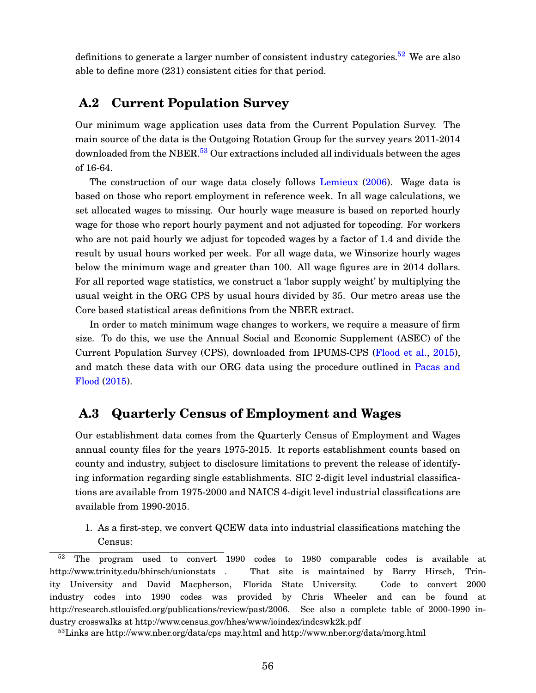definitions to generate a larger number of consistent industry categories.<sup>[52](#page-56-0)</sup> We are also able to define more (231) consistent cities for that period.

### **A.2 Current Population Survey**

Our minimum wage application uses data from the Current Population Survey. The main source of the data is the Outgoing Rotation Group for the survey years 2011-2014 downloaded from the NBER.<sup>[53](#page-56-1)</sup> Our extractions included all individuals between the ages of 16-64.

The construction of our wage data closely follows [Lemieux](#page-41-0) [\(2006\)](#page-41-0). Wage data is based on those who report employment in reference week. In all wage calculations, we set allocated wages to missing. Our hourly wage measure is based on reported hourly wage for those who report hourly payment and not adjusted for topcoding. For workers who are not paid hourly we adjust for topcoded wages by a factor of 1.4 and divide the result by usual hours worked per week. For all wage data, we Winsorize hourly wages below the minimum wage and greater than 100. All wage figures are in 2014 dollars. For all reported wage statistics, we construct a 'labor supply weight' by multiplying the usual weight in the ORG CPS by usual hours divided by 35. Our metro areas use the Core based statistical areas definitions from the NBER extract.

In order to match minimum wage changes to workers, we require a measure of firm size. To do this, we use the Annual Social and Economic Supplement (ASEC) of the Current Population Survey (CPS), downloaded from IPUMS-CPS [\(Flood et al.,](#page-41-1) [2015\)](#page-41-1), and match these data with our ORG data using the procedure outlined in [Pacas and](#page-42-2) [Flood](#page-42-2) [\(2015\)](#page-42-2).

### **A.3 Quarterly Census of Employment and Wages**

Our establishment data comes from the Quarterly Census of Employment and Wages annual county files for the years 1975-2015. It reports establishment counts based on county and industry, subject to disclosure limitations to prevent the release of identifying information regarding single establishments. SIC 2-digit level industrial classifications are available from 1975-2000 and NAICS 4-digit level industrial classifications are available from 1990-2015.

1. As a first-step, we convert QCEW data into industrial classifications matching the Census:

<span id="page-56-0"></span><sup>&</sup>lt;sup>52</sup> The program used to convert 1990 codes to 1980 comparable codes is available at http://www.trinity.edu/bhirsch/unionstats . That site is maintained by Barry Hirsch, Trinity University and David Macpherson, Florida State University. Code to convert 2000 industry codes into 1990 codes was provided by Chris Wheeler and can be found at http://research.stlouisfed.org/publications/review/past/2006. See also a complete table of 2000-1990 industry crosswalks at http://www.census.gov/hhes/www/ioindex/indcswk2k.pdf

<span id="page-56-1"></span><sup>&</sup>lt;sup>53</sup>Links are http://www.nber.org/data/cps\_may.html and http://www.nber.org/data/morg.html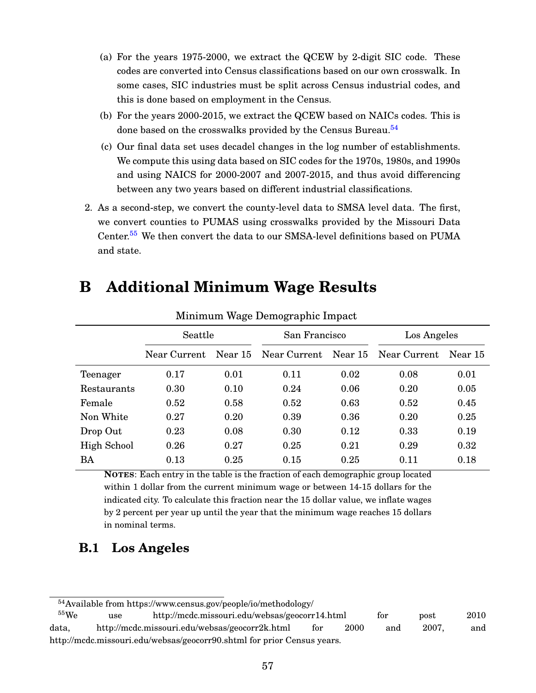- (a) For the years 1975-2000, we extract the QCEW by 2-digit SIC code. These codes are converted into Census classifications based on our own crosswalk. In some cases, SIC industries must be split across Census industrial codes, and this is done based on employment in the Census.
- (b) For the years 2000-2015, we extract the QCEW based on NAICs codes. This is done based on the crosswalks provided by the Census Bureau.<sup>[54](#page-57-1)</sup>
- (c) Our final data set uses decadel changes in the log number of establishments. We compute this using data based on SIC codes for the 1970s, 1980s, and 1990s and using NAICS for 2000-2007 and 2007-2015, and thus avoid differencing between any two years based on different industrial classifications.
- 2. As a second-step, we convert the county-level data to SMSA level data. The first, we convert counties to PUMAS using crosswalks provided by the Missouri Data Center.[55](#page-57-2) We then convert the data to our SMSA-level definitions based on PUMA and state.

# <span id="page-57-0"></span>**B Additional Minimum Wage Results**

|             |              | ີ       | ີ             |         |              |         |
|-------------|--------------|---------|---------------|---------|--------------|---------|
|             | Seattle      |         | San Francisco |         | Los Angeles  |         |
|             | Near Current | Near 15 | Near Current  | Near 15 | Near Current | Near 15 |
| Teenager    | 0.17         | 0.01    | 0.11          | 0.02    | 0.08         | 0.01    |
| Restaurants | 0.30         | 0.10    | 0.24          | 0.06    | 0.20         | 0.05    |
| Female      | 0.52         | 0.58    | 0.52          | 0.63    | 0.52         | 0.45    |
| Non White   | 0.27         | 0.20    | 0.39          | 0.36    | 0.20         | 0.25    |
| Drop Out    | 0.23         | 0.08    | 0.30          | 0.12    | 0.33         | 0.19    |
| High School | 0.26         | 0.27    | 0.25          | 0.21    | 0.29         | 0.32    |
| BA          | 0.13         | 0.25    | 0.15          | 0.25    | 0.11         | 0.18    |

Minimum Wage Demographic Impact

**NOTES**: Each entry in the table is the fraction of each demographic group located within 1 dollar from the current minimum wage or between 14-15 dollars for the indicated city. To calculate this fraction near the 15 dollar value, we inflate wages by 2 percent per year up until the year that the minimum wage reaches 15 dollars in nominal terms.

## **B.1 Los Angeles**

<span id="page-57-2"></span><span id="page-57-1"></span><sup>54</sup>Available from https://www.census.gov/people/io/methodology/

<sup>55</sup>We use http://mcdc.missouri.edu/websas/geocorr14.html for post 2010 data, http://mcdc.missouri.edu/websas/geocorr2k.html for 2000 and 2007, and http://mcdc.missouri.edu/websas/geocorr90.shtml for prior Census years.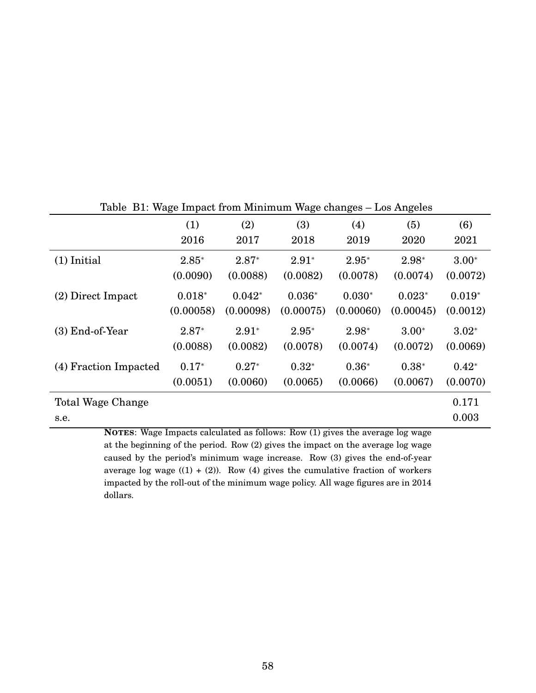|                          | ັ         |           | ັ         | ັ         | $\check{ }$ |          |
|--------------------------|-----------|-----------|-----------|-----------|-------------|----------|
|                          | (1)       | (2)       | (3)       | (4)       | (5)         | (6)      |
|                          | 2016      | 2017      | 2018      | 2019      | 2020        | 2021     |
| $(1)$ Initial            | $2.85*$   | $2.87*$   | $2.91*$   | $2.95*$   | $2.98*$     | $3.00*$  |
|                          | (0.0090)  | (0.0088)  | (0.0082)  | (0.0078)  | (0.0074)    | (0.0072) |
| (2) Direct Impact        | $0.018*$  | $0.042*$  | $0.036*$  | $0.030*$  | $0.023*$    | $0.019*$ |
|                          | (0.00058) | (0.00098) | (0.00075) | (0.00060) | (0.00045)   | (0.0012) |
| $(3)$ End-of-Year        | $2.87*$   | $2.91*$   | $2.95*$   | $2.98*$   | $3.00*$     | $3.02*$  |
|                          | (0.0088)  | (0.0082)  | (0.0078)  | (0.0074)  | (0.0072)    | (0.0069) |
| (4) Fraction Impacted    | $0.17*$   | $0.27*$   | $0.32*$   | $0.36*$   | $0.38*$     | $0.42*$  |
|                          | (0.0051)  | (0.0060)  | (0.0065)  | (0.0066)  | (0.0067)    | (0.0070) |
| <b>Total Wage Change</b> |           |           |           |           |             | 0.171    |
| s.e.                     |           |           |           |           |             | 0.003    |

Table B1: Wage Impact from Minimum Wage changes – Los Angeles

**NOTES**: Wage Impacts calculated as follows: Row (1) gives the average log wage at the beginning of the period. Row (2) gives the impact on the average log wage caused by the period's minimum wage increase. Row (3) gives the end-of-year average log wage  $((1) + (2))$ . Row  $(4)$  gives the cumulative fraction of workers impacted by the roll-out of the minimum wage policy. All wage figures are in 2014 dollars.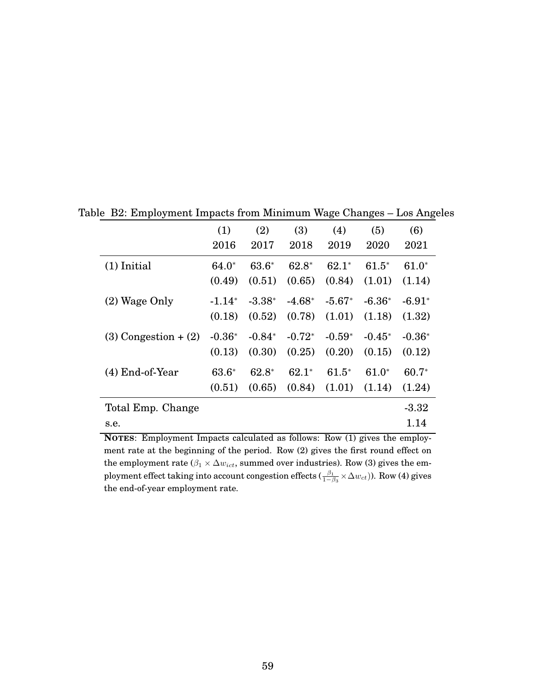|                          | (1)      | (2)      | (3)      | (4)      | (5)      | (6)      |
|--------------------------|----------|----------|----------|----------|----------|----------|
|                          | 2016     | 2017     | 2018     | 2019     | 2020     | 2021     |
| $(1)$ Initial            | $64.0*$  | $63.6*$  | $62.8*$  | $62.1*$  | $61.5*$  | $61.0*$  |
|                          | (0.49)   | (0.51)   | (0.65)   | (0.84)   | (1.01)   | (1.14)   |
| (2) Wage Only            | $-1.14*$ | $-3.38*$ | $-4.68*$ | $-5.67*$ | $-6.36*$ | $-6.91*$ |
|                          | (0.18)   | (0.52)   | (0.78)   | (1.01)   | (1.18)   | (1.32)   |
| $(3)$ Congestion + $(2)$ | $-0.36*$ | $-0.84*$ | $-0.72*$ | $-0.59*$ | $-0.45*$ | $-0.36*$ |
|                          | (0.13)   | (0.30)   | (0.25)   | (0.20)   | (0.15)   | (0.12)   |
| $(4)$ End-of-Year        | $63.6*$  | $62.8*$  | $62.1*$  | $61.5*$  | $61.0*$  | $60.7*$  |
|                          | (0.51)   | (0.65)   | (0.84)   | (1.01)   | (1.14)   | (1.24)   |
| Total Emp. Change        |          |          |          |          |          | $-3.32$  |
| s.e.                     |          |          |          |          |          | 1.14     |

Table B2: Employment Impacts from Minimum Wage Changes – Los Angeles

**NOTES**: Employment Impacts calculated as follows: Row (1) gives the employment rate at the beginning of the period. Row (2) gives the first round effect on the employment rate ( $\beta_1 \times \Delta w_{ict}$ , summed over industries). Row (3) gives the employment effect taking into account congestion effects ( $\frac{\beta_1}{1-\beta_3}\times \Delta w_{ct}$ )). Row (4) gives the end-of-year employment rate.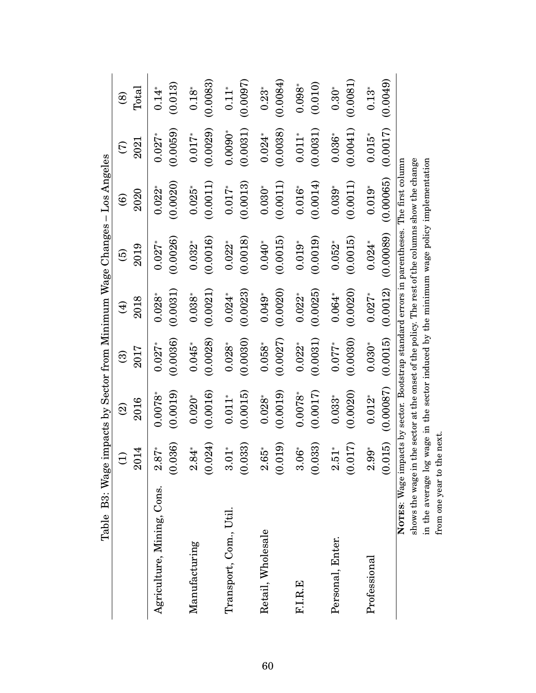| Table B3: Wage impacts by Sector from Minimum Wage Changes –                                                                                                                                                                                                                                |                                         |                       |                      |                      |                       | Los Angeles              |                          |                           |
|---------------------------------------------------------------------------------------------------------------------------------------------------------------------------------------------------------------------------------------------------------------------------------------------|-----------------------------------------|-----------------------|----------------------|----------------------|-----------------------|--------------------------|--------------------------|---------------------------|
|                                                                                                                                                                                                                                                                                             | $\ominus$                               | $\widehat{2}$         | ම                    | $\bigoplus$          | $\widehat{\Theta}$    | $\widehat{\mathfrak{S}}$ | $\widehat{C}$            | $\circledS$               |
|                                                                                                                                                                                                                                                                                             | 2014                                    | 2016                  | 2017                 | 2018                 | 2019                  | 2020                     | 2021                     | $\rm Total$               |
| $\rm{Agriculture, Mining, Cons.}$                                                                                                                                                                                                                                                           | .036<br>$2.87*$                         | (0.0019)<br>$0.0078*$ | (0.0036)<br>$0.027*$ | (0.0031)<br>$0.028*$ | (0.0026)<br>$0.027*$  | (0.0020)<br>$0.022*$     | (0.0059)<br>$0.027*$     | (0.013)<br>$0.14*$        |
| Manufacturing                                                                                                                                                                                                                                                                               | (0.024)<br>$2.84*$                      | (0.0016)<br>$0.020*$  | (0.0028)<br>$0.045*$ | (0.0021)<br>$0.038*$ | (0.0016)<br>$0.032*$  | (0.0011)<br>$0.025*$     | (0.0029)<br>$0.017*$     | (0.0083)<br>$0.18*$       |
| Transport, Com., Util                                                                                                                                                                                                                                                                       | .033)<br>$3.01*$<br>က<br>$\circledcirc$ | (0.0015)<br>$0.011*$  | (0.0030)<br>$0.028*$ | (0.0023)<br>$0.024*$ | (0.0018)<br>$0.022*$  | (0.0013)<br>$0.017*$     | (0.0031)<br>$0.0090^{*}$ | (0.0097)<br>$0.11*$       |
| Retail, Wholesale                                                                                                                                                                                                                                                                           | 0.019<br>$2.65*$<br>$\circledcirc$      | (0.0019)<br>$0.028*$  | (0.0027)<br>$0.058*$ | (0.0020)<br>$0.049*$ | (0.0015)<br>$0.040*$  | (0.0011)<br>$0.030*$     | (0.0038)<br>$0.024*$     | (0.0084)<br>$0.23*$       |
| F.I.R.E                                                                                                                                                                                                                                                                                     | 0.033<br>$3.06*$<br>က<br>$\circledcirc$ | (0.0017)<br>$0.0078*$ | (0.0031)<br>$0.022*$ | (0.0025)<br>$0.022*$ | (0.0019)<br>$0.019*$  | (0.0014)<br>$0.016*$     | (0.0031)<br>$0.011*$     | (0.010)<br>$0.098*$       |
| Personal, Enter.                                                                                                                                                                                                                                                                            | (210.6)<br>$2.51*$<br>$\circ$           | (0.0020)<br>$0.033*$  | (0.0030)<br>$0.077*$ | (0.0020)<br>$0.064*$ | (0.0015)<br>$0.052*$  | (0.0011)<br>$0.039*$     | (0.0041)<br>$0.036*$     | (0.0081)<br>$0.30*$       |
| Professional                                                                                                                                                                                                                                                                                | (0.015)<br>$2.99*$                      | (0.00087)<br>$0.012*$ | (0.0015)<br>$0.030*$ | (0.0012)<br>$0.027*$ | (0.00089)<br>$0.024*$ | (0.00065)<br>$0.019*$    | (0.0017)<br>$0.015*$     | (0.0049)<br>$0.13^{\ast}$ |
| shows the wage in the sector at the onset of the policy. The rest of the columns show the change<br>in the average log wage in the sector induced by the minimum wage policy implementation<br>NOTES: Wage impacts by sector. Bootstrap standard errors in parentheses.<br>from one year to | the next.                               |                       |                      |                      |                       | The first column         |                          |                           |

| ֧֝֟֟֓֟֓֟֓֟׆<br>֪֪֪֪֪֪֪֚֝֝֝                         |
|----------------------------------------------------|
|                                                    |
| J                                                  |
|                                                    |
|                                                    |
| てくそくく<br>)                                         |
| ï                                                  |
|                                                    |
| -<br>{<br>{                                        |
| <br> <br>                                          |
|                                                    |
|                                                    |
|                                                    |
|                                                    |
| - CASCAT ASCHOOL ATA UFCUSAT CU<br> <br> <br> <br> |
|                                                    |
|                                                    |
|                                                    |
|                                                    |
|                                                    |
|                                                    |
|                                                    |
| ว<br>ว                                             |
| l                                                  |
| $\frac{1}{2}$<br>$\frac{1}{2}$                     |
|                                                    |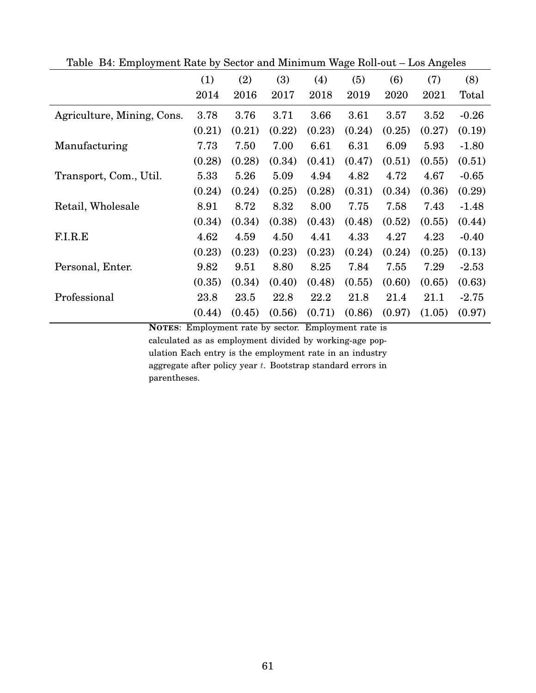|                            | (1)    | (2)    | (3)    | (4)    | (5)    | (6)    | (7)    | (8)     |
|----------------------------|--------|--------|--------|--------|--------|--------|--------|---------|
|                            | 2014   | 2016   | 2017   | 2018   | 2019   | 2020   | 2021   | Total   |
| Agriculture, Mining, Cons. | 3.78   | 3.76   | 3.71   | 3.66   | 3.61   | 3.57   | 3.52   | $-0.26$ |
|                            | (0.21) | (0.21) | (0.22) | (0.23) | (0.24) | (0.25) | (0.27) | (0.19)  |
| Manufacturing              | 7.73   | 7.50   | 7.00   | 6.61   | 6.31   | 6.09   | 5.93   | $-1.80$ |
|                            | (0.28) | (0.28) | (0.34) | (0.41) | (0.47) | (0.51) | (0.55) | (0.51)  |
| Transport, Com., Util.     | 5.33   | 5.26   | 5.09   | 4.94   | 4.82   | 4.72   | 4.67   | $-0.65$ |
|                            | (0.24) | (0.24) | (0.25) | (0.28) | (0.31) | (0.34) | (0.36) | (0.29)  |
| Retail, Wholesale          | 8.91   | 8.72   | 8.32   | 8.00   | 7.75   | 7.58   | 7.43   | $-1.48$ |
|                            | (0.34) | (0.34) | (0.38) | (0.43) | (0.48) | (0.52) | (0.55) | (0.44)  |
| F.I.R.E                    | 4.62   | 4.59   | 4.50   | 4.41   | 4.33   | 4.27   | 4.23   | $-0.40$ |
|                            | (0.23) | (0.23) | (0.23) | (0.23) | (0.24) | (0.24) | (0.25) | (0.13)  |
| Personal, Enter.           | 9.82   | 9.51   | 8.80   | 8.25   | 7.84   | 7.55   | 7.29   | $-2.53$ |
|                            | (0.35) | (0.34) | (0.40) | (0.48) | (0.55) | (0.60) | (0.65) | (0.63)  |
| Professional               | 23.8   | 23.5   | 22.8   | 22.2   | 21.8   | 21.4   | 21.1   | $-2.75$ |
|                            | (0.44) | (0.45) | (0.56) | (0.71) | (0.86) | (0.97) | (1.05) | (0.97)  |

Table B4: Employment Rate by Sector and Minimum Wage Roll-out – Los Angeles

**NOTES**: Employment rate by sector. Employment rate is calculated as as employment divided by working-age population Each entry is the employment rate in an industry aggregate after policy year  $t$ . Bootstrap standard errors in parentheses.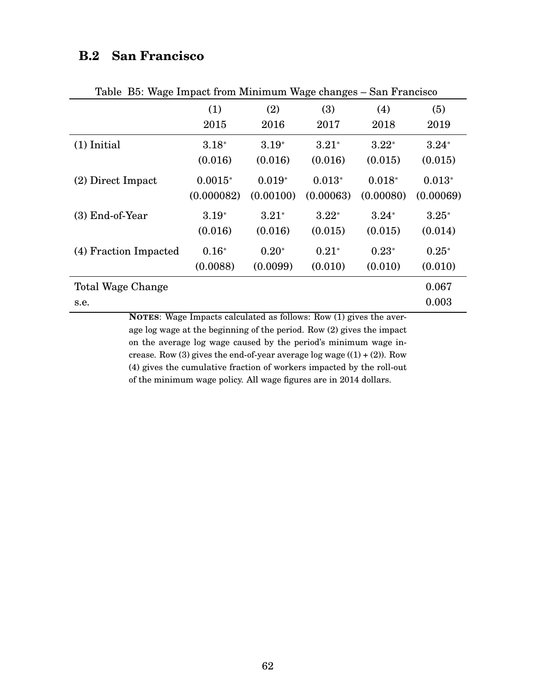## **B.2 San Francisco**

| Table Do. Wage Impace if our Minimum wage changes |                                                                   |           |           | Wall I Tallviov |           |
|---------------------------------------------------|-------------------------------------------------------------------|-----------|-----------|-----------------|-----------|
|                                                   | (1)                                                               | (2)       | (3)       | (4)             | (5)       |
|                                                   | 2015                                                              | 2016      | 2017      | 2018            | 2019      |
| $(1)$ Initial                                     | $3.18*$                                                           | $3.19*$   | $3.21*$   | $3.22*$         | $3.24*$   |
|                                                   | (0.016)                                                           | (0.016)   | (0.016)   | (0.015)         | (0.015)   |
| (2) Direct Impact                                 | $0.0015*$                                                         | $0.019*$  | $0.013*$  | $0.018*$        | $0.013*$  |
|                                                   | (0.000082)                                                        | (0.00100) | (0.00063) | (0.00080)       | (0.00069) |
| $(3)$ End-of-Year                                 | $3.19*$                                                           | $3.21*$   | $3.22*$   | $3.24*$         | $3.25*$   |
|                                                   | (0.016)                                                           | (0.016)   | (0.015)   | (0.015)         | (0.014)   |
| (4) Fraction Impacted                             | $0.16*$                                                           | $0.20*$   | $0.21*$   | $0.23*$         | $0.25*$   |
|                                                   | (0.0088)                                                          | (0.0099)  | (0.010)   | (0.010)         | (0.010)   |
| Total Wage Change                                 |                                                                   |           |           |                 | 0.067     |
| s.e.                                              |                                                                   |           |           |                 | 0.003     |
|                                                   | Norma, Wage Impects coloulated as follows: Day (1) gives the even |           |           |                 |           |

Table B5: Wage Impact from Minimum Wage changes – San Francisco

**NOTES**: Wage Impacts calculated as follows: Row (1) gives the average log wage at the beginning of the period. Row (2) gives the impact on the average log wage caused by the period's minimum wage increase. Row (3) gives the end-of-year average log wage  $((1) + (2))$ . Row (4) gives the cumulative fraction of workers impacted by the roll-out of the minimum wage policy. All wage figures are in 2014 dollars.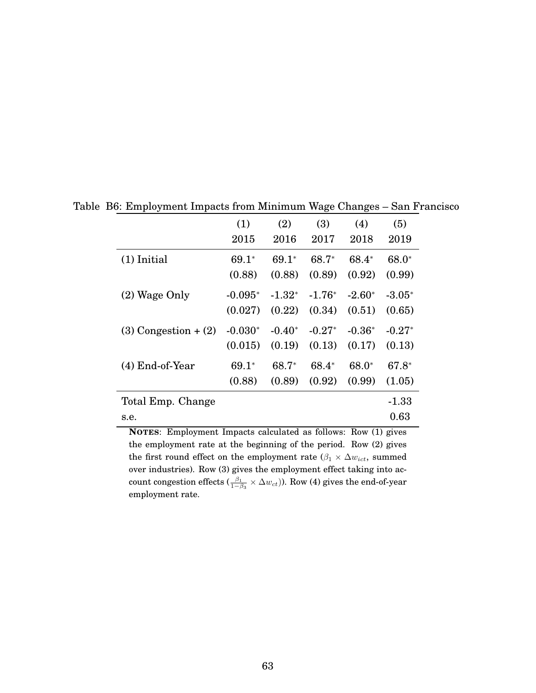|                                   | (1)        | (2)                                           | (3)        | (4)                   | (5)      |
|-----------------------------------|------------|-----------------------------------------------|------------|-----------------------|----------|
|                                   | 2015       | 2016                                          | 2017       | 2018                  | 2019     |
| $(1)$ Initial                     | $69.1*$    | $69.1*$                                       | $68.7*$    | $68.4*$               | $68.0*$  |
|                                   | (0.88)     | (0.88)                                        | (0.89)     | (0.92)                | (0.99)   |
| (2) Wage Only                     | $-0.095*$  | $-1.32*$                                      | $-1.76*$   | $-2.60*$              | $-3.05*$ |
|                                   | (0.027)    | (0.22)                                        | (0.34)     | (0.51)                | (0.65)   |
| $(3)$ Congestion + $(2)$          | $-0.030*$  | $-0.40*$                                      | $-0.27*$   | $-0.36*$              | $-0.27*$ |
|                                   | (0.015)    | (0.19)                                        | (0.13)     | (0.17)                | (0.13)   |
| $(4)$ End-of-Year                 | $69.1*$    | $68.7*$                                       | 68.4*      | 68.0*                 | 67.8*    |
|                                   | (0.88)     | (0.89)                                        | (0.92)     | (0.99)                | (1.05)   |
| Total Emp. Change                 |            |                                               |            |                       | $-1.33$  |
| s.e.<br>. . 1 .<br>$Nomna$ . $ii$ | $\perp$ T. | $\pm 1.5$ , $\pm 1.5$ , $\pm 1.5$ , $\pm 1.5$ | $C - 11$ . | $\mathbf{D}$ .<br>(1) | 0.63     |

Table B6: Employment Impacts from Minimum Wage Changes – San Francisco

**NOTES**: Employment Impacts calculated as follows: Row (1) gives the employment rate at the beginning of the period. Row (2) gives the first round effect on the employment rate ( $\beta_1 \times \Delta w_{ict}$ , summed over industries). Row (3) gives the employment effect taking into account congestion effects ( $\frac{\beta_1}{1-\beta_3}\times \Delta w_{ct})$ ). Row (4) gives the end-of-year employment rate.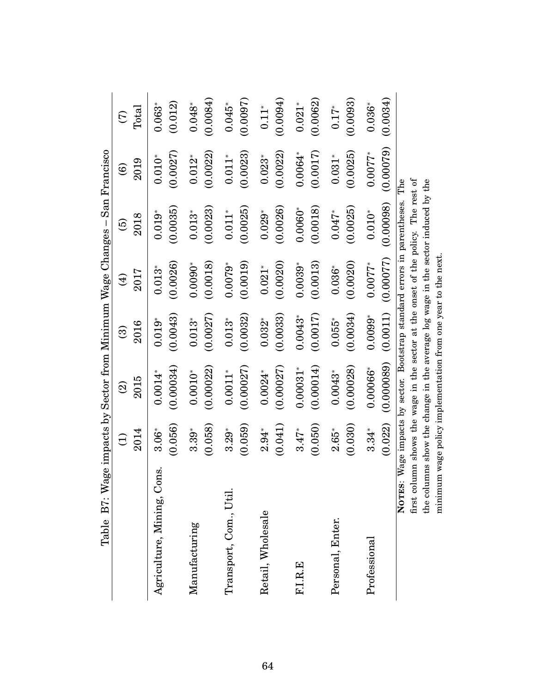| Table B7: Wage impacts by Sector from Minimum Wage Changes – San Francisco |                 |                                                                                                                                                                                                                                                                                                             |           |             |                        |                        |               |
|----------------------------------------------------------------------------|-----------------|-------------------------------------------------------------------------------------------------------------------------------------------------------------------------------------------------------------------------------------------------------------------------------------------------------------|-----------|-------------|------------------------|------------------------|---------------|
|                                                                            | $\widehat{\Xi}$ | $\odot$                                                                                                                                                                                                                                                                                                     | ම         | $\bigoplus$ | $\widehat{\mathbf{b}}$ | $\widehat{\mathbf{e}}$ | $\widehat{C}$ |
|                                                                            | 2014            | 2015                                                                                                                                                                                                                                                                                                        | 2016      | 2017        | 2018                   | 2019                   | Total         |
| Agriculture, Mining, Cons.                                                 | (0.056)         | (0.00034)                                                                                                                                                                                                                                                                                                   | (0.0043)  | (0.0026)    | (0.0035)               | (0.0027)               | (0.012)       |
|                                                                            | $3.06*$         | $0.0014*$                                                                                                                                                                                                                                                                                                   | $0.019*$  | $0.013*$    | $0.019*$               | $0.010*$               | $0.063*$      |
| Manufacturing                                                              | (0.058)         | (0.00022)                                                                                                                                                                                                                                                                                                   | (0.0027)  | (0.0018)    | (0.0023)               | (0.0022)               | (0.0084)      |
|                                                                            | $3.39*$         | $0.0010*$                                                                                                                                                                                                                                                                                                   | $0.013*$  | $0.0090*$   | $0.013*$               | $0.012*$               | $0.048*$      |
| Transport, Com., Util.                                                     | (0.059)         | (0.00027)                                                                                                                                                                                                                                                                                                   | (0.0032)  | (0.0019)    | (0.0025)               | (0.0023)               | (0.0097)      |
|                                                                            | $3.29*$         | $0.0011*$                                                                                                                                                                                                                                                                                                   | $0.013*$  | $0.0079*$   | $0.011*$               | $0.011*$               | $0.045*$      |
| Retail, Wholesale                                                          | (0.041)         | (0.00027)                                                                                                                                                                                                                                                                                                   | (0.0033)  | (0.0020)    | (0.0026)               | (0.0022)               | (0.0094)      |
|                                                                            | 2.94*           | $0.0024*$                                                                                                                                                                                                                                                                                                   | $0.032*$  | $0.021*$    | $0.029*$               | $0.023*$               | $0.11*$       |
| <b>F.I.R.E</b>                                                             | (0.050)         | (0.00014)                                                                                                                                                                                                                                                                                                   | (0.0017)  | (0.0013)    | (0.0018)               | (0.0017)               | (0.0062)      |
|                                                                            | $3.47*$         | $0.00031*$                                                                                                                                                                                                                                                                                                  | $0.0043*$ | $0.0039*$   | $0.0060*$              | $0.0064*$              | $0.021*$      |
| Personal, Enter.                                                           | (0.030)         | (0.00028)                                                                                                                                                                                                                                                                                                   | (0.0034)  | (0.0020)    | (0.0025)               | (0.0025)               | (0.0093)      |
|                                                                            | $2.65*$         | $0.0043*$                                                                                                                                                                                                                                                                                                   | $0.055*$  | $0.036*$    | $0.047*$               | $0.031*$               | $0.17*$       |
| Professional                                                               | (0.022)         | (0.000089)                                                                                                                                                                                                                                                                                                  | (0.0011)  | (0.00077)   | (0.00098)              | (0.00079)              | (0.0034)      |
|                                                                            | $3.34*$         | $0.00066*$                                                                                                                                                                                                                                                                                                  | $0.0099*$ | $0.0077*$   | $0.010*$               | $0.0077*$              | $0.036*$      |
| NOTES:                                                                     |                 | first column shows the wage in the sector at the onset of the policy. The rest of<br>the columns show the change in the average log wage in the sector induced by the<br>Wage impacts by sector. Bootstrap standard errors in parentheses.<br>minimum wage policy implementation from one year to the next. |           |             |                        | The                    |               |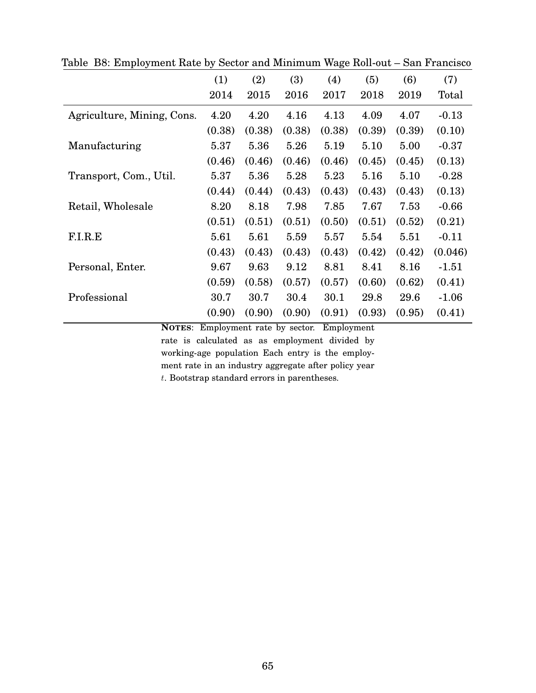|                            | (1)    | (2)    | (3)    | (4)    | (5)    | (6)    | (7)     |
|----------------------------|--------|--------|--------|--------|--------|--------|---------|
|                            | 2014   | 2015   | 2016   | 2017   | 2018   | 2019   | Total   |
| Agriculture, Mining, Cons. | 4.20   | 4.20   | 4.16   | 4.13   | 4.09   | 4.07   | $-0.13$ |
|                            | (0.38) | (0.38) | (0.38) | (0.38) | (0.39) | (0.39) | (0.10)  |
| Manufacturing              | 5.37   | 5.36   | 5.26   | 5.19   | 5.10   | 5.00   | $-0.37$ |
|                            | (0.46) | (0.46) | (0.46) | (0.46) | (0.45) | (0.45) | (0.13)  |
| Transport, Com., Util.     | 5.37   | 5.36   | 5.28   | 5.23   | 5.16   | 5.10   | $-0.28$ |
|                            | (0.44) | (0.44) | (0.43) | (0.43) | (0.43) | (0.43) | (0.13)  |
| Retail, Wholesale          | 8.20   | 8.18   | 7.98   | 7.85   | 7.67   | 7.53   | $-0.66$ |
|                            | (0.51) | (0.51) | (0.51) | (0.50) | (0.51) | (0.52) | (0.21)  |
| F.I.R.E                    | 5.61   | 5.61   | 5.59   | 5.57   | 5.54   | 5.51   | $-0.11$ |
|                            | (0.43) | (0.43) | (0.43) | (0.43) | (0.42) | (0.42) | (0.046) |
| Personal, Enter.           | 9.67   | 9.63   | 9.12   | 8.81   | 8.41   | 8.16   | $-1.51$ |
|                            | (0.59) | (0.58) | (0.57) | (0.57) | (0.60) | (0.62) | (0.41)  |
| Professional               | 30.7   | 30.7   | 30.4   | 30.1   | 29.8   | 29.6   | $-1.06$ |
|                            | (0.90) | (0.90) | (0.90) | (0.91) | (0.93) | (0.95) | (0.41)  |

Table B8: Employment Rate by Sector and Minimum Wage Roll-out – San Francisco

**NOTES**: Employment rate by sector. Employment

rate is calculated as as employment divided by working-age population Each entry is the employment rate in an industry aggregate after policy year t. Bootstrap standard errors in parentheses.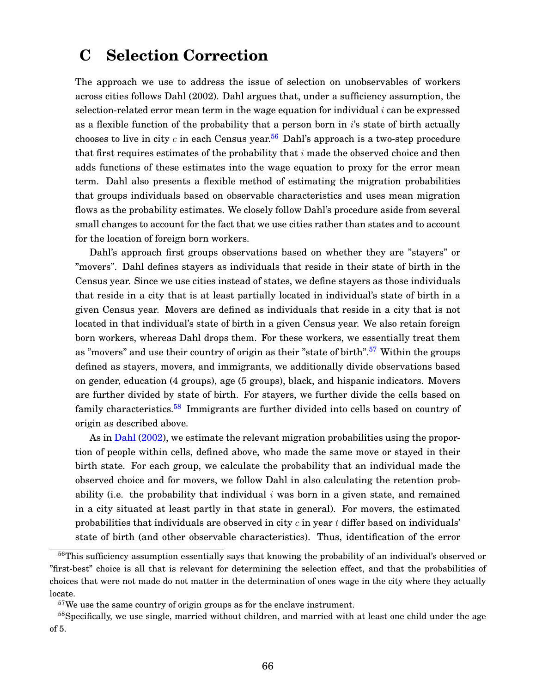## **C Selection Correction**

The approach we use to address the issue of selection on unobservables of workers across cities follows Dahl (2002). Dahl argues that, under a sufficiency assumption, the selection-related error mean term in the wage equation for individual  $i$  can be expressed as a flexible function of the probability that a person born in  $i$ 's state of birth actually chooses to live in city  $c$  in each Census year.<sup>[56](#page-66-0)</sup> Dahl's approach is a two-step procedure that first requires estimates of the probability that  $i$  made the observed choice and then adds functions of these estimates into the wage equation to proxy for the error mean term. Dahl also presents a flexible method of estimating the migration probabilities that groups individuals based on observable characteristics and uses mean migration flows as the probability estimates. We closely follow Dahl's procedure aside from several small changes to account for the fact that we use cities rather than states and to account for the location of foreign born workers.

Dahl's approach first groups observations based on whether they are "stayers" or "movers". Dahl defines stayers as individuals that reside in their state of birth in the Census year. Since we use cities instead of states, we define stayers as those individuals that reside in a city that is at least partially located in individual's state of birth in a given Census year. Movers are defined as individuals that reside in a city that is not located in that individual's state of birth in a given Census year. We also retain foreign born workers, whereas Dahl drops them. For these workers, we essentially treat them as "movers" and use their country of origin as their "state of birth".<sup>[57](#page-66-1)</sup> Within the groups defined as stayers, movers, and immigrants, we additionally divide observations based on gender, education (4 groups), age (5 groups), black, and hispanic indicators. Movers are further divided by state of birth. For stayers, we further divide the cells based on family characteristics.<sup>[58](#page-66-2)</sup> Immigrants are further divided into cells based on country of origin as described above.

As in [Dahl](#page-40-1) [\(2002\)](#page-40-1), we estimate the relevant migration probabilities using the proportion of people within cells, defined above, who made the same move or stayed in their birth state. For each group, we calculate the probability that an individual made the observed choice and for movers, we follow Dahl in also calculating the retention probability (i.e. the probability that individual  $i$  was born in a given state, and remained in a city situated at least partly in that state in general). For movers, the estimated probabilities that individuals are observed in city  $c$  in year  $t$  differ based on individuals' state of birth (and other observable characteristics). Thus, identification of the error

<span id="page-66-0"></span><sup>&</sup>lt;sup>56</sup>This sufficiency assumption essentially says that knowing the probability of an individual's observed or "first-best" choice is all that is relevant for determining the selection effect, and that the probabilities of choices that were not made do not matter in the determination of ones wage in the city where they actually locate.

<span id="page-66-2"></span><span id="page-66-1"></span><sup>&</sup>lt;sup>57</sup>We use the same country of origin groups as for the enclave instrument.

<sup>&</sup>lt;sup>58</sup>Specifically, we use single, married without children, and married with at least one child under the age of 5.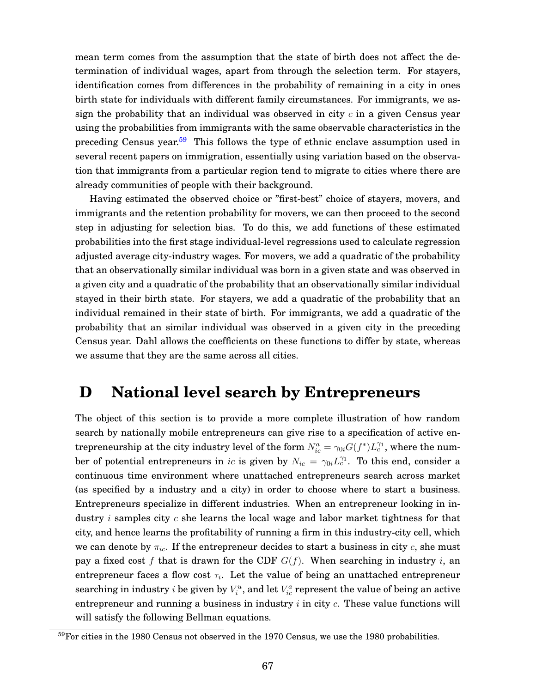mean term comes from the assumption that the state of birth does not affect the determination of individual wages, apart from through the selection term. For stayers, identification comes from differences in the probability of remaining in a city in ones birth state for individuals with different family circumstances. For immigrants, we assign the probability that an individual was observed in city  $c$  in a given Census year using the probabilities from immigrants with the same observable characteristics in the preceding Census year.[59](#page-67-0) This follows the type of ethnic enclave assumption used in several recent papers on immigration, essentially using variation based on the observation that immigrants from a particular region tend to migrate to cities where there are already communities of people with their background.

Having estimated the observed choice or "first-best" choice of stayers, movers, and immigrants and the retention probability for movers, we can then proceed to the second step in adjusting for selection bias. To do this, we add functions of these estimated probabilities into the first stage individual-level regressions used to calculate regression adjusted average city-industry wages. For movers, we add a quadratic of the probability that an observationally similar individual was born in a given state and was observed in a given city and a quadratic of the probability that an observationally similar individual stayed in their birth state. For stayers, we add a quadratic of the probability that an individual remained in their state of birth. For immigrants, we add a quadratic of the probability that an similar individual was observed in a given city in the preceding Census year. Dahl allows the coefficients on these functions to differ by state, whereas we assume that they are the same across all cities.

## **D National level search by Entrepreneurs**

The object of this section is to provide a more complete illustration of how random search by nationally mobile entrepreneurs can give rise to a specification of active entrepreneurship at the city industry level of the form  $N_{ic}^a = \gamma_{0i} G(f^*) L_c^{\gamma_1}$ , where the number of potential entrepreneurs in ic is given by  $N_{ic} = \gamma_{0i} L_c^{\gamma_1}$ . To this end, consider a continuous time environment where unattached entrepreneurs search across market (as specified by a industry and a city) in order to choose where to start a business. Entrepreneurs specialize in different industries. When an entrepreneur looking in industry *i* samples city  $c$  she learns the local wage and labor market tightness for that city, and hence learns the profitability of running a firm in this industry-city cell, which we can denote by  $\pi_{ic}$ . If the entrepreneur decides to start a business in city c, she must pay a fixed cost f that is drawn for the CDF  $G(f)$ . When searching in industry i, an entrepreneur faces a flow cost  $\tau_i.$  Let the value of being an unattached entrepreneur searching in industry  $i$  be given by  $V_i^u$ , and let  $V_{ic}^a$  represent the value of being an active entrepreneur and running a business in industry  $i$  in city  $c$ . These value functions will will satisfy the following Bellman equations.

<span id="page-67-0"></span> $59$  For cities in the 1980 Census not observed in the 1970 Census, we use the 1980 probabilities.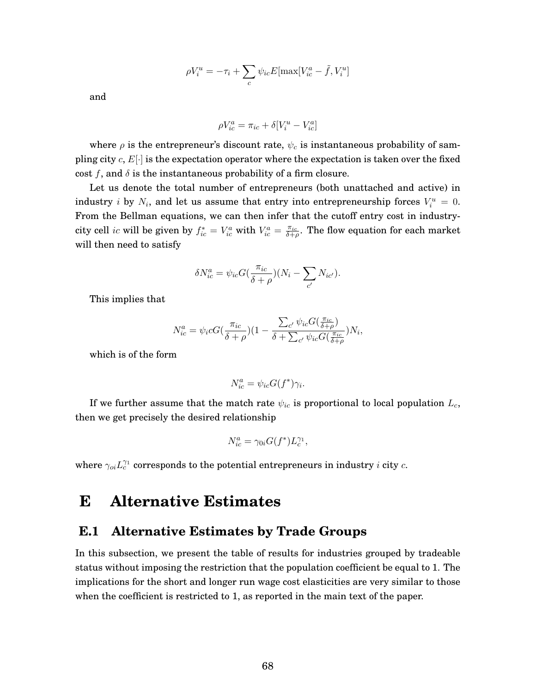$$
\rho V_i^u = -\tau_i + \sum_c \psi_{ic} E[\max[V_{ic}^a - \tilde{f}, V_i^u]
$$

and

$$
\rho V_{ic}^a = \pi_{ic} + \delta[V_i^u - V_{ic}^a]
$$

where  $\rho$  is the entrepreneur's discount rate,  $\psi_c$  is instantaneous probability of sampling city c,  $E[\cdot]$  is the expectation operator where the expectation is taken over the fixed cost f, and  $\delta$  is the instantaneous probability of a firm closure.

Let us denote the total number of entrepreneurs (both unattached and active) in industry *i* by  $N_i$ , and let us assume that entry into entrepreneurship forces  $V_i^u = 0$ . From the Bellman equations, we can then infer that the cutoff entry cost in industrycity cell ic will be given by  $f_{ic}^* = V_{ic}^a$  with  $V_{ic}^a = \frac{\pi_{ic}}{\delta + \rho}$ . The flow equation for each market will then need to satisfy

$$
\delta N_{ic}^a = \psi_{ic} G(\frac{\pi_{ic}}{\delta + \rho})(N_i - \sum_{c'} N_{ic'}).
$$

This implies that

$$
N_{ic}^{a} = \psi_{i} c G(\frac{\pi_{ic}}{\delta + \rho})(1 - \frac{\sum_{c'} \psi_{ic} G(\frac{\pi_{ic}}{\delta + \rho})}{\delta + \sum_{c'} \psi_{ic} G(\frac{\pi_{ic}}{\delta + \rho})} )N_{i},
$$

which is of the form

$$
N_{ic}^a = \psi_{ic} G(f^*) \gamma_i.
$$

If we further assume that the match rate  $\psi_{ic}$  is proportional to local population  $L_c$ , then we get precisely the desired relationship

$$
N_{ic}^a = \gamma_{0i} G(f^*) L_c^{\gamma_1},
$$

where  $\gamma_{oi} L_c^{\gamma_1}$  corresponds to the potential entrepreneurs in industry i city c.

## **E Alternative Estimates**

### **E.1 Alternative Estimates by Trade Groups**

In this subsection, we present the table of results for industries grouped by tradeable status without imposing the restriction that the population coefficient be equal to 1. The implications for the short and longer run wage cost elasticities are very similar to those when the coefficient is restricted to 1, as reported in the main text of the paper.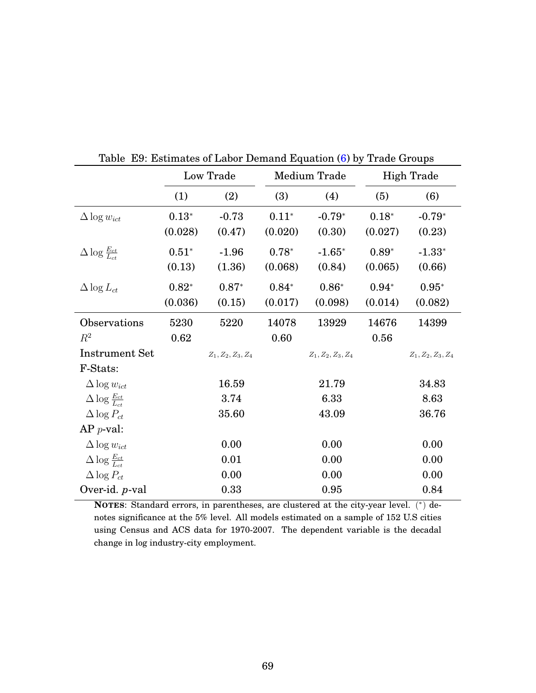|                                     |         | Low Trade            |         | <b>Medium Trade</b>  |         | <b>High Trade</b>    |
|-------------------------------------|---------|----------------------|---------|----------------------|---------|----------------------|
|                                     | (1)     | (2)                  | (3)     | (4)                  | (5)     | (6)                  |
| $\Delta \log w_{ict}$               | $0.13*$ | $-0.73$              | $0.11*$ | $-0.79*$             | $0.18*$ | $-0.79*$             |
|                                     | (0.028) | (0.47)               | (0.020) | (0.30)               | (0.027) | (0.23)               |
| $\Delta \log \frac{E_{ct}}{L_{ct}}$ | $0.51*$ | $-1.96$              | $0.78*$ | $-1.65*$             | $0.89*$ | $-1.33*$             |
|                                     | (0.13)  | (1.36)               | (0.068) | (0.84)               | (0.065) | (0.66)               |
| $\Delta \log L_{ct}$                | $0.82*$ | $0.87*$              | $0.84*$ | $0.86*$              | $0.94*$ | $0.95*$              |
|                                     | (0.036) | (0.15)               | (0.017) | (0.098)              | (0.014) | (0.082)              |
| Observations                        | 5230    | 5220                 | 14078   | 13929                | 14676   | 14399                |
| $R^2$                               | 0.62    |                      | 0.60    |                      | 0.56    |                      |
| <b>Instrument Set</b>               |         | $Z_1, Z_2, Z_3, Z_4$ |         | $Z_1, Z_2, Z_3, Z_4$ |         | $Z_1, Z_2, Z_3, Z_4$ |
| F-Stats:                            |         |                      |         |                      |         |                      |
| $\Delta \log w_{ict}$               |         | 16.59                |         | 21.79                |         | 34.83                |
| $\Delta \log \frac{E_{ct}}{L_{ct}}$ |         | 3.74                 |         | 6.33                 |         | 8.63                 |
| $\Delta \log P_{ct}$                |         | 35.60                |         | 43.09                |         | 36.76                |
| $AP$ <i>p</i> -val:                 |         |                      |         |                      |         |                      |
| $\Delta \log w_{ict}$               |         | 0.00                 |         | 0.00                 |         | 0.00                 |
| $\Delta \log \frac{E_{ct}}{L_{ct}}$ |         | 0.01                 |         | 0.00                 |         | 0.00                 |
| $\Delta \log P_{ct}$                |         | 0.00                 |         | 0.00                 |         | 0.00                 |
| Over-id. <i>p</i> -val              |         | 0.33                 |         | 0.95                 |         | 0.84                 |

Table E9: Estimates of Labor Demand Equation [\(6\)](#page-12-0) by Trade Groups

**NOTES**: Standard errors, in parentheses, are clustered at the city-year level. (\*) denotes significance at the 5% level. All models estimated on a sample of 152 U.S cities using Census and ACS data for 1970-2007. The dependent variable is the decadal change in log industry-city employment.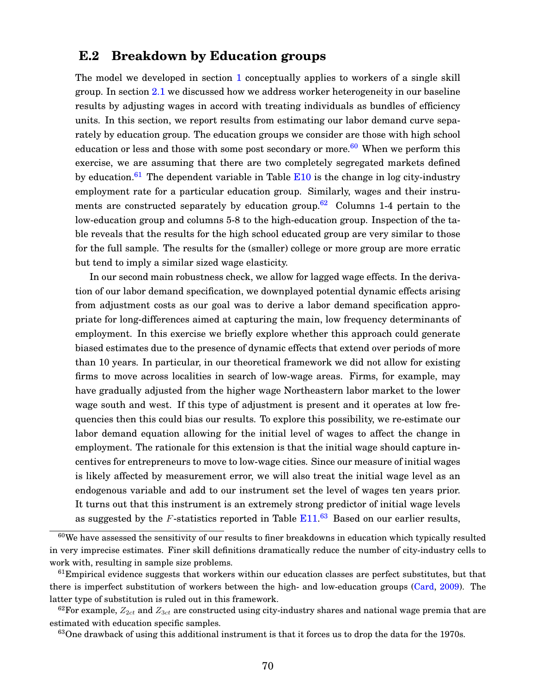### **E.2 Breakdown by Education groups**

The model we developed in section [1](#page-5-0) conceptually applies to workers of a single skill group. In section [2.1](#page-21-0) we discussed how we address worker heterogeneity in our baseline results by adjusting wages in accord with treating individuals as bundles of efficiency units. In this section, we report results from estimating our labor demand curve separately by education group. The education groups we consider are those with high school education or less and those with some post secondary or more.<sup>[60](#page-70-0)</sup> When we perform this exercise, we are assuming that there are two completely segregated markets defined by education.<sup>[61](#page-70-1)</sup> The dependent variable in Table  $E10$  is the change in log city-industry employment rate for a particular education group. Similarly, wages and their instru-ments are constructed separately by education group.<sup>[62](#page-70-2)</sup> Columns 1-4 pertain to the low-education group and columns 5-8 to the high-education group. Inspection of the table reveals that the results for the high school educated group are very similar to those for the full sample. The results for the (smaller) college or more group are more erratic but tend to imply a similar sized wage elasticity.

In our second main robustness check, we allow for lagged wage effects. In the derivation of our labor demand specification, we downplayed potential dynamic effects arising from adjustment costs as our goal was to derive a labor demand specification appropriate for long-differences aimed at capturing the main, low frequency determinants of employment. In this exercise we briefly explore whether this approach could generate biased estimates due to the presence of dynamic effects that extend over periods of more than 10 years. In particular, in our theoretical framework we did not allow for existing firms to move across localities in search of low-wage areas. Firms, for example, may have gradually adjusted from the higher wage Northeastern labor market to the lower wage south and west. If this type of adjustment is present and it operates at low frequencies then this could bias our results. To explore this possibility, we re-estimate our labor demand equation allowing for the initial level of wages to affect the change in employment. The rationale for this extension is that the initial wage should capture incentives for entrepreneurs to move to low-wage cities. Since our measure of initial wages is likely affected by measurement error, we will also treat the initial wage level as an endogenous variable and add to our instrument set the level of wages ten years prior. It turns out that this instrument is an extremely strong predictor of initial wage levels as suggested by the F-statistics reported in Table  $E11.^{63}$  $E11.^{63}$  $E11.^{63}$  $E11.^{63}$  Based on our earlier results,

<span id="page-70-0"></span><sup>&</sup>lt;sup>60</sup>We have assessed the sensitivity of our results to finer breakdowns in education which typically resulted in very imprecise estimates. Finer skill definitions dramatically reduce the number of city-industry cells to work with, resulting in sample size problems.

<span id="page-70-1"></span> $61$ Empirical evidence suggests that workers within our education classes are perfect substitutes, but that there is imperfect substitution of workers between the high- and low-education groups [\(Card,](#page-40-2) [2009\)](#page-40-2). The latter type of substitution is ruled out in this framework.

<span id="page-70-2"></span> $62$ For example,  $Z_{2ct}$  and  $Z_{3ct}$  are constructed using city-industry shares and national wage premia that are estimated with education specific samples.

<span id="page-70-3"></span> $63$ One drawback of using this additional instrument is that it forces us to drop the data for the 1970s.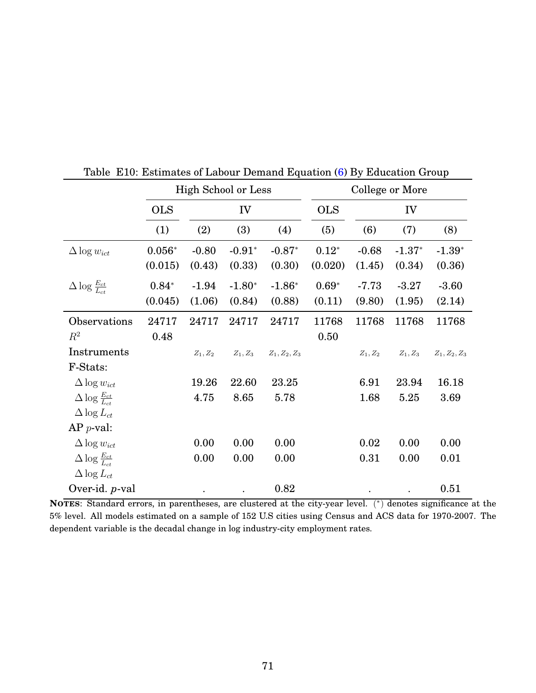|                                     | <b>High School or Less</b> |            |            |                 | College or More |            |            |                 |
|-------------------------------------|----------------------------|------------|------------|-----------------|-----------------|------------|------------|-----------------|
|                                     | <b>OLS</b>                 |            | IV         |                 | <b>OLS</b>      |            | IV         |                 |
|                                     | (1)                        | (2)        | (3)        | (4)             | (5)             | (6)        | (7)        | (8)             |
| $\Delta \log w_{ict}$               | $0.056*$                   | $-0.80$    | $-0.91*$   | $-0.87*$        | $0.12*$         | $-0.68$    | $-1.37*$   | $-1.39*$        |
|                                     | (0.015)                    | (0.43)     | (0.33)     | (0.30)          | (0.020)         | (1.45)     | (0.34)     | (0.36)          |
| $\Delta \log \frac{E_{ct}}{L_{ct}}$ | $0.84*$                    | $-1.94$    | $-1.80*$   | $-1.86*$        | $0.69*$         | $-7.73$    | $-3.27$    | $-3.60$         |
|                                     | (0.045)                    | (1.06)     | (0.84)     | (0.88)          | (0.11)          | (9.80)     | (1.95)     | (2.14)          |
| Observations                        | 24717                      | 24717      | 24717      | 24717           | 11768           | 11768      | 11768      | 11768           |
| $R^2$                               | 0.48                       |            |            |                 | 0.50            |            |            |                 |
| Instruments                         |                            | $Z_1, Z_2$ | $Z_1, Z_3$ | $Z_1, Z_2, Z_3$ |                 | $Z_1, Z_2$ | $Z_1, Z_3$ | $Z_1, Z_2, Z_3$ |
| F-Stats:                            |                            |            |            |                 |                 |            |            |                 |
| $\Delta \log w_{ict}$               |                            | 19.26      | 22.60      | 23.25           |                 | 6.91       | 23.94      | 16.18           |
| $\Delta \log \frac{E_{ct}}{L_{ct}}$ |                            | 4.75       | 8.65       | 5.78            |                 | 1.68       | 5.25       | 3.69            |
| $\Delta \log L_{ct}$                |                            |            |            |                 |                 |            |            |                 |
| $AP$ <i>p</i> -val:                 |                            |            |            |                 |                 |            |            |                 |
| $\Delta \log w_{ict}$               |                            | 0.00       | 0.00       | 0.00            |                 | 0.02       | 0.00       | 0.00            |
| $\Delta \log \frac{E_{ct}}{L_{ct}}$ |                            | 0.00       | 0.00       | 0.00            |                 | 0.31       | 0.00       | 0.01            |
| $\Delta \log L_{ct}$                |                            |            |            |                 |                 |            |            |                 |
| Over-id. p-val                      |                            |            |            | 0.82            |                 |            |            | 0.51            |

Table E10: Estimates of Labour Demand Equation [\(6\)](#page-12-0) By Education Group

**NOTES**: Standard errors, in parentheses, are clustered at the city-year level. (\*) denotes significance at the 5% level. All models estimated on a sample of 152 U.S cities using Census and ACS data for 1970-2007. The dependent variable is the decadal change in log industry-city employment rates.